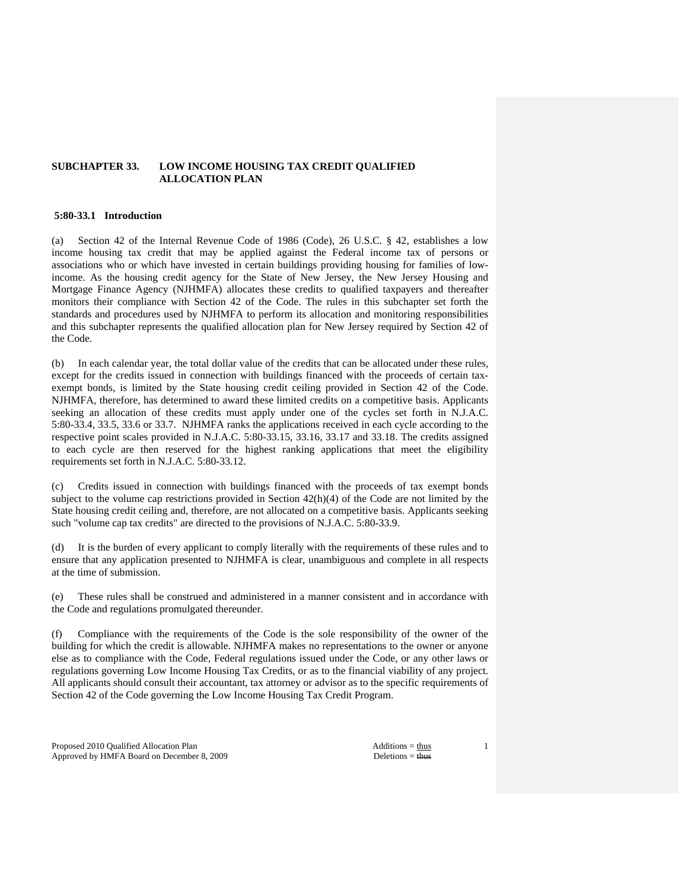# **SUBCHAPTER 33. LOW INCOME HOUSING TAX CREDIT QUALIFIED ALLOCATION PLAN**

# **5:80-33.1 Introduction**

(a) Section 42 of the Internal Revenue Code of 1986 (Code), 26 U.S.C. § 42, establishes a low income housing tax credit that may be applied against the Federal income tax of persons or associations who or which have invested in certain buildings providing housing for families of lowincome. As the housing credit agency for the State of New Jersey, the New Jersey Housing and Mortgage Finance Agency (NJHMFA) allocates these credits to qualified taxpayers and thereafter monitors their compliance with Section 42 of the Code. The rules in this subchapter set forth the standards and procedures used by NJHMFA to perform its allocation and monitoring responsibilities and this subchapter represents the qualified allocation plan for New Jersey required by Section 42 of the Code.

(b) In each calendar year, the total dollar value of the credits that can be allocated under these rules, except for the credits issued in connection with buildings financed with the proceeds of certain taxexempt bonds, is limited by the State housing credit ceiling provided in Section 42 of the Code. NJHMFA, therefore, has determined to award these limited credits on a competitive basis. Applicants seeking an allocation of these credits must apply under one of the cycles set forth in N.J.A.C. 5:80-33.4, 33.5, 33.6 or 33.7. NJHMFA ranks the applications received in each cycle according to the respective point scales provided in N.J.A.C. 5:80-33.15, 33.16, 33.17 and 33.18. The credits assigned to each cycle are then reserved for the highest ranking applications that meet the eligibility requirements set forth in N.J.A.C. 5:80-33.12.

Credits issued in connection with buildings financed with the proceeds of tax exempt bonds subject to the volume cap restrictions provided in Section  $42(h)(4)$  of the Code are not limited by the State housing credit ceiling and, therefore, are not allocated on a competitive basis. Applicants seeking such "volume cap tax credits" are directed to the provisions of N.J.A.C. 5:80-33.9.

(d) It is the burden of every applicant to comply literally with the requirements of these rules and to ensure that any application presented to NJHMFA is clear, unambiguous and complete in all respects at the time of submission.

(e) These rules shall be construed and administered in a manner consistent and in accordance with the Code and regulations promulgated thereunder.

(f) Compliance with the requirements of the Code is the sole responsibility of the owner of the building for which the credit is allowable. NJHMFA makes no representations to the owner or anyone else as to compliance with the Code, Federal regulations issued under the Code, or any other laws or regulations governing Low Income Housing Tax Credits, or as to the financial viability of any project. All applicants should consult their accountant, tax attorney or advisor as to the specific requirements of Section 42 of the Code governing the Low Income Housing Tax Credit Program.

Proposed 2010 Qualified Allocation Plan Additions = thus Additions = thus Approved by HMFA Board on December 8, 2009 Deletions = thus Deletions = thus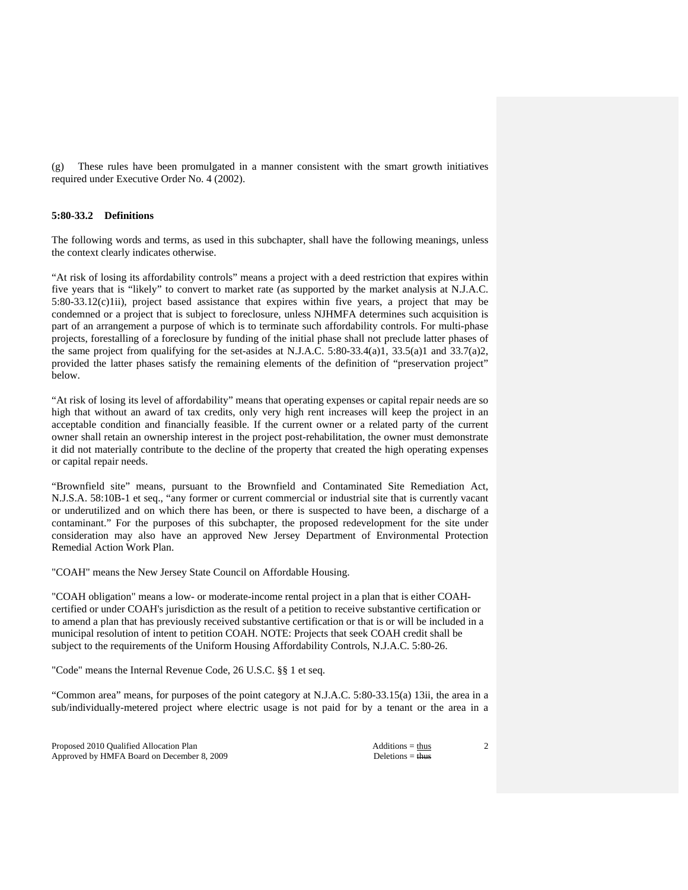(g) These rules have been promulgated in a manner consistent with the smart growth initiatives required under Executive Order No. 4 (2002).

# **5:80-33.2 Definitions**

The following words and terms, as used in this subchapter, shall have the following meanings, unless the context clearly indicates otherwise.

"At risk of losing its affordability controls" means a project with a deed restriction that expires within five years that is "likely" to convert to market rate (as supported by the market analysis at N.J.A.C. 5:80-33.12(c)1ii), project based assistance that expires within five years, a project that may be condemned or a project that is subject to foreclosure, unless NJHMFA determines such acquisition is part of an arrangement a purpose of which is to terminate such affordability controls. For multi-phase projects, forestalling of a foreclosure by funding of the initial phase shall not preclude latter phases of the same project from qualifying for the set-asides at N.J.A.C. 5:80-33.4(a)1, 33.5(a)1 and 33.7(a)2, provided the latter phases satisfy the remaining elements of the definition of "preservation project" below.

"At risk of losing its level of affordability" means that operating expenses or capital repair needs are so high that without an award of tax credits, only very high rent increases will keep the project in an acceptable condition and financially feasible. If the current owner or a related party of the current owner shall retain an ownership interest in the project post-rehabilitation, the owner must demonstrate it did not materially contribute to the decline of the property that created the high operating expenses or capital repair needs.

"Brownfield site" means, pursuant to the Brownfield and Contaminated Site Remediation Act, N.J.S.A. 58:10B-1 et seq., "any former or current commercial or industrial site that is currently vacant or underutilized and on which there has been, or there is suspected to have been, a discharge of a contaminant." For the purposes of this subchapter, the proposed redevelopment for the site under consideration may also have an approved New Jersey Department of Environmental Protection Remedial Action Work Plan.

"COAH" means the New Jersey State Council on Affordable Housing.

"COAH obligation" means a low- or moderate-income rental project in a plan that is either COAHcertified or under COAH's jurisdiction as the result of a petition to receive substantive certification or to amend a plan that has previously received substantive certification or that is or will be included in a municipal resolution of intent to petition COAH. NOTE: Projects that seek COAH credit shall be subject to the requirements of the Uniform Housing Affordability Controls, N.J.A.C. 5:80-26.

"Code" means the Internal Revenue Code, 26 U.S.C. §§ 1 et seq.

"Common area" means, for purposes of the point category at N.J.A.C. 5:80-33.15(a) 13ii, the area in a sub/individually-metered project where electric usage is not paid for by a tenant or the area in a

Proposed 2010 Qualified Allocation Plan Additions = thus Additions = thus Approved by HMFA Board on December 8, 2009 Deletions = thus Deletions = thus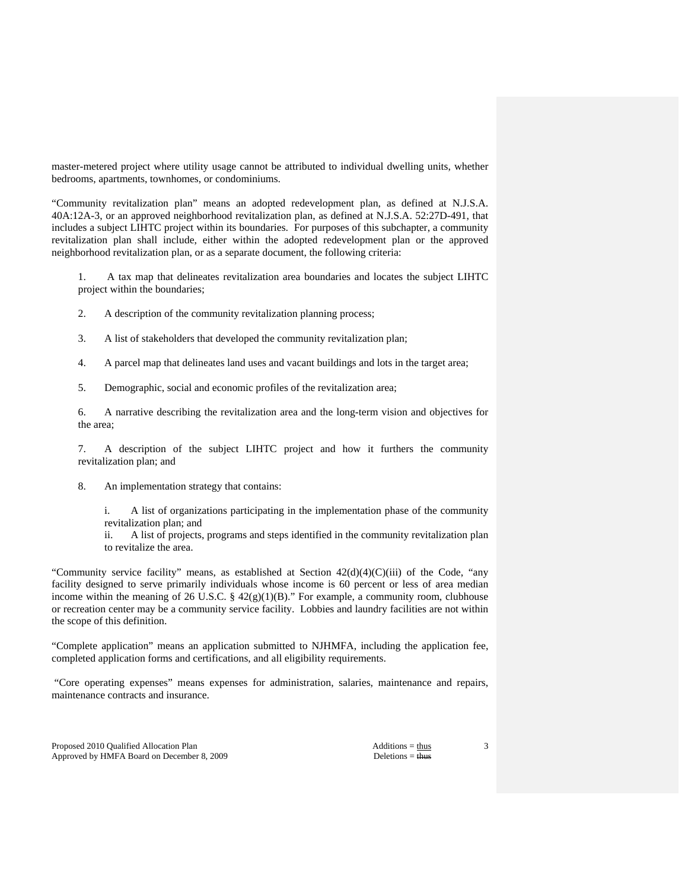master-metered project where utility usage cannot be attributed to individual dwelling units, whether bedrooms, apartments, townhomes, or condominiums.

"Community revitalization plan" means an adopted redevelopment plan, as defined at N.J.S.A. 40A:12A-3, or an approved neighborhood revitalization plan, as defined at N.J.S.A. 52:27D-491, that includes a subject LIHTC project within its boundaries. For purposes of this subchapter, a community revitalization plan shall include, either within the adopted redevelopment plan or the approved neighborhood revitalization plan, or as a separate document, the following criteria:

 1. A tax map that delineates revitalization area boundaries and locates the subject LIHTC project within the boundaries;

- 2. A description of the community revitalization planning process;
- 3. A list of stakeholders that developed the community revitalization plan;
- 4. A parcel map that delineates land uses and vacant buildings and lots in the target area;
- 5. Demographic, social and economic profiles of the revitalization area;

 6. A narrative describing the revitalization area and the long-term vision and objectives for the area;

 7. A description of the subject LIHTC project and how it furthers the community revitalization plan; and

8. An implementation strategy that contains:

 i. A list of organizations participating in the implementation phase of the community revitalization plan; and

 ii. A list of projects, programs and steps identified in the community revitalization plan to revitalize the area.

"Community service facility" means, as established at Section  $42(d)(4)(C)(iii)$  of the Code, "any facility designed to serve primarily individuals whose income is 60 percent or less of area median income within the meaning of 26 U.S.C. §  $42(g)(1)(B)$ ." For example, a community room, clubhouse or recreation center may be a community service facility. Lobbies and laundry facilities are not within the scope of this definition.

"Complete application" means an application submitted to NJHMFA, including the application fee, completed application forms and certifications, and all eligibility requirements.

 "Core operating expenses" means expenses for administration, salaries, maintenance and repairs, maintenance contracts and insurance.

Proposed 2010 Qualified Allocation Plan Additions = thus Additions = thus Approved by HMFA Board on December 8, 2009 Deletions = thus Deletions = thus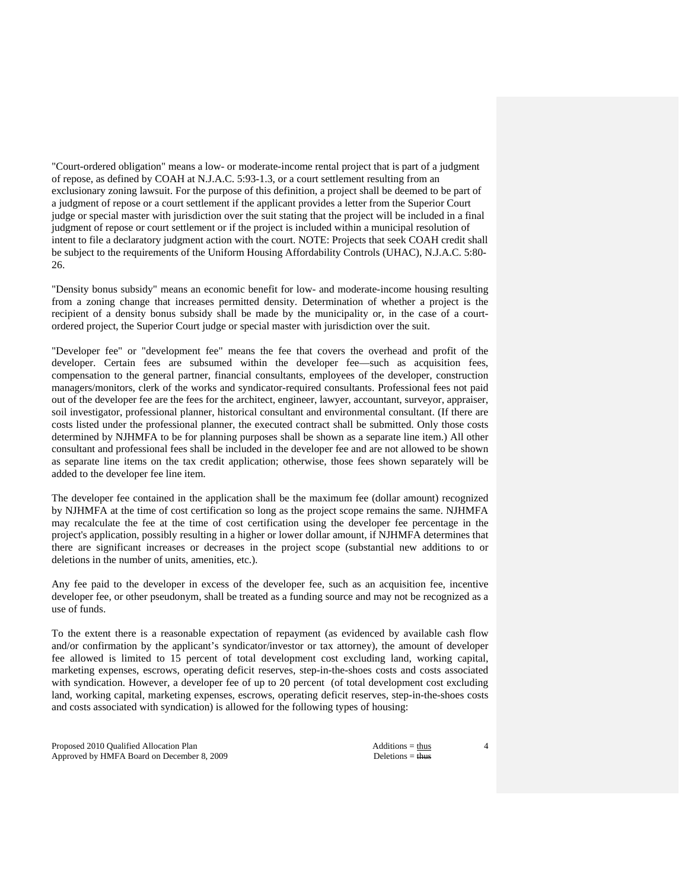"Court-ordered obligation" means a low- or moderate-income rental project that is part of a judgment of repose, as defined by COAH at N.J.A.C. 5:93-1.3, or a court settlement resulting from an exclusionary zoning lawsuit. For the purpose of this definition, a project shall be deemed to be part of a judgment of repose or a court settlement if the applicant provides a letter from the Superior Court judge or special master with jurisdiction over the suit stating that the project will be included in a final judgment of repose or court settlement or if the project is included within a municipal resolution of intent to file a declaratory judgment action with the court. NOTE: Projects that seek COAH credit shall be subject to the requirements of the Uniform Housing Affordability Controls (UHAC), N.J.A.C. 5:80- 26.

"Density bonus subsidy" means an economic benefit for low- and moderate-income housing resulting from a zoning change that increases permitted density. Determination of whether a project is the recipient of a density bonus subsidy shall be made by the municipality or, in the case of a courtordered project, the Superior Court judge or special master with jurisdiction over the suit.

"Developer fee" or "development fee" means the fee that covers the overhead and profit of the developer. Certain fees are subsumed within the developer fee—such as acquisition fees, compensation to the general partner, financial consultants, employees of the developer, construction managers/monitors, clerk of the works and syndicator-required consultants. Professional fees not paid out of the developer fee are the fees for the architect, engineer, lawyer, accountant, surveyor, appraiser, soil investigator, professional planner, historical consultant and environmental consultant. (If there are costs listed under the professional planner, the executed contract shall be submitted. Only those costs determined by NJHMFA to be for planning purposes shall be shown as a separate line item.) All other consultant and professional fees shall be included in the developer fee and are not allowed to be shown as separate line items on the tax credit application; otherwise, those fees shown separately will be added to the developer fee line item.

The developer fee contained in the application shall be the maximum fee (dollar amount) recognized by NJHMFA at the time of cost certification so long as the project scope remains the same. NJHMFA may recalculate the fee at the time of cost certification using the developer fee percentage in the project's application, possibly resulting in a higher or lower dollar amount, if NJHMFA determines that there are significant increases or decreases in the project scope (substantial new additions to or deletions in the number of units, amenities, etc.).

Any fee paid to the developer in excess of the developer fee, such as an acquisition fee, incentive developer fee, or other pseudonym, shall be treated as a funding source and may not be recognized as a use of funds.

To the extent there is a reasonable expectation of repayment (as evidenced by available cash flow and/or confirmation by the applicant's syndicator/investor or tax attorney), the amount of developer fee allowed is limited to 15 percent of total development cost excluding land, working capital, marketing expenses, escrows, operating deficit reserves, step-in-the-shoes costs and costs associated with syndication. However, a developer fee of up to 20 percent (of total development cost excluding land, working capital, marketing expenses, escrows, operating deficit reserves, step-in-the-shoes costs and costs associated with syndication) is allowed for the following types of housing:

Proposed 2010 Qualified Allocation Plan Additions = thus Additions = thus Approved by HMFA Board on December 8, 2009 Deletions = thus Deletions = thus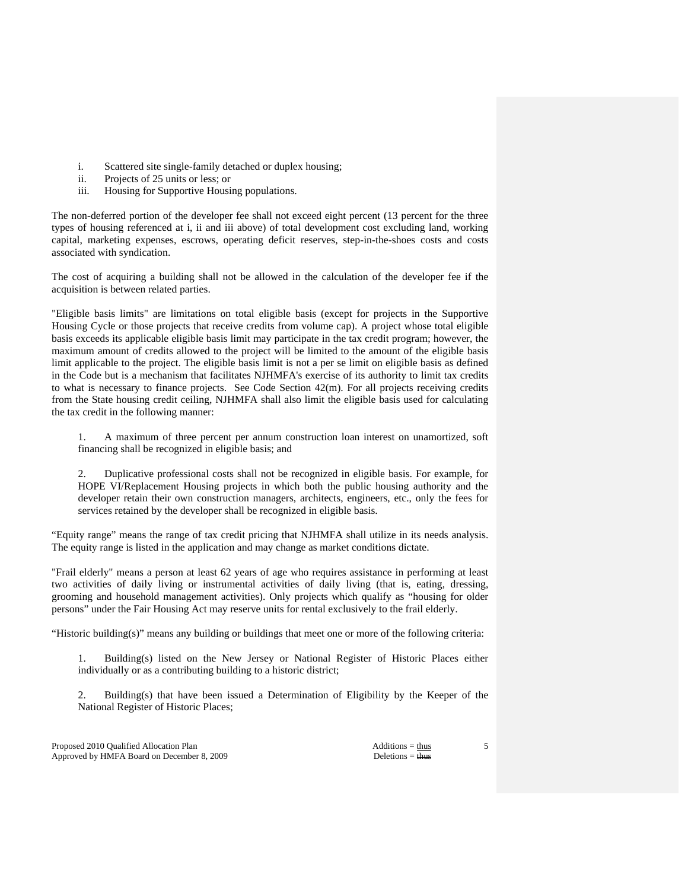- i. Scattered site single-family detached or duplex housing;
- ii. Projects of 25 units or less; or
- iii. Housing for Supportive Housing populations.

The non-deferred portion of the developer fee shall not exceed eight percent (13 percent for the three types of housing referenced at i, ii and iii above) of total development cost excluding land, working capital, marketing expenses, escrows, operating deficit reserves, step-in-the-shoes costs and costs associated with syndication.

The cost of acquiring a building shall not be allowed in the calculation of the developer fee if the acquisition is between related parties.

"Eligible basis limits" are limitations on total eligible basis (except for projects in the Supportive Housing Cycle or those projects that receive credits from volume cap). A project whose total eligible basis exceeds its applicable eligible basis limit may participate in the tax credit program; however, the maximum amount of credits allowed to the project will be limited to the amount of the eligible basis limit applicable to the project. The eligible basis limit is not a per se limit on eligible basis as defined in the Code but is a mechanism that facilitates NJHMFA's exercise of its authority to limit tax credits to what is necessary to finance projects. See Code Section 42(m). For all projects receiving credits from the State housing credit ceiling, NJHMFA shall also limit the eligible basis used for calculating the tax credit in the following manner:

 1. A maximum of three percent per annum construction loan interest on unamortized, soft financing shall be recognized in eligible basis; and

 2. Duplicative professional costs shall not be recognized in eligible basis. For example, for HOPE VI/Replacement Housing projects in which both the public housing authority and the developer retain their own construction managers, architects, engineers, etc., only the fees for services retained by the developer shall be recognized in eligible basis.

"Equity range" means the range of tax credit pricing that NJHMFA shall utilize in its needs analysis. The equity range is listed in the application and may change as market conditions dictate.

"Frail elderly" means a person at least 62 years of age who requires assistance in performing at least two activities of daily living or instrumental activities of daily living (that is, eating, dressing, grooming and household management activities). Only projects which qualify as "housing for older persons" under the Fair Housing Act may reserve units for rental exclusively to the frail elderly.

"Historic building(s)" means any building or buildings that meet one or more of the following criteria:

 1. Building(s) listed on the New Jersey or National Register of Historic Places either individually or as a contributing building to a historic district;

 2. Building(s) that have been issued a Determination of Eligibility by the Keeper of the National Register of Historic Places;

Proposed 2010 Qualified Allocation Plan Additions = thus Additions = thus Approved by HMFA Board on December 8, 2009 Deletions = thus Deletions = thus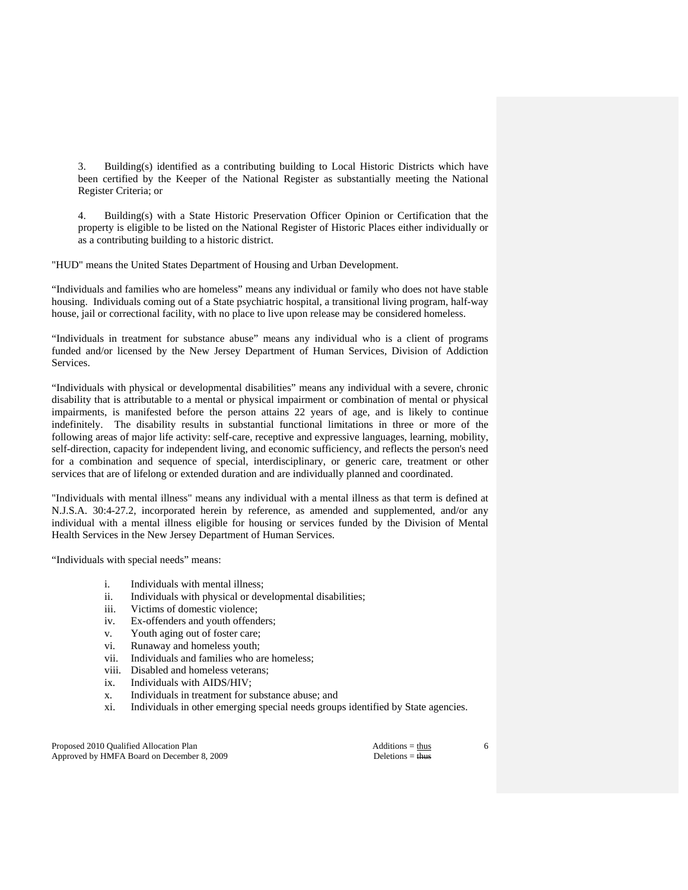3. Building(s) identified as a contributing building to Local Historic Districts which have been certified by the Keeper of the National Register as substantially meeting the National Register Criteria; or

 4. Building(s) with a State Historic Preservation Officer Opinion or Certification that the property is eligible to be listed on the National Register of Historic Places either individually or as a contributing building to a historic district.

"HUD" means the United States Department of Housing and Urban Development.

"Individuals and families who are homeless" means any individual or family who does not have stable housing. Individuals coming out of a State psychiatric hospital, a transitional living program, half-way house, jail or correctional facility, with no place to live upon release may be considered homeless.

"Individuals in treatment for substance abuse" means any individual who is a client of programs funded and/or licensed by the New Jersey Department of Human Services, Division of Addiction Services.

"Individuals with physical or developmental disabilities" means any individual with a severe, chronic disability that is attributable to a mental or physical impairment or combination of mental or physical impairments, is manifested before the person attains 22 years of age, and is likely to continue indefinitely. The disability results in substantial functional limitations in three or more of the following areas of major life activity: self-care, receptive and expressive languages, learning, mobility, self-direction, capacity for independent living, and economic sufficiency, and reflects the person's need for a combination and sequence of special, interdisciplinary, or generic care, treatment or other services that are of lifelong or extended duration and are individually planned and coordinated.

"Individuals with mental illness" means any individual with a mental illness as that term is defined at N.J.S.A. 30:4-27.2, incorporated herein by reference, as amended and supplemented, and/or any individual with a mental illness eligible for housing or services funded by the Division of Mental Health Services in the New Jersey Department of Human Services.

"Individuals with special needs" means:

- i. Individuals with mental illness;
- ii. Individuals with physical or developmental disabilities;
- iii. Victims of domestic violence;
- iv. Ex-offenders and youth offenders;
- v. Youth aging out of foster care;
- vi. Runaway and homeless youth;
- vii. Individuals and families who are homeless;
- viii. Disabled and homeless veterans;
- ix. Individuals with AIDS/HIV;
- x. Individuals in treatment for substance abuse; and
- xi. Individuals in other emerging special needs groups identified by State agencies.

Proposed 2010 Qualified Allocation Plan Additions = thus Additions = thus Approved by HMFA Board on December 8, 2009 Deletions = thus Deletions = thus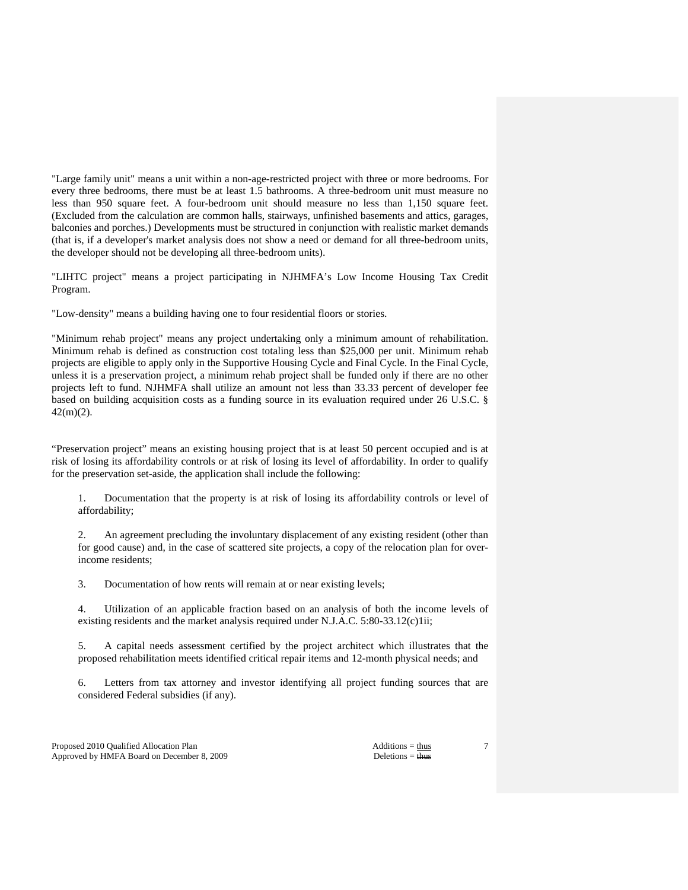"Large family unit" means a unit within a non-age-restricted project with three or more bedrooms. For every three bedrooms, there must be at least 1.5 bathrooms. A three-bedroom unit must measure no less than 950 square feet. A four-bedroom unit should measure no less than 1,150 square feet. (Excluded from the calculation are common halls, stairways, unfinished basements and attics, garages, balconies and porches.) Developments must be structured in conjunction with realistic market demands (that is, if a developer's market analysis does not show a need or demand for all three-bedroom units, the developer should not be developing all three-bedroom units).

"LIHTC project" means a project participating in NJHMFA's Low Income Housing Tax Credit Program.

"Low-density" means a building having one to four residential floors or stories.

"Minimum rehab project" means any project undertaking only a minimum amount of rehabilitation. Minimum rehab is defined as construction cost totaling less than \$25,000 per unit. Minimum rehab projects are eligible to apply only in the Supportive Housing Cycle and Final Cycle. In the Final Cycle, unless it is a preservation project, a minimum rehab project shall be funded only if there are no other projects left to fund. NJHMFA shall utilize an amount not less than 33.33 percent of developer fee based on building acquisition costs as a funding source in its evaluation required under 26 U.S.C. § 42(m)(2).

"Preservation project" means an existing housing project that is at least 50 percent occupied and is at risk of losing its affordability controls or at risk of losing its level of affordability. In order to qualify for the preservation set-aside, the application shall include the following:

 1. Documentation that the property is at risk of losing its affordability controls or level of affordability;

 2. An agreement precluding the involuntary displacement of any existing resident (other than for good cause) and, in the case of scattered site projects, a copy of the relocation plan for overincome residents;

3. Documentation of how rents will remain at or near existing levels;

 4. Utilization of an applicable fraction based on an analysis of both the income levels of existing residents and the market analysis required under N.J.A.C. 5:80-33.12(c)1ii;

 5. A capital needs assessment certified by the project architect which illustrates that the proposed rehabilitation meets identified critical repair items and 12-month physical needs; and

 6. Letters from tax attorney and investor identifying all project funding sources that are considered Federal subsidies (if any).

Proposed 2010 Qualified Allocation Plan Additions = thus Additions = thus Approved by HMFA Board on December 8, 2009 Deletions = thus Deletions = thus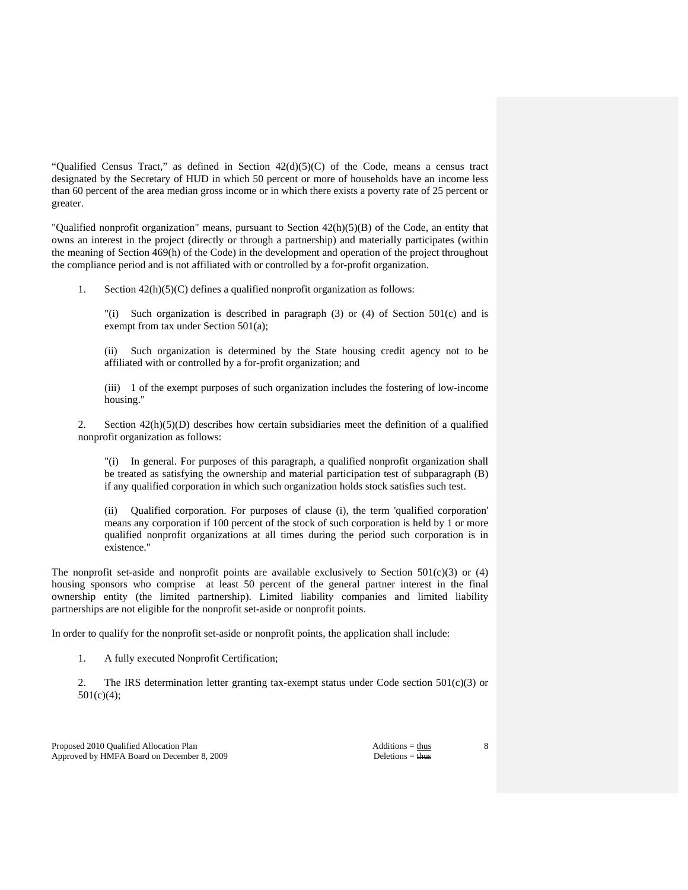"Qualified Census Tract," as defined in Section 42(d)(5)(C) of the Code, means a census tract designated by the Secretary of HUD in which 50 percent or more of households have an income less than 60 percent of the area median gross income or in which there exists a poverty rate of 25 percent or greater.

"Qualified nonprofit organization" means, pursuant to Section 42(h)(5)(B) of the Code, an entity that owns an interest in the project (directly or through a partnership) and materially participates (within the meaning of Section 469(h) of the Code) in the development and operation of the project throughout the compliance period and is not affiliated with or controlled by a for-profit organization.

1. Section 42(h)(5)(C) defines a qualified nonprofit organization as follows:

 "(i) Such organization is described in paragraph (3) or (4) of Section 501(c) and is exempt from tax under Section 501(a);

 (ii) Such organization is determined by the State housing credit agency not to be affiliated with or controlled by a for-profit organization; and

 (iii) 1 of the exempt purposes of such organization includes the fostering of low-income housing."

2. Section  $42(h)(5)(D)$  describes how certain subsidiaries meet the definition of a qualified nonprofit organization as follows:

 "(i) In general. For purposes of this paragraph, a qualified nonprofit organization shall be treated as satisfying the ownership and material participation test of subparagraph (B) if any qualified corporation in which such organization holds stock satisfies such test.

 (ii) Qualified corporation. For purposes of clause (i), the term 'qualified corporation' means any corporation if 100 percent of the stock of such corporation is held by 1 or more qualified nonprofit organizations at all times during the period such corporation is in existence."

The nonprofit set-aside and nonprofit points are available exclusively to Section  $501(c)(3)$  or (4) housing sponsors who comprise at least 50 percent of the general partner interest in the final ownership entity (the limited partnership). Limited liability companies and limited liability partnerships are not eligible for the nonprofit set-aside or nonprofit points.

In order to qualify for the nonprofit set-aside or nonprofit points, the application shall include:

1. A fully executed Nonprofit Certification;

2. The IRS determination letter granting tax-exempt status under Code section  $501(c)(3)$  or  $501(c)(4);$ 

Proposed 2010 Qualified Allocation Plan Additions = thus Additions = thus Approved by HMFA Board on December 8, 2009 Deletions = thus Deletions = thus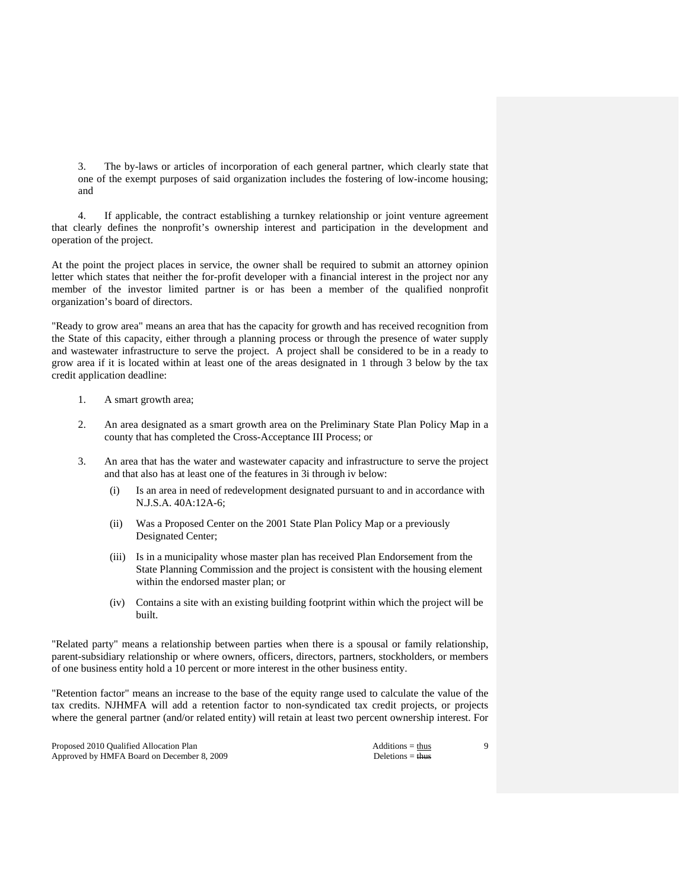3. The by-laws or articles of incorporation of each general partner, which clearly state that one of the exempt purposes of said organization includes the fostering of low-income housing; and

 4. If applicable, the contract establishing a turnkey relationship or joint venture agreement that clearly defines the nonprofit's ownership interest and participation in the development and operation of the project.

At the point the project places in service, the owner shall be required to submit an attorney opinion letter which states that neither the for-profit developer with a financial interest in the project nor any member of the investor limited partner is or has been a member of the qualified nonprofit organization's board of directors.

"Ready to grow area" means an area that has the capacity for growth and has received recognition from the State of this capacity, either through a planning process or through the presence of water supply and wastewater infrastructure to serve the project. A project shall be considered to be in a ready to grow area if it is located within at least one of the areas designated in 1 through 3 below by the tax credit application deadline:

- 1. A smart growth area;
- 2. An area designated as a smart growth area on the Preliminary State Plan Policy Map in a county that has completed the Cross-Acceptance III Process; or
- 3. An area that has the water and wastewater capacity and infrastructure to serve the project and that also has at least one of the features in 3i through iv below:
	- (i) Is an area in need of redevelopment designated pursuant to and in accordance with N.J.S.A. 40A:12A-6;
	- (ii) Was a Proposed Center on the 2001 State Plan Policy Map or a previously Designated Center;
	- (iii) Is in a municipality whose master plan has received Plan Endorsement from the State Planning Commission and the project is consistent with the housing element within the endorsed master plan; or
	- (iv) Contains a site with an existing building footprint within which the project will be built.

"Related party" means a relationship between parties when there is a spousal or family relationship, parent-subsidiary relationship or where owners, officers, directors, partners, stockholders, or members of one business entity hold a 10 percent or more interest in the other business entity.

"Retention factor" means an increase to the base of the equity range used to calculate the value of the tax credits. NJHMFA will add a retention factor to non-syndicated tax credit projects, or projects where the general partner (and/or related entity) will retain at least two percent ownership interest. For

Proposed 2010 Qualified Allocation Plan Additions = thus Additions = thus Approved by HMFA Board on December 8, 2009 Deletions = thus Deletions = thus

 $\overline{Q}$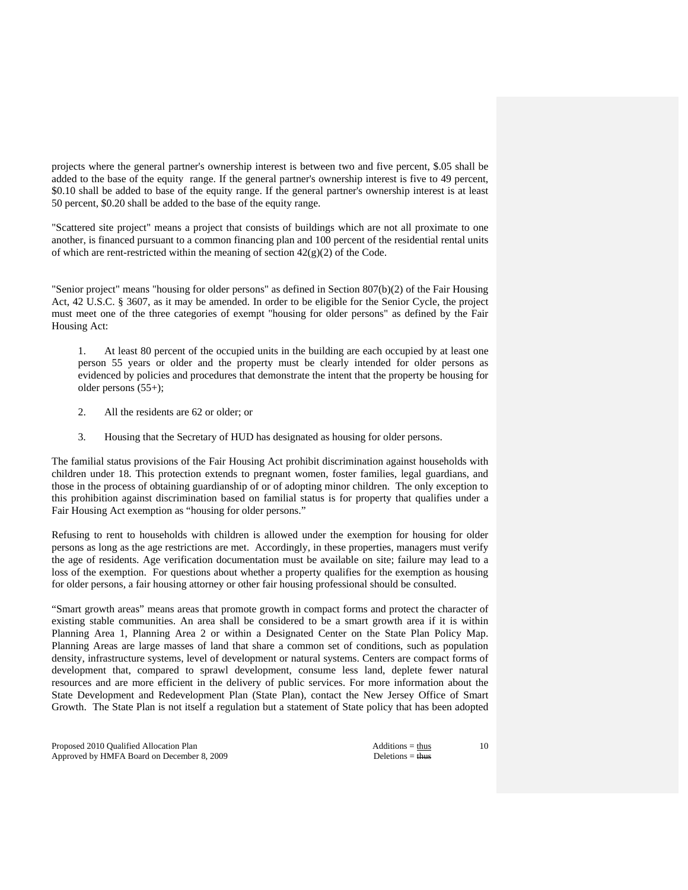projects where the general partner's ownership interest is between two and five percent, \$.05 shall be added to the base of the equity range. If the general partner's ownership interest is five to 49 percent, \$0.10 shall be added to base of the equity range. If the general partner's ownership interest is at least 50 percent, \$0.20 shall be added to the base of the equity range.

"Scattered site project" means a project that consists of buildings which are not all proximate to one another, is financed pursuant to a common financing plan and 100 percent of the residential rental units of which are rent-restricted within the meaning of section  $42(g)(2)$  of the Code.

"Senior project" means "housing for older persons" as defined in Section 807(b)(2) of the Fair Housing Act, 42 U.S.C. § 3607, as it may be amended. In order to be eligible for the Senior Cycle, the project must meet one of the three categories of exempt "housing for older persons" as defined by the Fair Housing Act:

 1. At least 80 percent of the occupied units in the building are each occupied by at least one person 55 years or older and the property must be clearly intended for older persons as evidenced by policies and procedures that demonstrate the intent that the property be housing for older persons (55+);

- 2. All the residents are 62 or older; or
- 3. Housing that the Secretary of HUD has designated as housing for older persons.

The familial status provisions of the Fair Housing Act prohibit discrimination against households with children under 18. This protection extends to pregnant women, foster families, legal guardians, and those in the process of obtaining guardianship of or of adopting minor children. The only exception to this prohibition against discrimination based on familial status is for property that qualifies under a Fair Housing Act exemption as "housing for older persons."

Refusing to rent to households with children is allowed under the exemption for housing for older persons as long as the age restrictions are met. Accordingly, in these properties, managers must verify the age of residents. Age verification documentation must be available on site; failure may lead to a loss of the exemption. For questions about whether a property qualifies for the exemption as housing for older persons, a fair housing attorney or other fair housing professional should be consulted.

"Smart growth areas" means areas that promote growth in compact forms and protect the character of existing stable communities. An area shall be considered to be a smart growth area if it is within Planning Area 1, Planning Area 2 or within a Designated Center on the State Plan Policy Map. Planning Areas are large masses of land that share a common set of conditions, such as population density, infrastructure systems, level of development or natural systems. Centers are compact forms of development that, compared to sprawl development, consume less land, deplete fewer natural resources and are more efficient in the delivery of public services. For more information about the State Development and Redevelopment Plan (State Plan), contact the New Jersey Office of Smart Growth. The State Plan is not itself a regulation but a statement of State policy that has been adopted

Proposed 2010 Qualified Allocation Plan Additions = thus Additions = thus Approved by HMFA Board on December 8, 2009 Deletions = thus Deletions = thus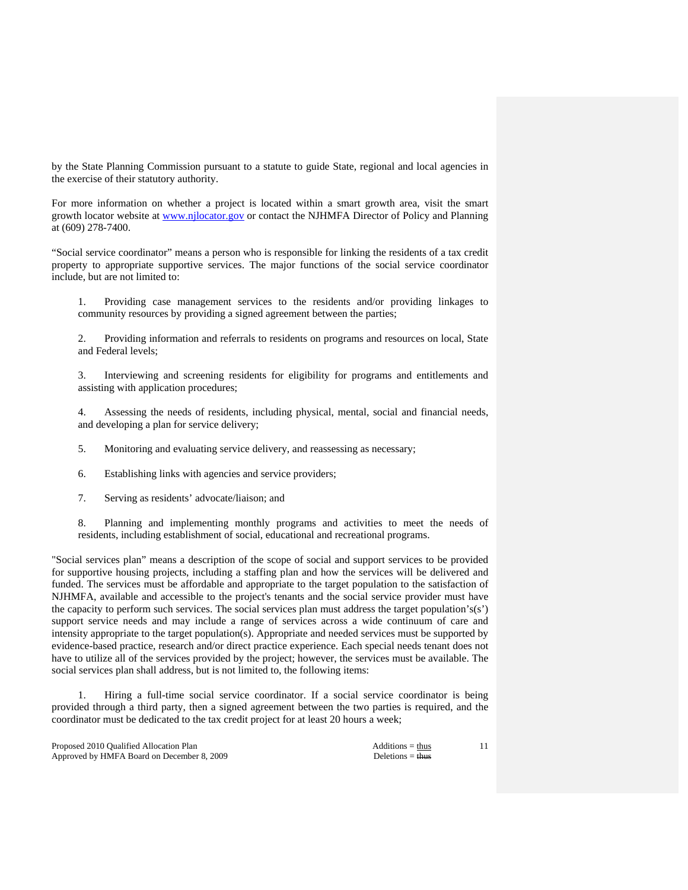by the State Planning Commission pursuant to a statute to guide State, regional and local agencies in the exercise of their statutory authority.

For more information on whether a project is located within a smart growth area, visit the smart growth locator website at www.njlocator.gov or contact the NJHMFA Director of Policy and Planning at (609) 278-7400.

"Social service coordinator" means a person who is responsible for linking the residents of a tax credit property to appropriate supportive services. The major functions of the social service coordinator include, but are not limited to:

 1. Providing case management services to the residents and/or providing linkages to community resources by providing a signed agreement between the parties;

 2. Providing information and referrals to residents on programs and resources on local, State and Federal levels;

 3. Interviewing and screening residents for eligibility for programs and entitlements and assisting with application procedures;

 4. Assessing the needs of residents, including physical, mental, social and financial needs, and developing a plan for service delivery;

5. Monitoring and evaluating service delivery, and reassessing as necessary;

6. Establishing links with agencies and service providers;

7. Serving as residents' advocate/liaison; and

 8. Planning and implementing monthly programs and activities to meet the needs of residents, including establishment of social, educational and recreational programs.

"Social services plan" means a description of the scope of social and support services to be provided for supportive housing projects, including a staffing plan and how the services will be delivered and funded. The services must be affordable and appropriate to the target population to the satisfaction of NJHMFA, available and accessible to the project's tenants and the social service provider must have the capacity to perform such services. The social services plan must address the target population's(s') support service needs and may include a range of services across a wide continuum of care and intensity appropriate to the target population(s). Appropriate and needed services must be supported by evidence-based practice, research and/or direct practice experience. Each special needs tenant does not have to utilize all of the services provided by the project; however, the services must be available. The social services plan shall address, but is not limited to, the following items:

 1. Hiring a full-time social service coordinator. If a social service coordinator is being provided through a third party, then a signed agreement between the two parties is required, and the coordinator must be dedicated to the tax credit project for at least 20 hours a week;

Proposed 2010 Qualified Allocation Plan Additions = thus Additions = thus Additions = thus Additions = thus Additions = thus Additions = thus Additions = thus Additions = thus Additions = thus Additions = thus Additions = Approved by HMFA Board on December 8, 2009 Deletions = thus Deletions = thus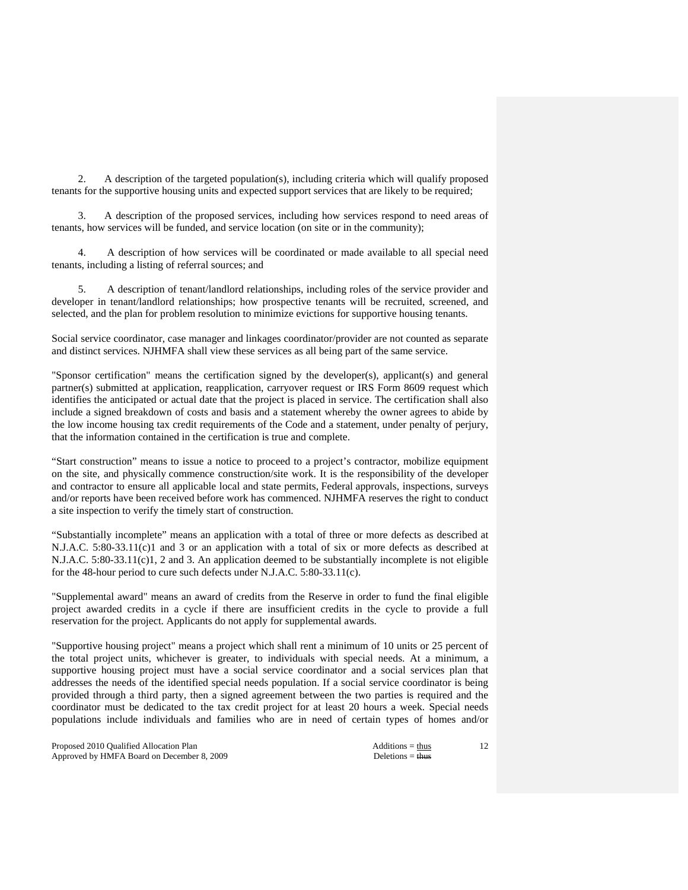2. A description of the targeted population(s), including criteria which will qualify proposed tenants for the supportive housing units and expected support services that are likely to be required;

 3. A description of the proposed services, including how services respond to need areas of tenants, how services will be funded, and service location (on site or in the community);

 4. A description of how services will be coordinated or made available to all special need tenants, including a listing of referral sources; and

 5. A description of tenant/landlord relationships, including roles of the service provider and developer in tenant/landlord relationships; how prospective tenants will be recruited, screened, and selected, and the plan for problem resolution to minimize evictions for supportive housing tenants.

Social service coordinator, case manager and linkages coordinator/provider are not counted as separate and distinct services. NJHMFA shall view these services as all being part of the same service.

"Sponsor certification" means the certification signed by the developer(s), applicant(s) and general partner(s) submitted at application, reapplication, carryover request or IRS Form 8609 request which identifies the anticipated or actual date that the project is placed in service. The certification shall also include a signed breakdown of costs and basis and a statement whereby the owner agrees to abide by the low income housing tax credit requirements of the Code and a statement, under penalty of perjury, that the information contained in the certification is true and complete.

"Start construction" means to issue a notice to proceed to a project's contractor, mobilize equipment on the site, and physically commence construction/site work. It is the responsibility of the developer and contractor to ensure all applicable local and state permits, Federal approvals, inspections, surveys and/or reports have been received before work has commenced. NJHMFA reserves the right to conduct a site inspection to verify the timely start of construction.

"Substantially incomplete" means an application with a total of three or more defects as described at N.J.A.C. 5:80-33.11(c)1 and 3 or an application with a total of six or more defects as described at N.J.A.C. 5:80-33.11(c)1, 2 and 3. An application deemed to be substantially incomplete is not eligible for the 48-hour period to cure such defects under N.J.A.C. 5:80-33.11(c).

"Supplemental award" means an award of credits from the Reserve in order to fund the final eligible project awarded credits in a cycle if there are insufficient credits in the cycle to provide a full reservation for the project. Applicants do not apply for supplemental awards.

"Supportive housing project" means a project which shall rent a minimum of 10 units or 25 percent of the total project units, whichever is greater, to individuals with special needs. At a minimum, a supportive housing project must have a social service coordinator and a social services plan that addresses the needs of the identified special needs population. If a social service coordinator is being provided through a third party, then a signed agreement between the two parties is required and the coordinator must be dedicated to the tax credit project for at least 20 hours a week. Special needs populations include individuals and families who are in need of certain types of homes and/or

Proposed 2010 Qualified Allocation Plan Additions = thus Additions = thus Approved by HMFA Board on December 8, 2009 Deletions = thus Deletions = thus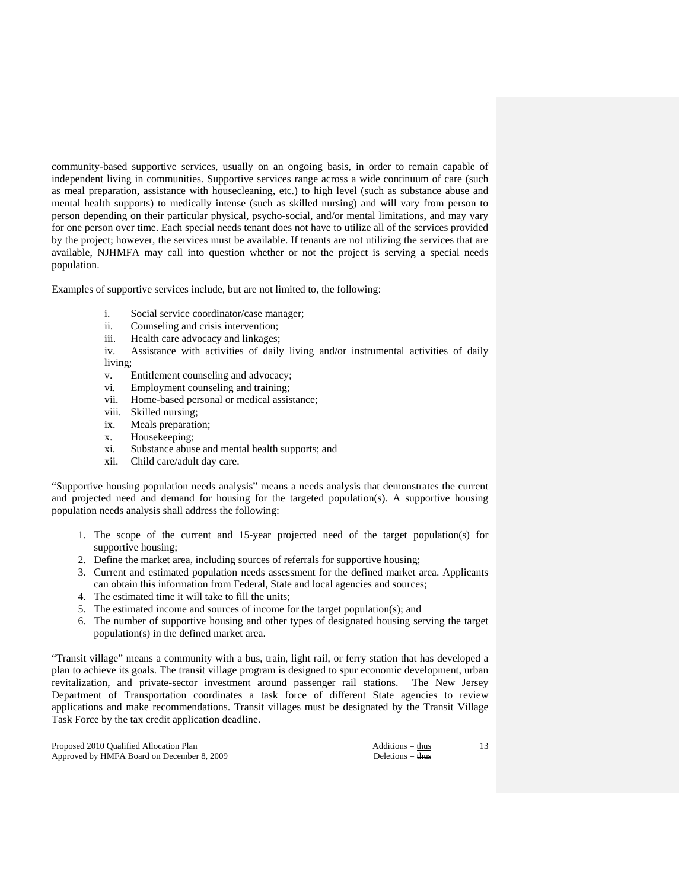community-based supportive services, usually on an ongoing basis, in order to remain capable of independent living in communities. Supportive services range across a wide continuum of care (such as meal preparation, assistance with housecleaning, etc.) to high level (such as substance abuse and mental health supports) to medically intense (such as skilled nursing) and will vary from person to person depending on their particular physical, psycho-social, and/or mental limitations, and may vary for one person over time. Each special needs tenant does not have to utilize all of the services provided by the project; however, the services must be available. If tenants are not utilizing the services that are available, NJHMFA may call into question whether or not the project is serving a special needs population.

Examples of supportive services include, but are not limited to, the following:

- i. Social service coordinator/case manager;
- ii. Counseling and crisis intervention;
- iii. Health care advocacy and linkages;
- iv. Assistance with activities of daily living and/or instrumental activities of daily living;
- v. Entitlement counseling and advocacy;
- vi. Employment counseling and training;
- vii. Home-based personal or medical assistance;
- viii. Skilled nursing;
- ix. Meals preparation;
- x. Housekeeping;
- xi. Substance abuse and mental health supports; and
- xii. Child care/adult day care.

"Supportive housing population needs analysis" means a needs analysis that demonstrates the current and projected need and demand for housing for the targeted population(s). A supportive housing population needs analysis shall address the following:

- 1. The scope of the current and 15-year projected need of the target population(s) for supportive housing;
- 2. Define the market area, including sources of referrals for supportive housing;
- 3. Current and estimated population needs assessment for the defined market area. Applicants can obtain this information from Federal, State and local agencies and sources;
- 4. The estimated time it will take to fill the units;
- 5. The estimated income and sources of income for the target population(s); and
- 6. The number of supportive housing and other types of designated housing serving the target population(s) in the defined market area.

"Transit village" means a community with a bus, train, light rail, or ferry station that has developed a plan to achieve its goals. The transit village program is designed to spur economic development, urban revitalization, and private-sector investment around passenger rail stations. The New Jersey Department of Transportation coordinates a task force of different State agencies to review applications and make recommendations. Transit villages must be designated by the Transit Village Task Force by the tax credit application deadline.

Proposed 2010 Qualified Allocation Plan Additions = thus Additions = thus Approved by HMFA Board on December 8, 2009 Deletions = thus Deletions = thus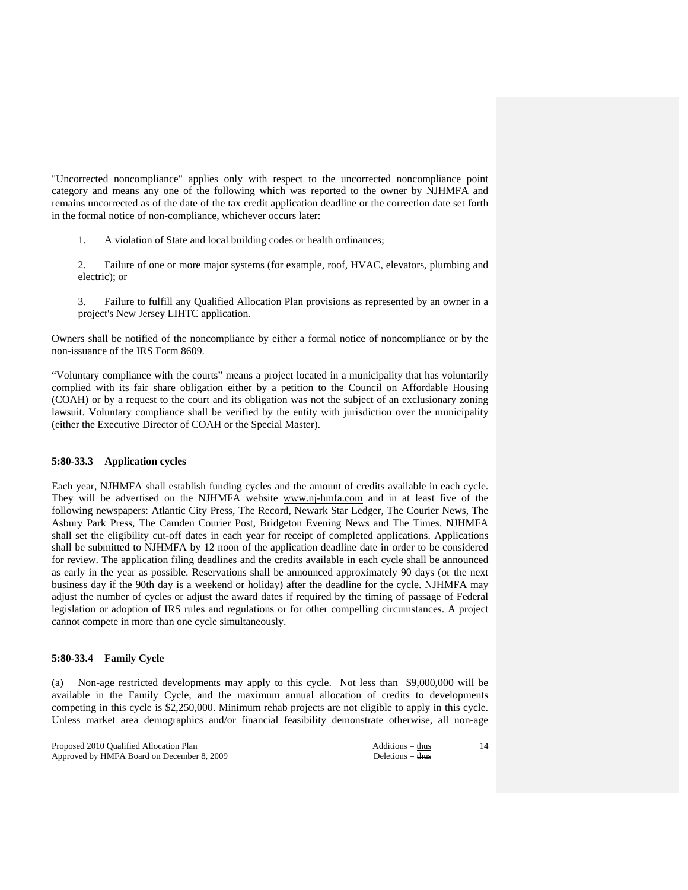"Uncorrected noncompliance" applies only with respect to the uncorrected noncompliance point category and means any one of the following which was reported to the owner by NJHMFA and remains uncorrected as of the date of the tax credit application deadline or the correction date set forth in the formal notice of non-compliance, whichever occurs later:

- 1. A violation of State and local building codes or health ordinances;
- 2. Failure of one or more major systems (for example, roof, HVAC, elevators, plumbing and electric); or
- 3. Failure to fulfill any Qualified Allocation Plan provisions as represented by an owner in a project's New Jersey LIHTC application.

Owners shall be notified of the noncompliance by either a formal notice of noncompliance or by the non-issuance of the IRS Form 8609.

"Voluntary compliance with the courts" means a project located in a municipality that has voluntarily complied with its fair share obligation either by a petition to the Council on Affordable Housing (COAH) or by a request to the court and its obligation was not the subject of an exclusionary zoning lawsuit. Voluntary compliance shall be verified by the entity with jurisdiction over the municipality (either the Executive Director of COAH or the Special Master).

# **5:80-33.3 Application cycles**

Each year, NJHMFA shall establish funding cycles and the amount of credits available in each cycle. They will be advertised on the NJHMFA website www.nj-hmfa.com and in at least five of the following newspapers: Atlantic City Press, The Record, Newark Star Ledger, The Courier News, The Asbury Park Press, The Camden Courier Post, Bridgeton Evening News and The Times. NJHMFA shall set the eligibility cut-off dates in each year for receipt of completed applications. Applications shall be submitted to NJHMFA by 12 noon of the application deadline date in order to be considered for review. The application filing deadlines and the credits available in each cycle shall be announced as early in the year as possible. Reservations shall be announced approximately 90 days (or the next business day if the 90th day is a weekend or holiday) after the deadline for the cycle. NJHMFA may adjust the number of cycles or adjust the award dates if required by the timing of passage of Federal legislation or adoption of IRS rules and regulations or for other compelling circumstances. A project cannot compete in more than one cycle simultaneously.

### **5:80-33.4 Family Cycle**

(a) Non-age restricted developments may apply to this cycle. Not less than \$9,000,000 will be available in the Family Cycle, and the maximum annual allocation of credits to developments competing in this cycle is \$2,250,000. Minimum rehab projects are not eligible to apply in this cycle. Unless market area demographics and/or financial feasibility demonstrate otherwise, all non-age

Proposed 2010 Qualified Allocation Plan Additions = thus Additions = thus Approved by HMFA Board on December 8, 2009 Deletions = thus Deletions = thus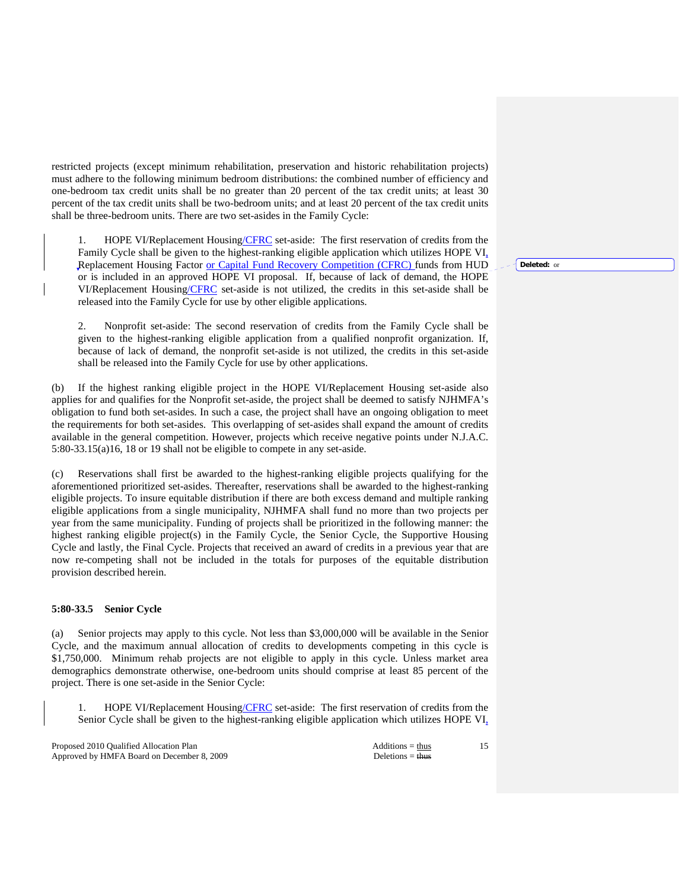restricted projects (except minimum rehabilitation, preservation and historic rehabilitation projects) must adhere to the following minimum bedroom distributions: the combined number of efficiency and one-bedroom tax credit units shall be no greater than 20 percent of the tax credit units; at least 30 percent of the tax credit units shall be two-bedroom units; and at least 20 percent of the tax credit units shall be three-bedroom units. There are two set-asides in the Family Cycle:

 1. HOPE VI/Replacement Housing/CFRC set-aside: The first reservation of credits from the Family Cycle shall be given to the highest-ranking eligible application which utilizes HOPE VI, Replacement Housing Factor or Capital Fund Recovery Competition (CFRC) funds from HUD or is included in an approved HOPE VI proposal. If, because of lack of demand, the HOPE VI/Replacement Housing/CFRC set-aside is not utilized, the credits in this set-aside shall be released into the Family Cycle for use by other eligible applications.

 2. Nonprofit set-aside: The second reservation of credits from the Family Cycle shall be given to the highest-ranking eligible application from a qualified nonprofit organization. If, because of lack of demand, the nonprofit set-aside is not utilized, the credits in this set-aside shall be released into the Family Cycle for use by other applications.

(b) If the highest ranking eligible project in the HOPE VI/Replacement Housing set-aside also applies for and qualifies for the Nonprofit set-aside, the project shall be deemed to satisfy NJHMFA's obligation to fund both set-asides. In such a case, the project shall have an ongoing obligation to meet the requirements for both set-asides. This overlapping of set-asides shall expand the amount of credits available in the general competition. However, projects which receive negative points under N.J.A.C. 5:80-33.15(a)16, 18 or 19 shall not be eligible to compete in any set-aside.

(c) Reservations shall first be awarded to the highest-ranking eligible projects qualifying for the aforementioned prioritized set-asides. Thereafter, reservations shall be awarded to the highest-ranking eligible projects. To insure equitable distribution if there are both excess demand and multiple ranking eligible applications from a single municipality, NJHMFA shall fund no more than two projects per year from the same municipality. Funding of projects shall be prioritized in the following manner: the highest ranking eligible project(s) in the Family Cycle, the Senior Cycle, the Supportive Housing Cycle and lastly, the Final Cycle. Projects that received an award of credits in a previous year that are now re-competing shall not be included in the totals for purposes of the equitable distribution provision described herein.

## **5:80-33.5 Senior Cycle**

(a) Senior projects may apply to this cycle. Not less than \$3,000,000 will be available in the Senior Cycle, and the maximum annual allocation of credits to developments competing in this cycle is \$1,750,000. Minimum rehab projects are not eligible to apply in this cycle. Unless market area demographics demonstrate otherwise, one-bedroom units should comprise at least 85 percent of the project. There is one set-aside in the Senior Cycle:

 1. HOPE VI/Replacement Housing/CFRC set-aside: The first reservation of credits from the Senior Cycle shall be given to the highest-ranking eligible application which utilizes HOPE VI,

Proposed 2010 Qualified Allocation Plan Additions = thus Approved by HMFA Board on December 8, 2009 Deletions = thus Deletions = thus

15

**Deleted:** or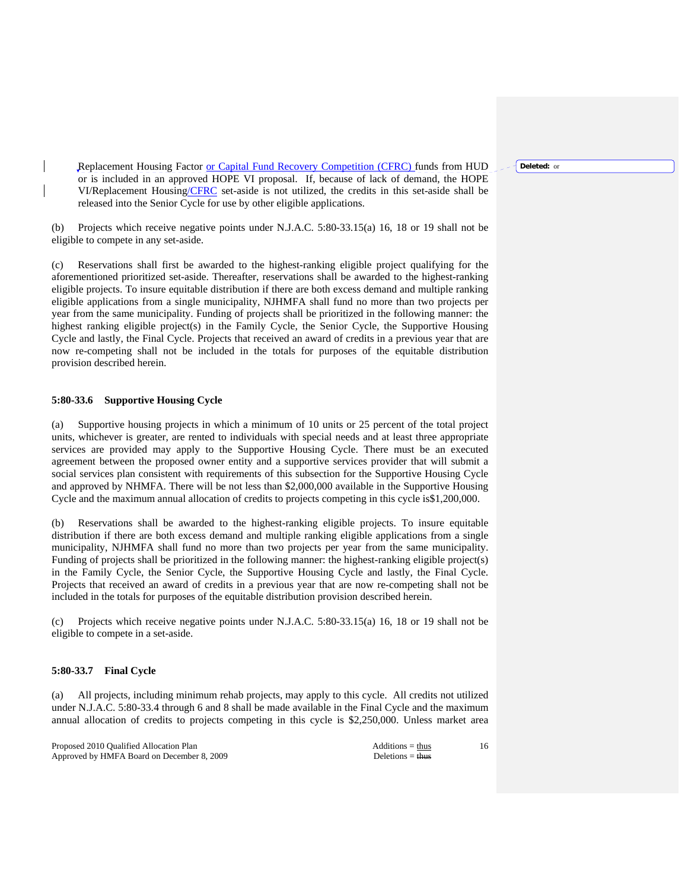**Deleted:** or

Replacement Housing Factor or Capital Fund Recovery Competition (CFRC) funds from HUD or is included in an approved HOPE VI proposal. If, because of lack of demand, the HOPE VI/Replacement Housing/CFRC set-aside is not utilized, the credits in this set-aside shall be released into the Senior Cycle for use by other eligible applications.

(b) Projects which receive negative points under N.J.A.C. 5:80-33.15(a) 16, 18 or 19 shall not be eligible to compete in any set-aside.

(c) Reservations shall first be awarded to the highest-ranking eligible project qualifying for the aforementioned prioritized set-aside. Thereafter, reservations shall be awarded to the highest-ranking eligible projects. To insure equitable distribution if there are both excess demand and multiple ranking eligible applications from a single municipality, NJHMFA shall fund no more than two projects per year from the same municipality. Funding of projects shall be prioritized in the following manner: the highest ranking eligible project(s) in the Family Cycle, the Senior Cycle, the Supportive Housing Cycle and lastly, the Final Cycle. Projects that received an award of credits in a previous year that are now re-competing shall not be included in the totals for purposes of the equitable distribution provision described herein.

### **5:80-33.6 Supportive Housing Cycle**

(a) Supportive housing projects in which a minimum of 10 units or 25 percent of the total project units, whichever is greater, are rented to individuals with special needs and at least three appropriate services are provided may apply to the Supportive Housing Cycle. There must be an executed agreement between the proposed owner entity and a supportive services provider that will submit a social services plan consistent with requirements of this subsection for the Supportive Housing Cycle and approved by NHMFA. There will be not less than \$2,000,000 available in the Supportive Housing Cycle and the maximum annual allocation of credits to projects competing in this cycle is\$1,200,000.

(b) Reservations shall be awarded to the highest-ranking eligible projects. To insure equitable distribution if there are both excess demand and multiple ranking eligible applications from a single municipality, NJHMFA shall fund no more than two projects per year from the same municipality. Funding of projects shall be prioritized in the following manner: the highest-ranking eligible project(s) in the Family Cycle, the Senior Cycle, the Supportive Housing Cycle and lastly, the Final Cycle. Projects that received an award of credits in a previous year that are now re-competing shall not be included in the totals for purposes of the equitable distribution provision described herein.

(c) Projects which receive negative points under N.J.A.C. 5:80-33.15(a) 16, 18 or 19 shall not be eligible to compete in a set-aside.

### **5:80-33.7 Final Cycle**

(a) All projects, including minimum rehab projects, may apply to this cycle. All credits not utilized under N.J.A.C. 5:80-33.4 through 6 and 8 shall be made available in the Final Cycle and the maximum annual allocation of credits to projects competing in this cycle is \$2,250,000. Unless market area

Proposed 2010 Qualified Allocation Plan Additions = thus Additions = thus Approved by HMFA Board on December 8, 2009 Deletions = thus Deletions = thus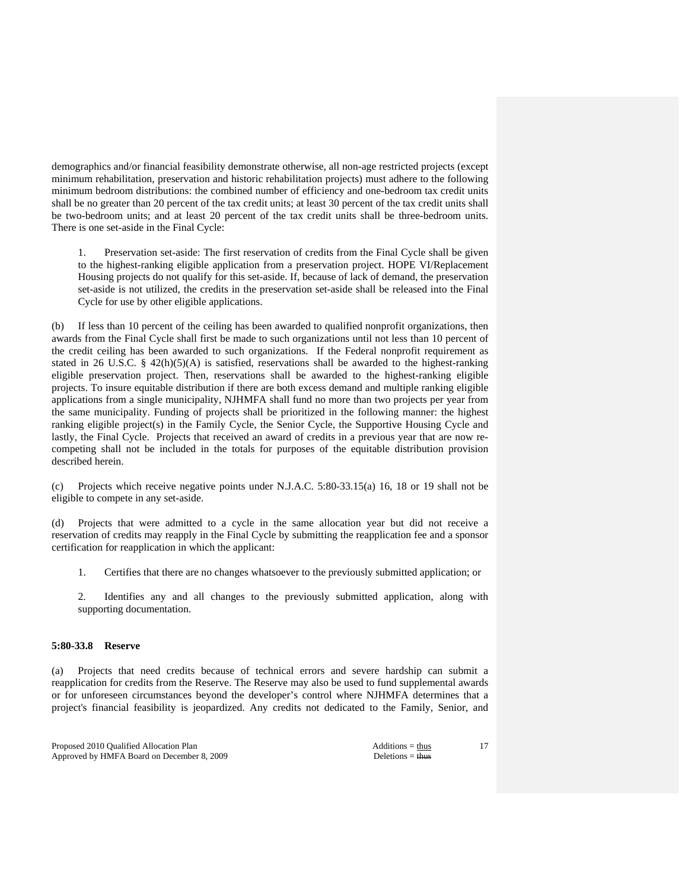demographics and/or financial feasibility demonstrate otherwise, all non-age restricted projects (except minimum rehabilitation, preservation and historic rehabilitation projects) must adhere to the following minimum bedroom distributions: the combined number of efficiency and one-bedroom tax credit units shall be no greater than 20 percent of the tax credit units; at least 30 percent of the tax credit units shall be two-bedroom units; and at least 20 percent of the tax credit units shall be three-bedroom units. There is one set-aside in the Final Cycle:

 1. Preservation set-aside: The first reservation of credits from the Final Cycle shall be given to the highest-ranking eligible application from a preservation project. HOPE VI/Replacement Housing projects do not qualify for this set-aside. If, because of lack of demand, the preservation set-aside is not utilized, the credits in the preservation set-aside shall be released into the Final Cycle for use by other eligible applications.

(b) If less than 10 percent of the ceiling has been awarded to qualified nonprofit organizations, then awards from the Final Cycle shall first be made to such organizations until not less than 10 percent of the credit ceiling has been awarded to such organizations. If the Federal nonprofit requirement as stated in 26 U.S.C. § 42(h)(5)(A) is satisfied, reservations shall be awarded to the highest-ranking eligible preservation project. Then, reservations shall be awarded to the highest-ranking eligible projects. To insure equitable distribution if there are both excess demand and multiple ranking eligible applications from a single municipality, NJHMFA shall fund no more than two projects per year from the same municipality. Funding of projects shall be prioritized in the following manner: the highest ranking eligible project(s) in the Family Cycle, the Senior Cycle, the Supportive Housing Cycle and lastly, the Final Cycle. Projects that received an award of credits in a previous year that are now recompeting shall not be included in the totals for purposes of the equitable distribution provision described herein.

(c) Projects which receive negative points under N.J.A.C. 5:80-33.15(a) 16, 18 or 19 shall not be eligible to compete in any set-aside.

(d) Projects that were admitted to a cycle in the same allocation year but did not receive a reservation of credits may reapply in the Final Cycle by submitting the reapplication fee and a sponsor certification for reapplication in which the applicant:

1. Certifies that there are no changes whatsoever to the previously submitted application; or

 2. Identifies any and all changes to the previously submitted application, along with supporting documentation.

# **5:80-33.8 Reserve**

(a) Projects that need credits because of technical errors and severe hardship can submit a reapplication for credits from the Reserve. The Reserve may also be used to fund supplemental awards or for unforeseen circumstances beyond the developer's control where NJHMFA determines that a project's financial feasibility is jeopardized. Any credits not dedicated to the Family, Senior, and

Proposed 2010 Qualified Allocation Plan Additions = thus Additions = thus Approved by HMFA Board on December 8, 2009 Deletions = thus Deletions = thus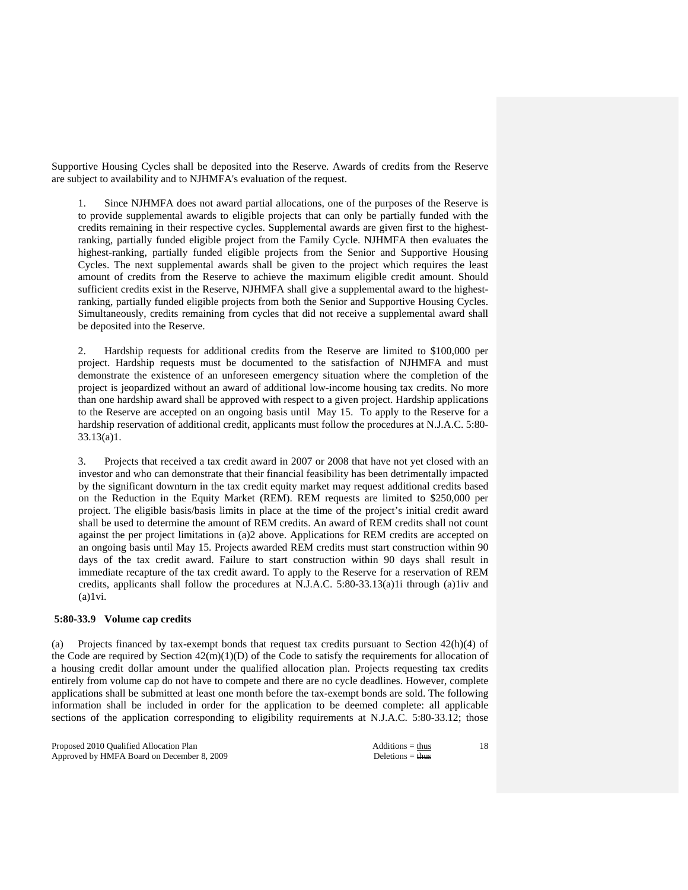Supportive Housing Cycles shall be deposited into the Reserve. Awards of credits from the Reserve are subject to availability and to NJHMFA's evaluation of the request.

 1. Since NJHMFA does not award partial allocations, one of the purposes of the Reserve is to provide supplemental awards to eligible projects that can only be partially funded with the credits remaining in their respective cycles. Supplemental awards are given first to the highestranking, partially funded eligible project from the Family Cycle. NJHMFA then evaluates the highest-ranking, partially funded eligible projects from the Senior and Supportive Housing Cycles. The next supplemental awards shall be given to the project which requires the least amount of credits from the Reserve to achieve the maximum eligible credit amount. Should sufficient credits exist in the Reserve, NJHMFA shall give a supplemental award to the highestranking, partially funded eligible projects from both the Senior and Supportive Housing Cycles. Simultaneously, credits remaining from cycles that did not receive a supplemental award shall be deposited into the Reserve.

 2. Hardship requests for additional credits from the Reserve are limited to \$100,000 per project. Hardship requests must be documented to the satisfaction of NJHMFA and must demonstrate the existence of an unforeseen emergency situation where the completion of the project is jeopardized without an award of additional low-income housing tax credits. No more than one hardship award shall be approved with respect to a given project. Hardship applications to the Reserve are accepted on an ongoing basis until May 15. To apply to the Reserve for a hardship reservation of additional credit, applicants must follow the procedures at N.J.A.C. 5:80- 33.13(a)1.

 3. Projects that received a tax credit award in 2007 or 2008 that have not yet closed with an investor and who can demonstrate that their financial feasibility has been detrimentally impacted by the significant downturn in the tax credit equity market may request additional credits based on the Reduction in the Equity Market (REM). REM requests are limited to \$250,000 per project. The eligible basis/basis limits in place at the time of the project's initial credit award shall be used to determine the amount of REM credits. An award of REM credits shall not count against the per project limitations in (a)2 above. Applications for REM credits are accepted on an ongoing basis until May 15. Projects awarded REM credits must start construction within 90 days of the tax credit award. Failure to start construction within 90 days shall result in immediate recapture of the tax credit award. To apply to the Reserve for a reservation of REM credits, applicants shall follow the procedures at N.J.A.C. 5:80-33.13(a)1i through (a)1iv and  $(a)1vi.$ 

#### **5:80-33.9 Volume cap credits**

(a) Projects financed by tax-exempt bonds that request tax credits pursuant to Section 42(h)(4) of the Code are required by Section  $42(m)(1)(D)$  of the Code to satisfy the requirements for allocation of a housing credit dollar amount under the qualified allocation plan. Projects requesting tax credits entirely from volume cap do not have to compete and there are no cycle deadlines. However, complete applications shall be submitted at least one month before the tax-exempt bonds are sold. The following information shall be included in order for the application to be deemed complete: all applicable sections of the application corresponding to eligibility requirements at N.J.A.C. 5:80-33.12; those

Proposed 2010 Qualified Allocation Plan Additions = thus Additions = thus Approved by HMFA Board on December 8, 2009 Deletions = thus Deletions = thus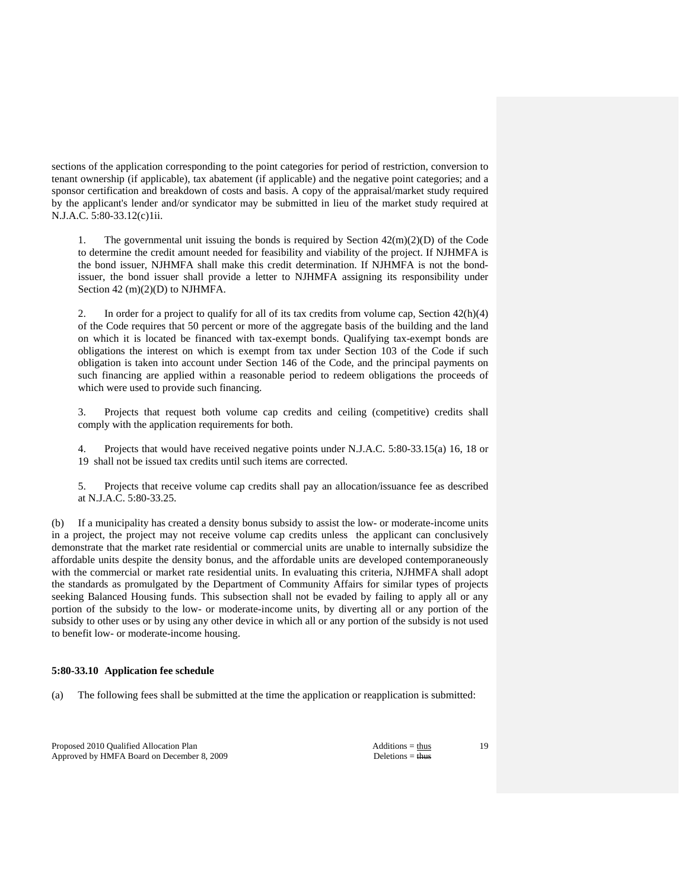sections of the application corresponding to the point categories for period of restriction, conversion to tenant ownership (if applicable), tax abatement (if applicable) and the negative point categories; and a sponsor certification and breakdown of costs and basis. A copy of the appraisal/market study required by the applicant's lender and/or syndicator may be submitted in lieu of the market study required at N.J.A.C. 5:80-33.12(c)1ii.

1. The governmental unit issuing the bonds is required by Section  $42(m)(2)(D)$  of the Code to determine the credit amount needed for feasibility and viability of the project. If NJHMFA is the bond issuer, NJHMFA shall make this credit determination. If NJHMFA is not the bondissuer, the bond issuer shall provide a letter to NJHMFA assigning its responsibility under Section 42 (m)(2)(D) to NJHMFA.

2. In order for a project to qualify for all of its tax credits from volume cap, Section  $42(h)(4)$ of the Code requires that 50 percent or more of the aggregate basis of the building and the land on which it is located be financed with tax-exempt bonds. Qualifying tax-exempt bonds are obligations the interest on which is exempt from tax under Section 103 of the Code if such obligation is taken into account under Section 146 of the Code, and the principal payments on such financing are applied within a reasonable period to redeem obligations the proceeds of which were used to provide such financing.

 3. Projects that request both volume cap credits and ceiling (competitive) credits shall comply with the application requirements for both.

 4. Projects that would have received negative points under N.J.A.C. 5:80-33.15(a) 16, 18 or 19 shall not be issued tax credits until such items are corrected.

 5. Projects that receive volume cap credits shall pay an allocation/issuance fee as described at N.J.A.C. 5:80-33.25.

(b) If a municipality has created a density bonus subsidy to assist the low- or moderate-income units in a project, the project may not receive volume cap credits unless the applicant can conclusively demonstrate that the market rate residential or commercial units are unable to internally subsidize the affordable units despite the density bonus, and the affordable units are developed contemporaneously with the commercial or market rate residential units. In evaluating this criteria, NJHMFA shall adopt the standards as promulgated by the Department of Community Affairs for similar types of projects seeking Balanced Housing funds. This subsection shall not be evaded by failing to apply all or any portion of the subsidy to the low- or moderate-income units, by diverting all or any portion of the subsidy to other uses or by using any other device in which all or any portion of the subsidy is not used to benefit low- or moderate-income housing.

#### **5:80-33.10 Application fee schedule**

(a) The following fees shall be submitted at the time the application or reapplication is submitted:

Proposed 2010 Qualified Allocation Plan Additions = thus Additions = thus Approved by HMFA Board on December 8, 2009 Deletions = thus Deletions = thus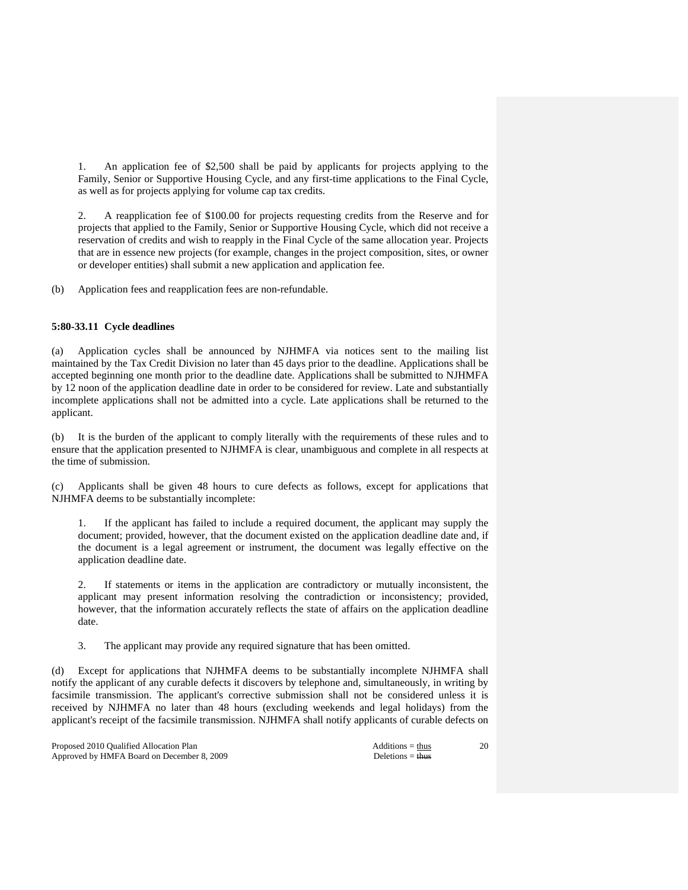1. An application fee of \$2,500 shall be paid by applicants for projects applying to the Family, Senior or Supportive Housing Cycle, and any first-time applications to the Final Cycle, as well as for projects applying for volume cap tax credits.

 2. A reapplication fee of \$100.00 for projects requesting credits from the Reserve and for projects that applied to the Family, Senior or Supportive Housing Cycle, which did not receive a reservation of credits and wish to reapply in the Final Cycle of the same allocation year. Projects that are in essence new projects (for example, changes in the project composition, sites, or owner or developer entities) shall submit a new application and application fee.

(b) Application fees and reapplication fees are non-refundable.

# **5:80-33.11 Cycle deadlines**

(a) Application cycles shall be announced by NJHMFA via notices sent to the mailing list maintained by the Tax Credit Division no later than 45 days prior to the deadline. Applications shall be accepted beginning one month prior to the deadline date. Applications shall be submitted to NJHMFA by 12 noon of the application deadline date in order to be considered for review. Late and substantially incomplete applications shall not be admitted into a cycle. Late applications shall be returned to the applicant.

(b) It is the burden of the applicant to comply literally with the requirements of these rules and to ensure that the application presented to NJHMFA is clear, unambiguous and complete in all respects at the time of submission.

(c) Applicants shall be given 48 hours to cure defects as follows, except for applications that NJHMFA deems to be substantially incomplete:

 1. If the applicant has failed to include a required document, the applicant may supply the document; provided, however, that the document existed on the application deadline date and, if the document is a legal agreement or instrument, the document was legally effective on the application deadline date.

 2. If statements or items in the application are contradictory or mutually inconsistent, the applicant may present information resolving the contradiction or inconsistency; provided, however, that the information accurately reflects the state of affairs on the application deadline date.

3. The applicant may provide any required signature that has been omitted.

(d) Except for applications that NJHMFA deems to be substantially incomplete NJHMFA shall notify the applicant of any curable defects it discovers by telephone and, simultaneously, in writing by facsimile transmission. The applicant's corrective submission shall not be considered unless it is received by NJHMFA no later than 48 hours (excluding weekends and legal holidays) from the applicant's receipt of the facsimile transmission. NJHMFA shall notify applicants of curable defects on

Proposed 2010 Qualified Allocation Plan Additions = thus Additions = thus Approved by HMFA Board on December 8, 2009 Deletions = thus Deletions = thus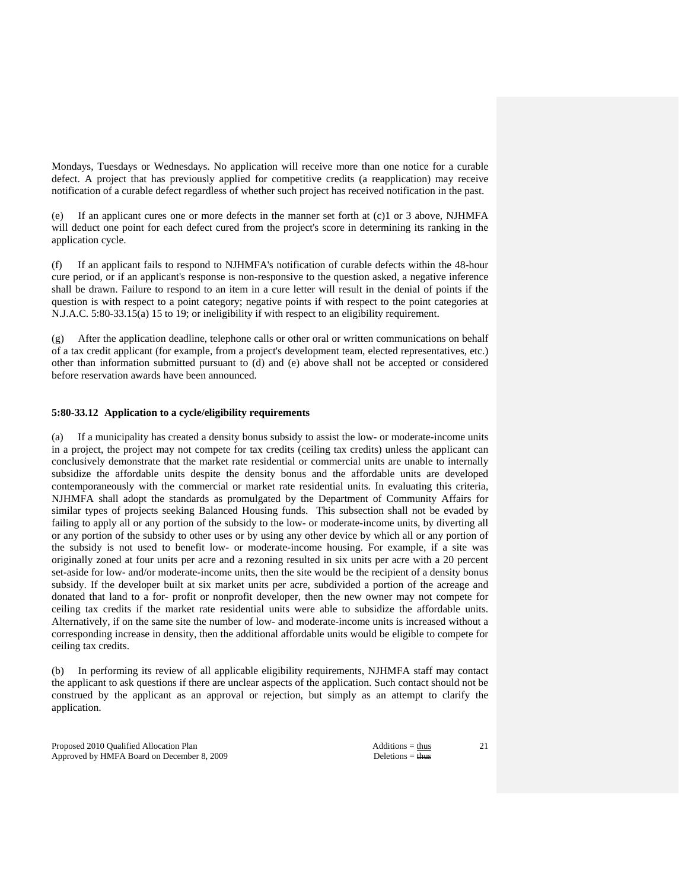Mondays, Tuesdays or Wednesdays. No application will receive more than one notice for a curable defect. A project that has previously applied for competitive credits (a reapplication) may receive notification of a curable defect regardless of whether such project has received notification in the past.

(e) If an applicant cures one or more defects in the manner set forth at (c)1 or 3 above, NJHMFA will deduct one point for each defect cured from the project's score in determining its ranking in the application cycle.

(f) If an applicant fails to respond to NJHMFA's notification of curable defects within the 48-hour cure period, or if an applicant's response is non-responsive to the question asked, a negative inference shall be drawn. Failure to respond to an item in a cure letter will result in the denial of points if the question is with respect to a point category; negative points if with respect to the point categories at N.J.A.C. 5:80-33.15(a) 15 to 19; or ineligibility if with respect to an eligibility requirement.

(g) After the application deadline, telephone calls or other oral or written communications on behalf of a tax credit applicant (for example, from a project's development team, elected representatives, etc.) other than information submitted pursuant to (d) and (e) above shall not be accepted or considered before reservation awards have been announced.

# **5:80-33.12 Application to a cycle/eligibility requirements**

(a) If a municipality has created a density bonus subsidy to assist the low- or moderate-income units in a project, the project may not compete for tax credits (ceiling tax credits) unless the applicant can conclusively demonstrate that the market rate residential or commercial units are unable to internally subsidize the affordable units despite the density bonus and the affordable units are developed contemporaneously with the commercial or market rate residential units. In evaluating this criteria, NJHMFA shall adopt the standards as promulgated by the Department of Community Affairs for similar types of projects seeking Balanced Housing funds. This subsection shall not be evaded by failing to apply all or any portion of the subsidy to the low- or moderate-income units, by diverting all or any portion of the subsidy to other uses or by using any other device by which all or any portion of the subsidy is not used to benefit low- or moderate-income housing. For example, if a site was originally zoned at four units per acre and a rezoning resulted in six units per acre with a 20 percent set-aside for low- and/or moderate-income units, then the site would be the recipient of a density bonus subsidy. If the developer built at six market units per acre, subdivided a portion of the acreage and donated that land to a for- profit or nonprofit developer, then the new owner may not compete for ceiling tax credits if the market rate residential units were able to subsidize the affordable units. Alternatively, if on the same site the number of low- and moderate-income units is increased without a corresponding increase in density, then the additional affordable units would be eligible to compete for ceiling tax credits.

(b) In performing its review of all applicable eligibility requirements, NJHMFA staff may contact the applicant to ask questions if there are unclear aspects of the application. Such contact should not be construed by the applicant as an approval or rejection, but simply as an attempt to clarify the application.

Proposed 2010 Qualified Allocation Plan Additions = thus Additions = thus Approved by HMFA Board on December 8, 2009 Deletions = thus Deletions = thus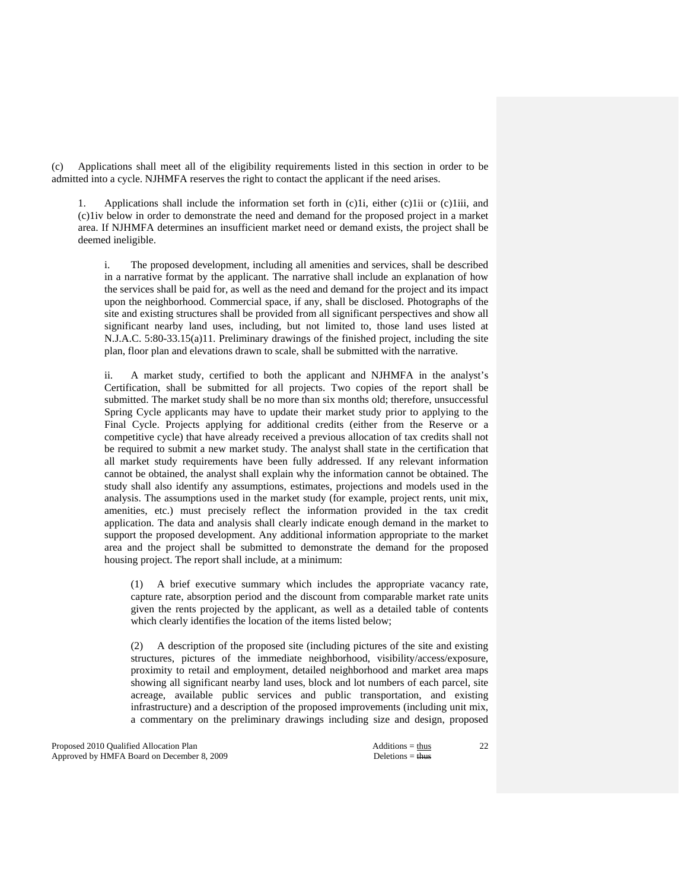(c) Applications shall meet all of the eligibility requirements listed in this section in order to be admitted into a cycle. NJHMFA reserves the right to contact the applicant if the need arises.

 1. Applications shall include the information set forth in (c)1i, either (c)1ii or (c)1iii, and (c)1iv below in order to demonstrate the need and demand for the proposed project in a market area. If NJHMFA determines an insufficient market need or demand exists, the project shall be deemed ineligible.

 i. The proposed development, including all amenities and services, shall be described in a narrative format by the applicant. The narrative shall include an explanation of how the services shall be paid for, as well as the need and demand for the project and its impact upon the neighborhood. Commercial space, if any, shall be disclosed. Photographs of the site and existing structures shall be provided from all significant perspectives and show all significant nearby land uses, including, but not limited to, those land uses listed at N.J.A.C. 5:80-33.15(a)11. Preliminary drawings of the finished project, including the site plan, floor plan and elevations drawn to scale, shall be submitted with the narrative.

 ii. A market study, certified to both the applicant and NJHMFA in the analyst's Certification, shall be submitted for all projects. Two copies of the report shall be submitted. The market study shall be no more than six months old; therefore, unsuccessful Spring Cycle applicants may have to update their market study prior to applying to the Final Cycle. Projects applying for additional credits (either from the Reserve or a competitive cycle) that have already received a previous allocation of tax credits shall not be required to submit a new market study. The analyst shall state in the certification that all market study requirements have been fully addressed. If any relevant information cannot be obtained, the analyst shall explain why the information cannot be obtained. The study shall also identify any assumptions, estimates, projections and models used in the analysis. The assumptions used in the market study (for example, project rents, unit mix, amenities, etc.) must precisely reflect the information provided in the tax credit application. The data and analysis shall clearly indicate enough demand in the market to support the proposed development. Any additional information appropriate to the market area and the project shall be submitted to demonstrate the demand for the proposed housing project. The report shall include, at a minimum:

 (1) A brief executive summary which includes the appropriate vacancy rate, capture rate, absorption period and the discount from comparable market rate units given the rents projected by the applicant, as well as a detailed table of contents which clearly identifies the location of the items listed below;

 (2) A description of the proposed site (including pictures of the site and existing structures, pictures of the immediate neighborhood, visibility/access/exposure, proximity to retail and employment, detailed neighborhood and market area maps showing all significant nearby land uses, block and lot numbers of each parcel, site acreage, available public services and public transportation, and existing infrastructure) and a description of the proposed improvements (including unit mix, a commentary on the preliminary drawings including size and design, proposed

Proposed 2010 Qualified Allocation Plan Additions = thus Additions = thus Additions = thus Additions = thus Additions = thus Additions = thus Additions = thus Additions = thus Additions = thus Additions = thus Additions = Approved by HMFA Board on December 8, 2009 Deletions = thus Deletions = thus Deletions = thus Deletions = thus Deletions = thus Deletions = thus Deletions = thus Deletions = thus Deletions = thus Deletions = thus Deletion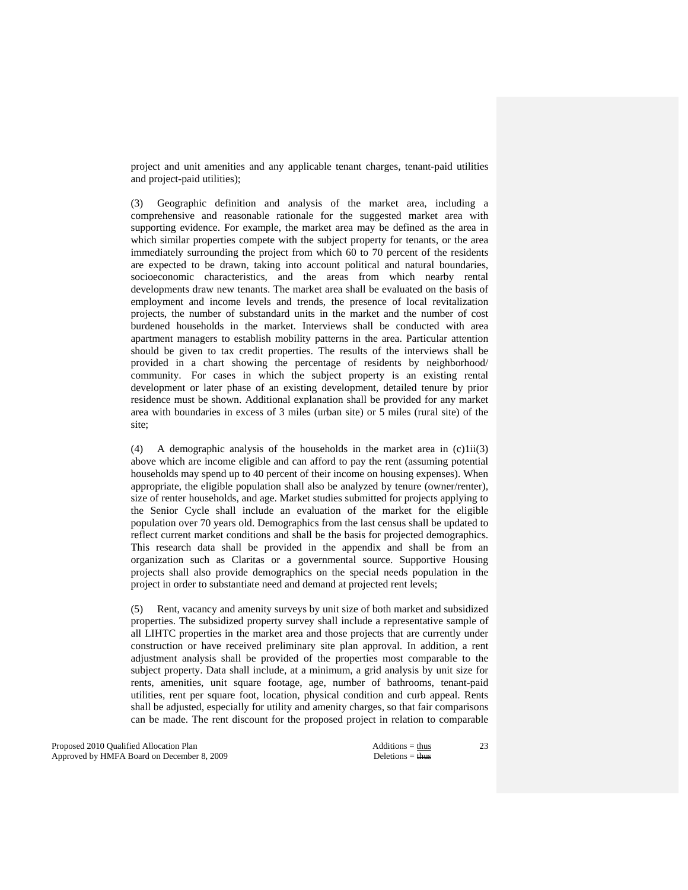project and unit amenities and any applicable tenant charges, tenant-paid utilities and project-paid utilities);

 (3) Geographic definition and analysis of the market area, including a comprehensive and reasonable rationale for the suggested market area with supporting evidence. For example, the market area may be defined as the area in which similar properties compete with the subject property for tenants, or the area immediately surrounding the project from which 60 to 70 percent of the residents are expected to be drawn, taking into account political and natural boundaries, socioeconomic characteristics, and the areas from which nearby rental developments draw new tenants. The market area shall be evaluated on the basis of employment and income levels and trends, the presence of local revitalization projects, the number of substandard units in the market and the number of cost burdened households in the market. Interviews shall be conducted with area apartment managers to establish mobility patterns in the area. Particular attention should be given to tax credit properties. The results of the interviews shall be provided in a chart showing the percentage of residents by neighborhood/ community. For cases in which the subject property is an existing rental development or later phase of an existing development, detailed tenure by prior residence must be shown. Additional explanation shall be provided for any market area with boundaries in excess of 3 miles (urban site) or 5 miles (rural site) of the site;

 (4) A demographic analysis of the households in the market area in (c)1ii(3) above which are income eligible and can afford to pay the rent (assuming potential households may spend up to 40 percent of their income on housing expenses). When appropriate, the eligible population shall also be analyzed by tenure (owner/renter), size of renter households, and age. Market studies submitted for projects applying to the Senior Cycle shall include an evaluation of the market for the eligible population over 70 years old. Demographics from the last census shall be updated to reflect current market conditions and shall be the basis for projected demographics. This research data shall be provided in the appendix and shall be from an organization such as Claritas or a governmental source. Supportive Housing projects shall also provide demographics on the special needs population in the project in order to substantiate need and demand at projected rent levels;

 (5) Rent, vacancy and amenity surveys by unit size of both market and subsidized properties. The subsidized property survey shall include a representative sample of all LIHTC properties in the market area and those projects that are currently under construction or have received preliminary site plan approval. In addition, a rent adjustment analysis shall be provided of the properties most comparable to the subject property. Data shall include, at a minimum, a grid analysis by unit size for rents, amenities, unit square footage, age, number of bathrooms, tenant-paid utilities, rent per square foot, location, physical condition and curb appeal. Rents shall be adjusted, especially for utility and amenity charges, so that fair comparisons can be made. The rent discount for the proposed project in relation to comparable

Proposed 2010 Qualified Allocation Plan Additions = thus Additions = thus Approved by HMFA Board on December 8, 2009 Deletions = thus Deletions = thus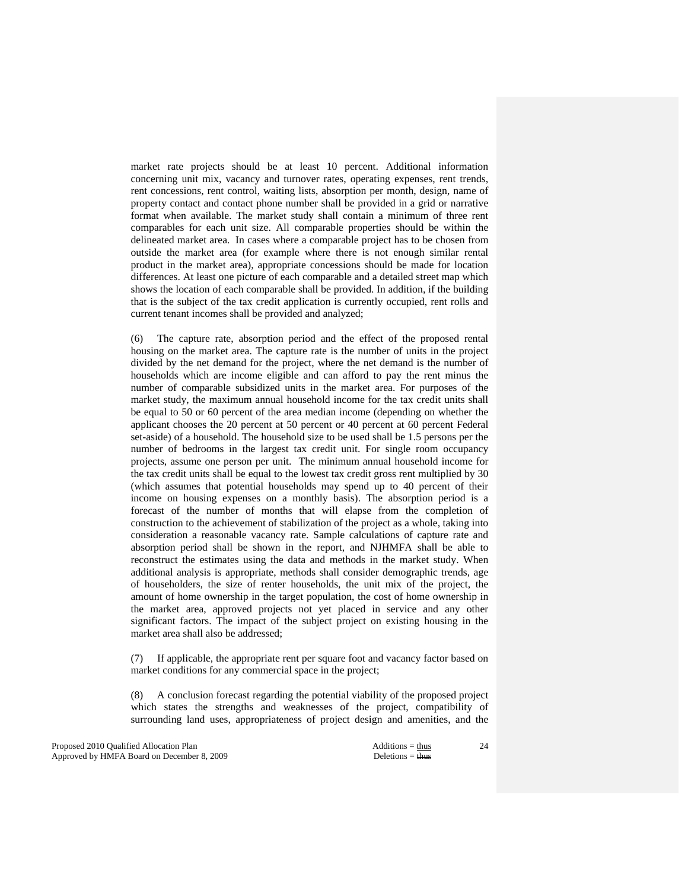market rate projects should be at least 10 percent. Additional information concerning unit mix, vacancy and turnover rates, operating expenses, rent trends, rent concessions, rent control, waiting lists, absorption per month, design, name of property contact and contact phone number shall be provided in a grid or narrative format when available. The market study shall contain a minimum of three rent comparables for each unit size. All comparable properties should be within the delineated market area. In cases where a comparable project has to be chosen from outside the market area (for example where there is not enough similar rental product in the market area), appropriate concessions should be made for location differences. At least one picture of each comparable and a detailed street map which shows the location of each comparable shall be provided. In addition, if the building that is the subject of the tax credit application is currently occupied, rent rolls and current tenant incomes shall be provided and analyzed;

 (6) The capture rate, absorption period and the effect of the proposed rental housing on the market area. The capture rate is the number of units in the project divided by the net demand for the project, where the net demand is the number of households which are income eligible and can afford to pay the rent minus the number of comparable subsidized units in the market area. For purposes of the market study, the maximum annual household income for the tax credit units shall be equal to 50 or 60 percent of the area median income (depending on whether the applicant chooses the 20 percent at 50 percent or 40 percent at 60 percent Federal set-aside) of a household. The household size to be used shall be 1.5 persons per the number of bedrooms in the largest tax credit unit. For single room occupancy projects, assume one person per unit. The minimum annual household income for the tax credit units shall be equal to the lowest tax credit gross rent multiplied by 30 (which assumes that potential households may spend up to 40 percent of their income on housing expenses on a monthly basis). The absorption period is a forecast of the number of months that will elapse from the completion of construction to the achievement of stabilization of the project as a whole, taking into consideration a reasonable vacancy rate. Sample calculations of capture rate and absorption period shall be shown in the report, and NJHMFA shall be able to reconstruct the estimates using the data and methods in the market study. When additional analysis is appropriate, methods shall consider demographic trends, age of householders, the size of renter households, the unit mix of the project, the amount of home ownership in the target population, the cost of home ownership in the market area, approved projects not yet placed in service and any other significant factors. The impact of the subject project on existing housing in the market area shall also be addressed;

 (7) If applicable, the appropriate rent per square foot and vacancy factor based on market conditions for any commercial space in the project;

 (8) A conclusion forecast regarding the potential viability of the proposed project which states the strengths and weaknesses of the project, compatibility of surrounding land uses, appropriateness of project design and amenities, and the

Proposed 2010 Qualified Allocation Plan Additions = thus Additions = thus Additions = thus Additions = thus Additions = thus Additions = thus Additions = thus Additions = thus Additions = thus Additions = thus Additions = Approved by HMFA Board on December 8, 2009 Deletions = thus Deletions = thus Deletions = thus Deletions = thus Deletions = thus Deletions = thus Deletions = thus Deletions = thus Deletions = thus Deletions = thus Deletion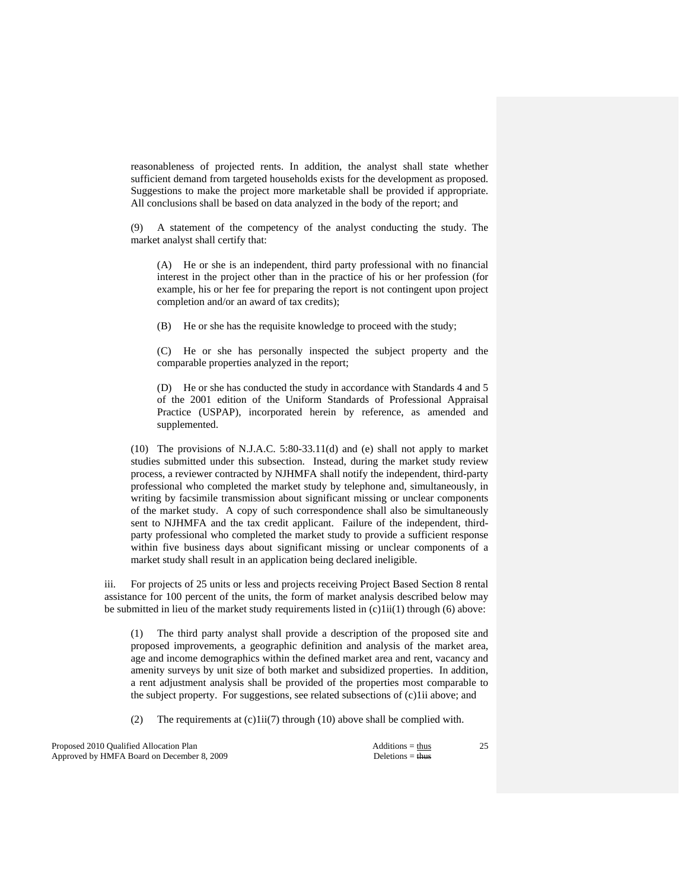reasonableness of projected rents. In addition, the analyst shall state whether sufficient demand from targeted households exists for the development as proposed. Suggestions to make the project more marketable shall be provided if appropriate. All conclusions shall be based on data analyzed in the body of the report; and

 (9) A statement of the competency of the analyst conducting the study. The market analyst shall certify that:

 (A) He or she is an independent, third party professional with no financial interest in the project other than in the practice of his or her profession (for example, his or her fee for preparing the report is not contingent upon project completion and/or an award of tax credits);

(B) He or she has the requisite knowledge to proceed with the study;

 (C) He or she has personally inspected the subject property and the comparable properties analyzed in the report;

 (D) He or she has conducted the study in accordance with Standards 4 and 5 of the 2001 edition of the Uniform Standards of Professional Appraisal Practice (USPAP), incorporated herein by reference, as amended and supplemented.

 (10) The provisions of N.J.A.C. 5:80-33.11(d) and (e) shall not apply to market studies submitted under this subsection. Instead, during the market study review process, a reviewer contracted by NJHMFA shall notify the independent, third-party professional who completed the market study by telephone and, simultaneously, in writing by facsimile transmission about significant missing or unclear components of the market study. A copy of such correspondence shall also be simultaneously sent to NJHMFA and the tax credit applicant. Failure of the independent, thirdparty professional who completed the market study to provide a sufficient response within five business days about significant missing or unclear components of a market study shall result in an application being declared ineligible.

 iii. For projects of 25 units or less and projects receiving Project Based Section 8 rental assistance for 100 percent of the units, the form of market analysis described below may be submitted in lieu of the market study requirements listed in  $(c)1ii(1)$  through (6) above:

 (1) The third party analyst shall provide a description of the proposed site and proposed improvements, a geographic definition and analysis of the market area, age and income demographics within the defined market area and rent, vacancy and amenity surveys by unit size of both market and subsidized properties. In addition, a rent adjustment analysis shall be provided of the properties most comparable to the subject property. For suggestions, see related subsections of (c)1ii above; and

(2) The requirements at  $(c)1ii(7)$  through (10) above shall be complied with.

Proposed 2010 Qualified Allocation Plan Additions = thus Additions = thus Approved by HMFA Board on December 8, 2009 Deletions = thus Deletions = thus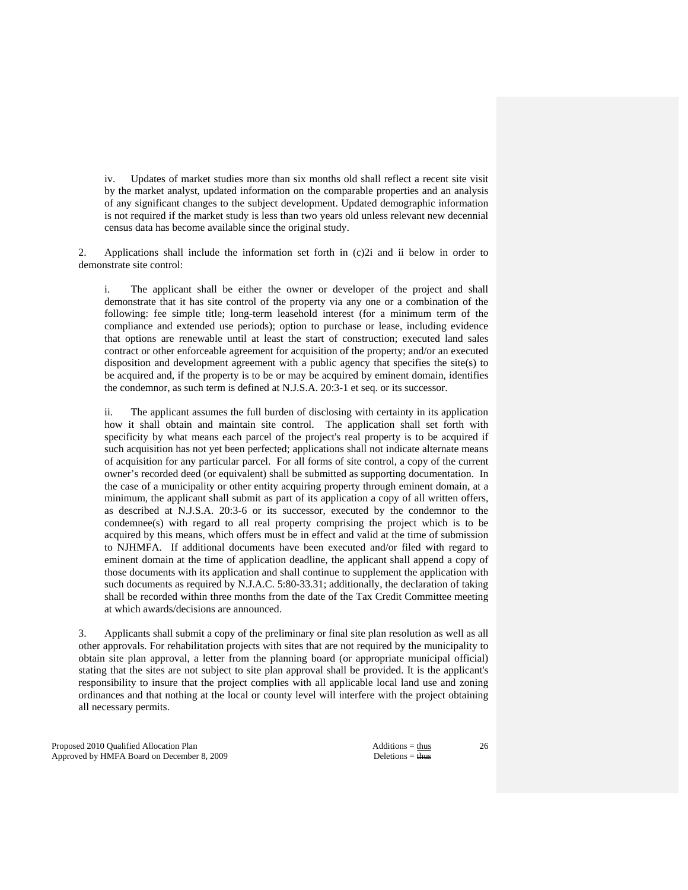iv. Updates of market studies more than six months old shall reflect a recent site visit by the market analyst, updated information on the comparable properties and an analysis of any significant changes to the subject development. Updated demographic information is not required if the market study is less than two years old unless relevant new decennial census data has become available since the original study.

 2. Applications shall include the information set forth in (c)2i and ii below in order to demonstrate site control:

 i. The applicant shall be either the owner or developer of the project and shall demonstrate that it has site control of the property via any one or a combination of the following: fee simple title; long-term leasehold interest (for a minimum term of the compliance and extended use periods); option to purchase or lease, including evidence that options are renewable until at least the start of construction; executed land sales contract or other enforceable agreement for acquisition of the property; and/or an executed disposition and development agreement with a public agency that specifies the site(s) to be acquired and, if the property is to be or may be acquired by eminent domain, identifies the condemnor, as such term is defined at N.J.S.A. 20:3-1 et seq. or its successor.

 ii. The applicant assumes the full burden of disclosing with certainty in its application how it shall obtain and maintain site control. The application shall set forth with specificity by what means each parcel of the project's real property is to be acquired if such acquisition has not yet been perfected; applications shall not indicate alternate means of acquisition for any particular parcel. For all forms of site control, a copy of the current owner's recorded deed (or equivalent) shall be submitted as supporting documentation. In the case of a municipality or other entity acquiring property through eminent domain, at a minimum, the applicant shall submit as part of its application a copy of all written offers, as described at N.J.S.A. 20:3-6 or its successor, executed by the condemnor to the condemnee(s) with regard to all real property comprising the project which is to be acquired by this means, which offers must be in effect and valid at the time of submission to NJHMFA. If additional documents have been executed and/or filed with regard to eminent domain at the time of application deadline, the applicant shall append a copy of those documents with its application and shall continue to supplement the application with such documents as required by N.J.A.C. 5:80-33.31; additionally, the declaration of taking shall be recorded within three months from the date of the Tax Credit Committee meeting at which awards/decisions are announced.

 3. Applicants shall submit a copy of the preliminary or final site plan resolution as well as all other approvals. For rehabilitation projects with sites that are not required by the municipality to obtain site plan approval, a letter from the planning board (or appropriate municipal official) stating that the sites are not subject to site plan approval shall be provided. It is the applicant's responsibility to insure that the project complies with all applicable local land use and zoning ordinances and that nothing at the local or county level will interfere with the project obtaining all necessary permits.

Proposed 2010 Qualified Allocation Plan Additions = thus Additions = thus Additions = thus Additions = thus Additions = thus Additions = thus Additions = thus Additions = thus Additions = thus Additions = thus Additions = Approved by HMFA Board on December 8, 2009 Deletions = thus Deletions = thus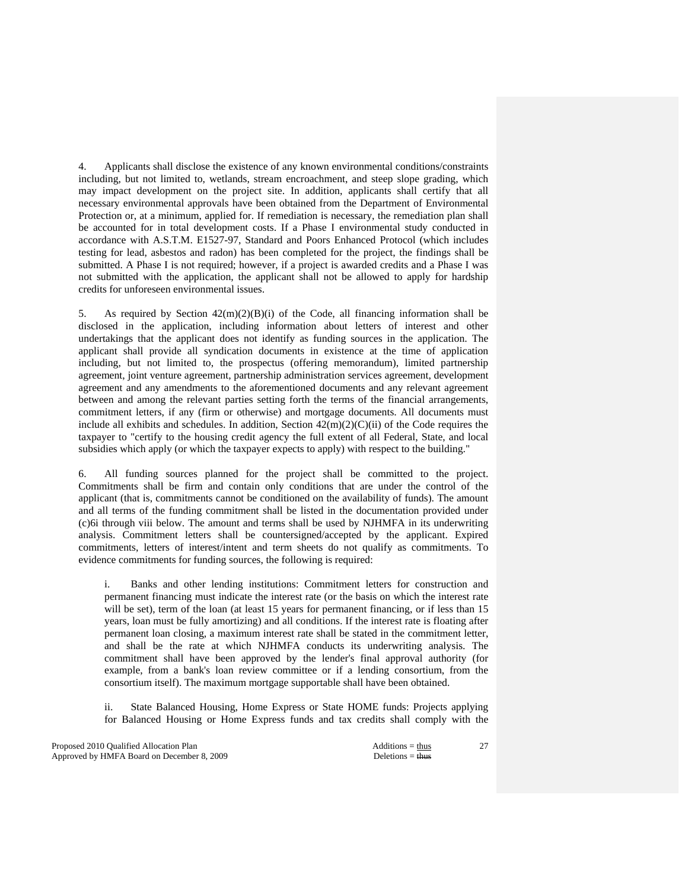4. Applicants shall disclose the existence of any known environmental conditions/constraints including, but not limited to, wetlands, stream encroachment, and steep slope grading, which may impact development on the project site. In addition, applicants shall certify that all necessary environmental approvals have been obtained from the Department of Environmental Protection or, at a minimum, applied for. If remediation is necessary, the remediation plan shall be accounted for in total development costs. If a Phase I environmental study conducted in accordance with A.S.T.M. E1527-97, Standard and Poors Enhanced Protocol (which includes testing for lead, asbestos and radon) has been completed for the project, the findings shall be submitted. A Phase I is not required; however, if a project is awarded credits and a Phase I was not submitted with the application, the applicant shall not be allowed to apply for hardship credits for unforeseen environmental issues.

5. As required by Section  $42(m)(2)(B)(i)$  of the Code, all financing information shall be disclosed in the application, including information about letters of interest and other undertakings that the applicant does not identify as funding sources in the application. The applicant shall provide all syndication documents in existence at the time of application including, but not limited to, the prospectus (offering memorandum), limited partnership agreement, joint venture agreement, partnership administration services agreement, development agreement and any amendments to the aforementioned documents and any relevant agreement between and among the relevant parties setting forth the terms of the financial arrangements, commitment letters, if any (firm or otherwise) and mortgage documents. All documents must include all exhibits and schedules. In addition, Section  $42(m)(2)(C)(ii)$  of the Code requires the taxpayer to "certify to the housing credit agency the full extent of all Federal, State, and local subsidies which apply (or which the taxpayer expects to apply) with respect to the building."

 6. All funding sources planned for the project shall be committed to the project. Commitments shall be firm and contain only conditions that are under the control of the applicant (that is, commitments cannot be conditioned on the availability of funds). The amount and all terms of the funding commitment shall be listed in the documentation provided under (c)6i through viii below. The amount and terms shall be used by NJHMFA in its underwriting analysis. Commitment letters shall be countersigned/accepted by the applicant. Expired commitments, letters of interest/intent and term sheets do not qualify as commitments. To evidence commitments for funding sources, the following is required:

 i. Banks and other lending institutions: Commitment letters for construction and permanent financing must indicate the interest rate (or the basis on which the interest rate will be set), term of the loan (at least 15 years for permanent financing, or if less than 15 years, loan must be fully amortizing) and all conditions. If the interest rate is floating after permanent loan closing, a maximum interest rate shall be stated in the commitment letter, and shall be the rate at which NJHMFA conducts its underwriting analysis. The commitment shall have been approved by the lender's final approval authority (for example, from a bank's loan review committee or if a lending consortium, from the consortium itself). The maximum mortgage supportable shall have been obtained.

 ii. State Balanced Housing, Home Express or State HOME funds: Projects applying for Balanced Housing or Home Express funds and tax credits shall comply with the

Proposed 2010 Qualified Allocation Plan Additions = thus Approved by HMFA Board on December 8, 2009 Deletions = thus Deletions = thus Deletions = thus Deletions = thus Deletions = thus Deletions = thus Deletions = thus Deletions = thus Deletions = thus Deletions = thus Deletion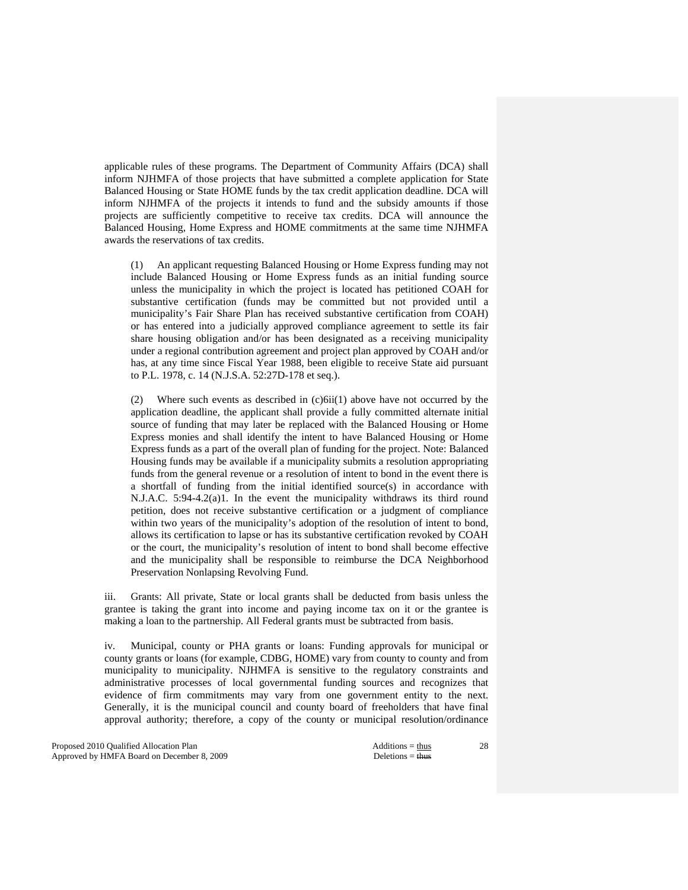applicable rules of these programs. The Department of Community Affairs (DCA) shall inform NJHMFA of those projects that have submitted a complete application for State Balanced Housing or State HOME funds by the tax credit application deadline. DCA will inform NJHMFA of the projects it intends to fund and the subsidy amounts if those projects are sufficiently competitive to receive tax credits. DCA will announce the Balanced Housing, Home Express and HOME commitments at the same time NJHMFA awards the reservations of tax credits.

 (1) An applicant requesting Balanced Housing or Home Express funding may not include Balanced Housing or Home Express funds as an initial funding source unless the municipality in which the project is located has petitioned COAH for substantive certification (funds may be committed but not provided until a municipality's Fair Share Plan has received substantive certification from COAH) or has entered into a judicially approved compliance agreement to settle its fair share housing obligation and/or has been designated as a receiving municipality under a regional contribution agreement and project plan approved by COAH and/or has, at any time since Fiscal Year 1988, been eligible to receive State aid pursuant to P.L. 1978, c. 14 (N.J.S.A. 52:27D-178 et seq.).

 (2) Where such events as described in (c)6ii(1) above have not occurred by the application deadline, the applicant shall provide a fully committed alternate initial source of funding that may later be replaced with the Balanced Housing or Home Express monies and shall identify the intent to have Balanced Housing or Home Express funds as a part of the overall plan of funding for the project. Note: Balanced Housing funds may be available if a municipality submits a resolution appropriating funds from the general revenue or a resolution of intent to bond in the event there is a shortfall of funding from the initial identified source(s) in accordance with N.J.A.C. 5:94-4.2(a)1. In the event the municipality withdraws its third round petition, does not receive substantive certification or a judgment of compliance within two years of the municipality's adoption of the resolution of intent to bond, allows its certification to lapse or has its substantive certification revoked by COAH or the court, the municipality's resolution of intent to bond shall become effective and the municipality shall be responsible to reimburse the DCA Neighborhood Preservation Nonlapsing Revolving Fund.

 iii. Grants: All private, State or local grants shall be deducted from basis unless the grantee is taking the grant into income and paying income tax on it or the grantee is making a loan to the partnership. All Federal grants must be subtracted from basis.

 iv. Municipal, county or PHA grants or loans: Funding approvals for municipal or county grants or loans (for example, CDBG, HOME) vary from county to county and from municipality to municipality. NJHMFA is sensitive to the regulatory constraints and administrative processes of local governmental funding sources and recognizes that evidence of firm commitments may vary from one government entity to the next. Generally, it is the municipal council and county board of freeholders that have final approval authority; therefore, a copy of the county or municipal resolution/ordinance

Proposed 2010 Qualified Allocation Plan Additions = thus Approved by HMFA Board on December 8, 2009 Deletions = thus Deletions = thus Deletions = thus Deletions = thus Deletions = thus Deletions = thus Deletions = thus Deletions = thus Deletions = thus Deletions = thus Deletion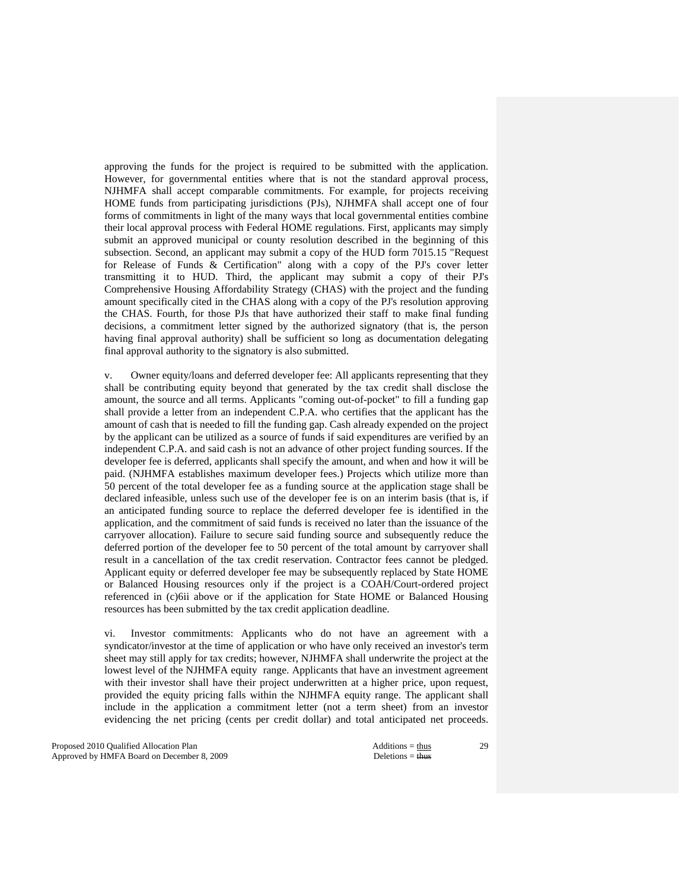approving the funds for the project is required to be submitted with the application. However, for governmental entities where that is not the standard approval process, NJHMFA shall accept comparable commitments. For example, for projects receiving HOME funds from participating jurisdictions (PJs), NJHMFA shall accept one of four forms of commitments in light of the many ways that local governmental entities combine their local approval process with Federal HOME regulations. First, applicants may simply submit an approved municipal or county resolution described in the beginning of this subsection. Second, an applicant may submit a copy of the HUD form 7015.15 "Request for Release of Funds & Certification" along with a copy of the PJ's cover letter transmitting it to HUD. Third, the applicant may submit a copy of their PJ's Comprehensive Housing Affordability Strategy (CHAS) with the project and the funding amount specifically cited in the CHAS along with a copy of the PJ's resolution approving the CHAS. Fourth, for those PJs that have authorized their staff to make final funding decisions, a commitment letter signed by the authorized signatory (that is, the person having final approval authority) shall be sufficient so long as documentation delegating final approval authority to the signatory is also submitted.

 v. Owner equity/loans and deferred developer fee: All applicants representing that they shall be contributing equity beyond that generated by the tax credit shall disclose the amount, the source and all terms. Applicants "coming out-of-pocket" to fill a funding gap shall provide a letter from an independent C.P.A. who certifies that the applicant has the amount of cash that is needed to fill the funding gap. Cash already expended on the project by the applicant can be utilized as a source of funds if said expenditures are verified by an independent C.P.A. and said cash is not an advance of other project funding sources. If the developer fee is deferred, applicants shall specify the amount, and when and how it will be paid. (NJHMFA establishes maximum developer fees.) Projects which utilize more than 50 percent of the total developer fee as a funding source at the application stage shall be declared infeasible, unless such use of the developer fee is on an interim basis (that is, if an anticipated funding source to replace the deferred developer fee is identified in the application, and the commitment of said funds is received no later than the issuance of the carryover allocation). Failure to secure said funding source and subsequently reduce the deferred portion of the developer fee to 50 percent of the total amount by carryover shall result in a cancellation of the tax credit reservation. Contractor fees cannot be pledged. Applicant equity or deferred developer fee may be subsequently replaced by State HOME or Balanced Housing resources only if the project is a COAH/Court-ordered project referenced in (c)6ii above or if the application for State HOME or Balanced Housing resources has been submitted by the tax credit application deadline.

 vi. Investor commitments: Applicants who do not have an agreement with a syndicator/investor at the time of application or who have only received an investor's term sheet may still apply for tax credits; however, NJHMFA shall underwrite the project at the lowest level of the NJHMFA equity range. Applicants that have an investment agreement with their investor shall have their project underwritten at a higher price, upon request, provided the equity pricing falls within the NJHMFA equity range. The applicant shall include in the application a commitment letter (not a term sheet) from an investor evidencing the net pricing (cents per credit dollar) and total anticipated net proceeds.

Proposed 2010 Qualified Allocation Plan Additions = thus Additions = thus Additions = thus Additions = thus Additions = thus Additions = thus Additions = thus Additions = thus Additions = thus Additions = thus Additions = Approved by HMFA Board on December 8, 2009 Deletions = thus Deletions = thus Deletions = thus Deletions = thus Deletions = thus Deletions = thus Deletions = thus Deletions = thus Deletions = thus Deletions = thus Deletion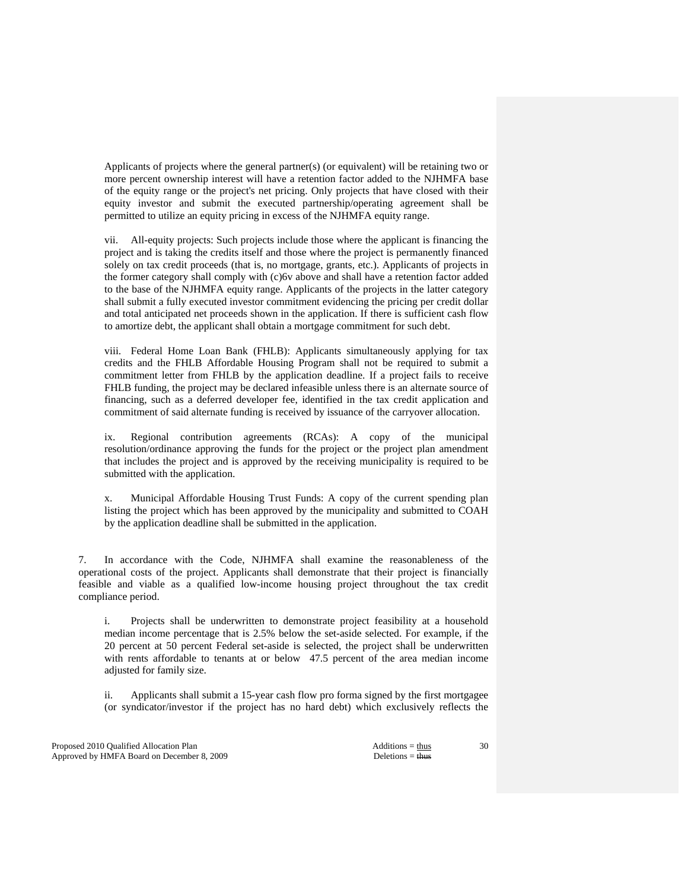Applicants of projects where the general partner(s) (or equivalent) will be retaining two or more percent ownership interest will have a retention factor added to the NJHMFA base of the equity range or the project's net pricing. Only projects that have closed with their equity investor and submit the executed partnership/operating agreement shall be permitted to utilize an equity pricing in excess of the NJHMFA equity range.

 vii. All-equity projects: Such projects include those where the applicant is financing the project and is taking the credits itself and those where the project is permanently financed solely on tax credit proceeds (that is, no mortgage, grants, etc.). Applicants of projects in the former category shall comply with (c)6v above and shall have a retention factor added to the base of the NJHMFA equity range. Applicants of the projects in the latter category shall submit a fully executed investor commitment evidencing the pricing per credit dollar and total anticipated net proceeds shown in the application. If there is sufficient cash flow to amortize debt, the applicant shall obtain a mortgage commitment for such debt.

 viii. Federal Home Loan Bank (FHLB): Applicants simultaneously applying for tax credits and the FHLB Affordable Housing Program shall not be required to submit a commitment letter from FHLB by the application deadline. If a project fails to receive FHLB funding, the project may be declared infeasible unless there is an alternate source of financing, such as a deferred developer fee, identified in the tax credit application and commitment of said alternate funding is received by issuance of the carryover allocation.

 ix. Regional contribution agreements (RCAs): A copy of the municipal resolution/ordinance approving the funds for the project or the project plan amendment that includes the project and is approved by the receiving municipality is required to be submitted with the application.

 x. Municipal Affordable Housing Trust Funds: A copy of the current spending plan listing the project which has been approved by the municipality and submitted to COAH by the application deadline shall be submitted in the application.

 7. In accordance with the Code, NJHMFA shall examine the reasonableness of the operational costs of the project. Applicants shall demonstrate that their project is financially feasible and viable as a qualified low-income housing project throughout the tax credit compliance period.

 i. Projects shall be underwritten to demonstrate project feasibility at a household median income percentage that is 2.5% below the set-aside selected. For example, if the 20 percent at 50 percent Federal set-aside is selected, the project shall be underwritten with rents affordable to tenants at or below 47.5 percent of the area median income adjusted for family size.

 ii. Applicants shall submit a 15-year cash flow pro forma signed by the first mortgagee (or syndicator/investor if the project has no hard debt) which exclusively reflects the

Proposed 2010 Qualified Allocation Plan Additions = thus Additions = thus Additions = thus Additions = thus Additions = thus Additions = thus Additions = thus Additions = thus Additions = thus Additions = thus Additions = Approved by HMFA Board on December 8, 2009 Deletions = thus Deletions = thus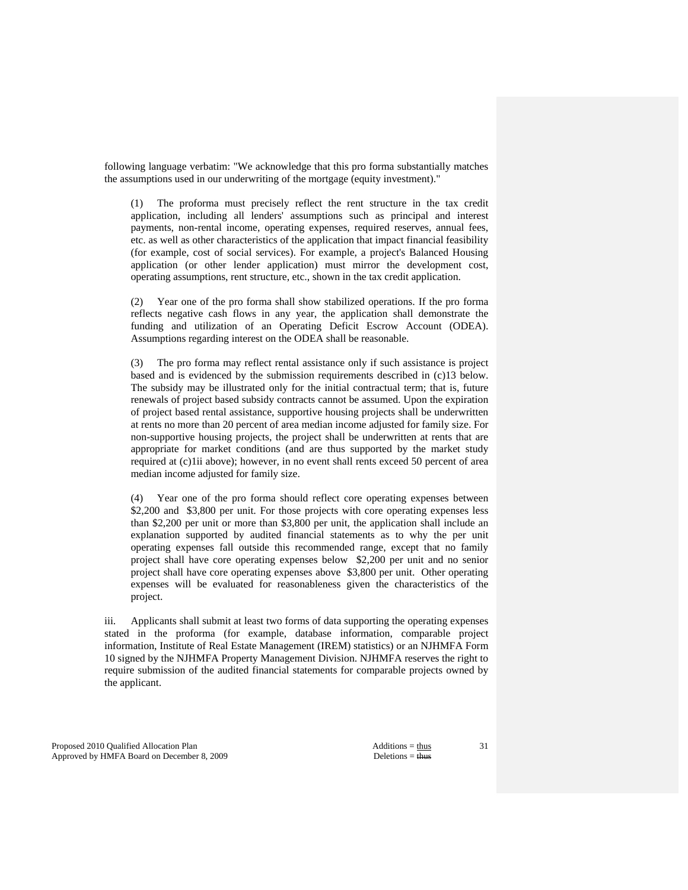following language verbatim: "We acknowledge that this pro forma substantially matches the assumptions used in our underwriting of the mortgage (equity investment)."

 (1) The proforma must precisely reflect the rent structure in the tax credit application, including all lenders' assumptions such as principal and interest payments, non-rental income, operating expenses, required reserves, annual fees, etc. as well as other characteristics of the application that impact financial feasibility (for example, cost of social services). For example, a project's Balanced Housing application (or other lender application) must mirror the development cost, operating assumptions, rent structure, etc., shown in the tax credit application.

 (2) Year one of the pro forma shall show stabilized operations. If the pro forma reflects negative cash flows in any year, the application shall demonstrate the funding and utilization of an Operating Deficit Escrow Account (ODEA). Assumptions regarding interest on the ODEA shall be reasonable.

 (3) The pro forma may reflect rental assistance only if such assistance is project based and is evidenced by the submission requirements described in (c)13 below. The subsidy may be illustrated only for the initial contractual term; that is, future renewals of project based subsidy contracts cannot be assumed. Upon the expiration of project based rental assistance, supportive housing projects shall be underwritten at rents no more than 20 percent of area median income adjusted for family size. For non-supportive housing projects, the project shall be underwritten at rents that are appropriate for market conditions (and are thus supported by the market study required at (c)1ii above); however, in no event shall rents exceed 50 percent of area median income adjusted for family size.

 (4) Year one of the pro forma should reflect core operating expenses between \$2,200 and \$3,800 per unit. For those projects with core operating expenses less than \$2,200 per unit or more than \$3,800 per unit, the application shall include an explanation supported by audited financial statements as to why the per unit operating expenses fall outside this recommended range, except that no family project shall have core operating expenses below \$2,200 per unit and no senior project shall have core operating expenses above \$3,800 per unit. Other operating expenses will be evaluated for reasonableness given the characteristics of the project.

 iii. Applicants shall submit at least two forms of data supporting the operating expenses stated in the proforma (for example, database information, comparable project information, Institute of Real Estate Management (IREM) statistics) or an NJHMFA Form 10 signed by the NJHMFA Property Management Division. NJHMFA reserves the right to require submission of the audited financial statements for comparable projects owned by the applicant.

Proposed 2010 Qualified Allocation Plan Additions = thus Approved by HMFA Board on December 8, 2009 Deletions = thus Deletions = thus Deletions = thus Deletions = thus Deletions = thus Deletions = thus Deletions = thus Deletions = thus Deletions = thus Deletions = thus Deletion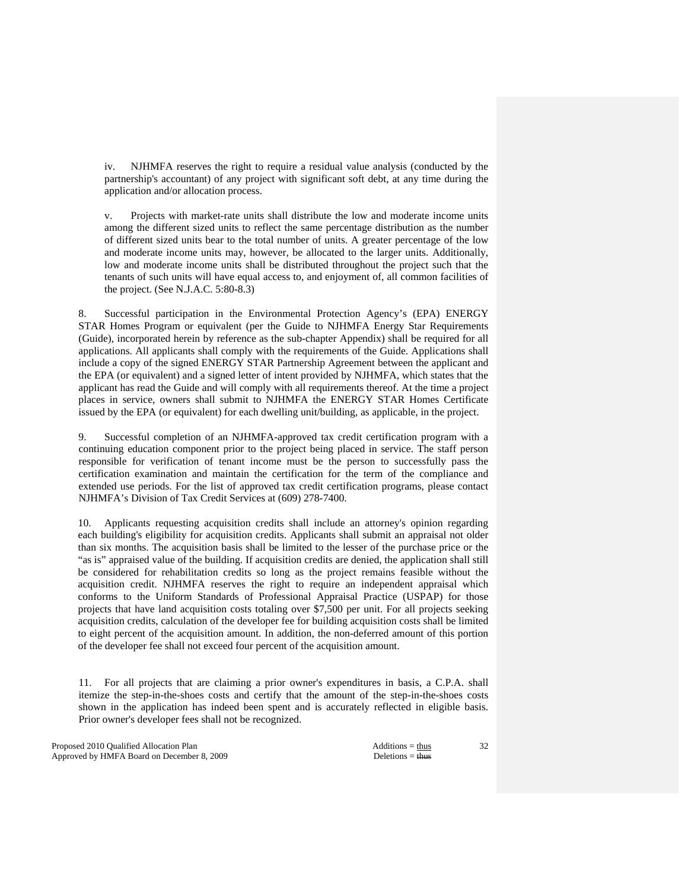iv. NJHMFA reserves the right to require a residual value analysis (conducted by the partnership's accountant) of any project with significant soft debt, at any time during the application and/or allocation process.

 v. Projects with market-rate units shall distribute the low and moderate income units among the different sized units to reflect the same percentage distribution as the number of different sized units bear to the total number of units. A greater percentage of the low and moderate income units may, however, be allocated to the larger units. Additionally, low and moderate income units shall be distributed throughout the project such that the tenants of such units will have equal access to, and enjoyment of, all common facilities of the project. (See N.J.A.C. 5:80-8.3)

Successful participation in the Environmental Protection Agency's (EPA) ENERGY STAR Homes Program or equivalent (per the Guide to NJHMFA Energy Star Requirements (Guide), incorporated herein by reference as the sub-chapter Appendix) shall be required for all applications. All applicants shall comply with the requirements of the Guide. Applications shall include a copy of the signed ENERGY STAR Partnership Agreement between the applicant and the EPA (or equivalent) and a signed letter of intent provided by NJHMFA, which states that the applicant has read the Guide and will comply with all requirements thereof. At the time a project places in service, owners shall submit to NJHMFA the ENERGY STAR Homes Certificate issued by the EPA (or equivalent) for each dwelling unit/building, as applicable, in the project.

 9. Successful completion of an NJHMFA-approved tax credit certification program with a continuing education component prior to the project being placed in service. The staff person responsible for verification of tenant income must be the person to successfully pass the certification examination and maintain the certification for the term of the compliance and extended use periods. For the list of approved tax credit certification programs, please contact NJHMFA's Division of Tax Credit Services at (609) 278-7400.

 10. Applicants requesting acquisition credits shall include an attorney's opinion regarding each building's eligibility for acquisition credits. Applicants shall submit an appraisal not older than six months. The acquisition basis shall be limited to the lesser of the purchase price or the "as is" appraised value of the building. If acquisition credits are denied, the application shall still be considered for rehabilitation credits so long as the project remains feasible without the acquisition credit. NJHMFA reserves the right to require an independent appraisal which conforms to the Uniform Standards of Professional Appraisal Practice (USPAP) for those projects that have land acquisition costs totaling over \$7,500 per unit. For all projects seeking acquisition credits, calculation of the developer fee for building acquisition costs shall be limited to eight percent of the acquisition amount. In addition, the non-deferred amount of this portion of the developer fee shall not exceed four percent of the acquisition amount.

 11. For all projects that are claiming a prior owner's expenditures in basis, a C.P.A. shall itemize the step-in-the-shoes costs and certify that the amount of the step-in-the-shoes costs shown in the application has indeed been spent and is accurately reflected in eligible basis. Prior owner's developer fees shall not be recognized.

Proposed 2010 Qualified Allocation Plan Additions = thus Additions = thus Additions = thus Additions = thus Additions = thus Additions = thus Additions = thus Additions = thus Additions = thus Additions = thus Additions = Approved by HMFA Board on December 8, 2009 Deletions = thus Deletions = thus Deletions = thus Deletions = thus Deletions = thus Deletions = thus Deletions = thus Deletions = thus Deletions = thus Deletions = thus Deletion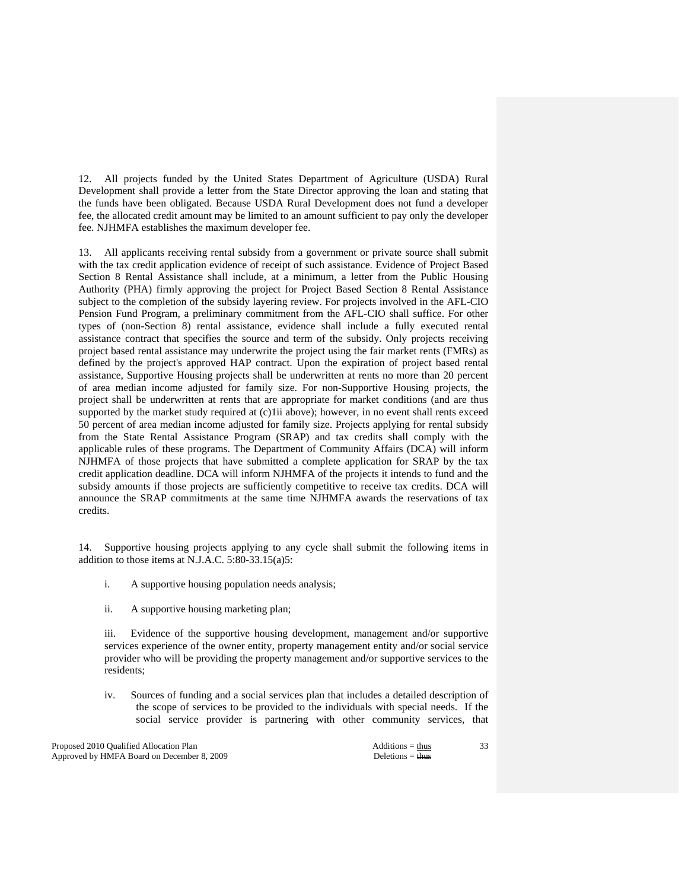12. All projects funded by the United States Department of Agriculture (USDA) Rural Development shall provide a letter from the State Director approving the loan and stating that the funds have been obligated. Because USDA Rural Development does not fund a developer fee, the allocated credit amount may be limited to an amount sufficient to pay only the developer fee. NJHMFA establishes the maximum developer fee.

 13. All applicants receiving rental subsidy from a government or private source shall submit with the tax credit application evidence of receipt of such assistance. Evidence of Project Based Section 8 Rental Assistance shall include, at a minimum, a letter from the Public Housing Authority (PHA) firmly approving the project for Project Based Section 8 Rental Assistance subject to the completion of the subsidy layering review. For projects involved in the AFL-CIO Pension Fund Program, a preliminary commitment from the AFL-CIO shall suffice. For other types of (non-Section 8) rental assistance, evidence shall include a fully executed rental assistance contract that specifies the source and term of the subsidy. Only projects receiving project based rental assistance may underwrite the project using the fair market rents (FMRs) as defined by the project's approved HAP contract. Upon the expiration of project based rental assistance, Supportive Housing projects shall be underwritten at rents no more than 20 percent of area median income adjusted for family size. For non-Supportive Housing projects, the project shall be underwritten at rents that are appropriate for market conditions (and are thus supported by the market study required at (c)1ii above); however, in no event shall rents exceed 50 percent of area median income adjusted for family size. Projects applying for rental subsidy from the State Rental Assistance Program (SRAP) and tax credits shall comply with the applicable rules of these programs. The Department of Community Affairs (DCA) will inform NJHMFA of those projects that have submitted a complete application for SRAP by the tax credit application deadline. DCA will inform NJHMFA of the projects it intends to fund and the subsidy amounts if those projects are sufficiently competitive to receive tax credits. DCA will announce the SRAP commitments at the same time NJHMFA awards the reservations of tax credits.

 14. Supportive housing projects applying to any cycle shall submit the following items in addition to those items at N.J.A.C. 5:80-33.15(a)5:

- i. A supportive housing population needs analysis;
- ii. A supportive housing marketing plan;

 iii. Evidence of the supportive housing development, management and/or supportive services experience of the owner entity, property management entity and/or social service provider who will be providing the property management and/or supportive services to the residents;

iv. Sources of funding and a social services plan that includes a detailed description of the scope of services to be provided to the individuals with special needs. If the social service provider is partnering with other community services, that

Proposed 2010 Qualified Allocation Plan Additions = thus Additions = thus Additions = thus Additions = thus Additions = thus Additions = thus Additions = thus Additions = thus Additions = thus Additions = thus Additions = Approved by HMFA Board on December 8, 2009 Deletions = thus Deletions = thus Deletions = thus Deletions = thus Deletions = thus Deletions = thus Deletions = thus Deletions = thus Deletions = thus Deletions = thus Deletion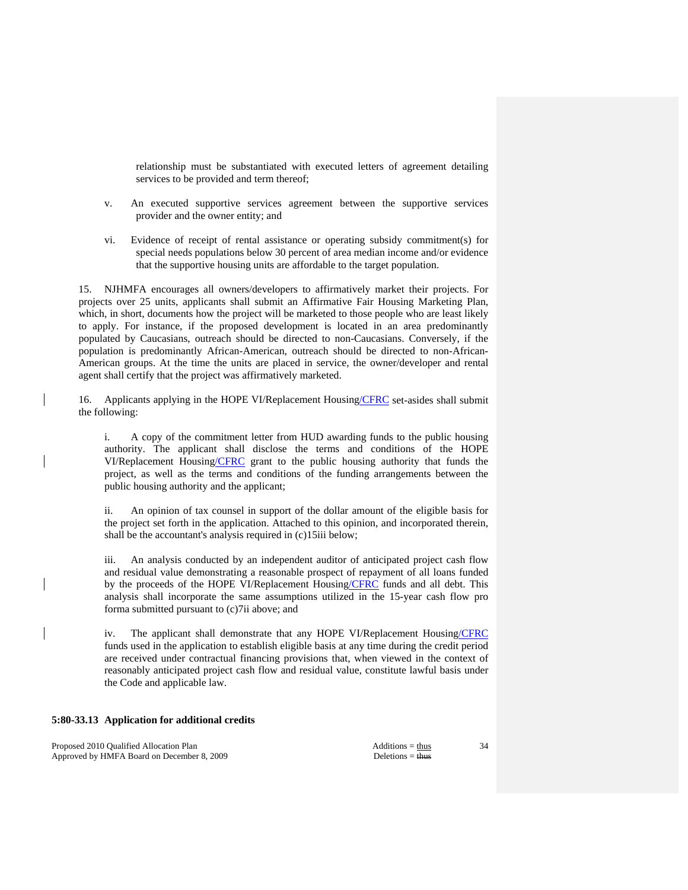relationship must be substantiated with executed letters of agreement detailing services to be provided and term thereof;

- v. An executed supportive services agreement between the supportive services provider and the owner entity; and
- vi. Evidence of receipt of rental assistance or operating subsidy commitment(s) for special needs populations below 30 percent of area median income and/or evidence that the supportive housing units are affordable to the target population.

 15. NJHMFA encourages all owners/developers to affirmatively market their projects. For projects over 25 units, applicants shall submit an Affirmative Fair Housing Marketing Plan, which, in short, documents how the project will be marketed to those people who are least likely to apply. For instance, if the proposed development is located in an area predominantly populated by Caucasians, outreach should be directed to non-Caucasians. Conversely, if the population is predominantly African-American, outreach should be directed to non-African-American groups. At the time the units are placed in service, the owner/developer and rental agent shall certify that the project was affirmatively marketed.

 16. Applicants applying in the HOPE VI/Replacement Housing/CFRC set-asides shall submit the following:

 i. A copy of the commitment letter from HUD awarding funds to the public housing authority. The applicant shall disclose the terms and conditions of the HOPE VI/Replacement Housing/CFRC grant to the public housing authority that funds the project, as well as the terms and conditions of the funding arrangements between the public housing authority and the applicant;

 ii. An opinion of tax counsel in support of the dollar amount of the eligible basis for the project set forth in the application. Attached to this opinion, and incorporated therein, shall be the accountant's analysis required in (c)15iii below;

 iii. An analysis conducted by an independent auditor of anticipated project cash flow and residual value demonstrating a reasonable prospect of repayment of all loans funded by the proceeds of the HOPE VI/Replacement Housing/CFRC funds and all debt. This analysis shall incorporate the same assumptions utilized in the 15-year cash flow pro forma submitted pursuant to (c)7ii above; and

 iv. The applicant shall demonstrate that any HOPE VI/Replacement Housing/CFRC funds used in the application to establish eligible basis at any time during the credit period are received under contractual financing provisions that, when viewed in the context of reasonably anticipated project cash flow and residual value, constitute lawful basis under the Code and applicable law.

## **5:80-33.13 Application for additional credits**

Proposed 2010 Qualified Allocation Plan Additions = thus Additions = thus Approved by HMFA Board on December 8, 2009 Deletions = thus Deletions = thus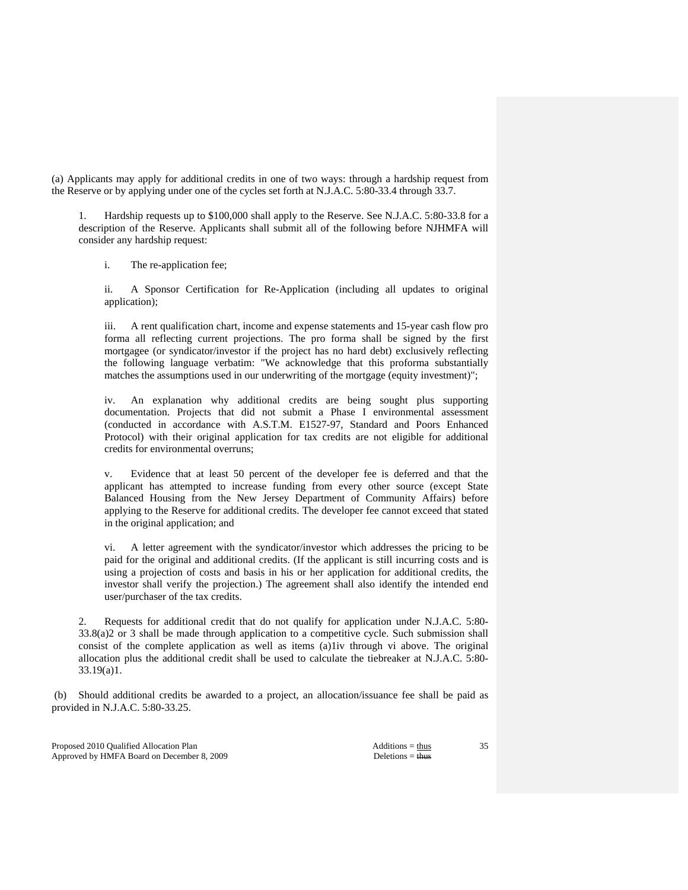(a) Applicants may apply for additional credits in one of two ways: through a hardship request from the Reserve or by applying under one of the cycles set forth at N.J.A.C. 5:80-33.4 through 33.7.

 1. Hardship requests up to \$100,000 shall apply to the Reserve. See N.J.A.C. 5:80-33.8 for a description of the Reserve. Applicants shall submit all of the following before NJHMFA will consider any hardship request:

i. The re-application fee;

 ii. A Sponsor Certification for Re-Application (including all updates to original application);

 iii. A rent qualification chart, income and expense statements and 15-year cash flow pro forma all reflecting current projections. The pro forma shall be signed by the first mortgagee (or syndicator/investor if the project has no hard debt) exclusively reflecting the following language verbatim: "We acknowledge that this proforma substantially matches the assumptions used in our underwriting of the mortgage (equity investment)";

An explanation why additional credits are being sought plus supporting documentation. Projects that did not submit a Phase I environmental assessment (conducted in accordance with A.S.T.M. E1527-97, Standard and Poors Enhanced Protocol) with their original application for tax credits are not eligible for additional credits for environmental overruns;

 v. Evidence that at least 50 percent of the developer fee is deferred and that the applicant has attempted to increase funding from every other source (except State Balanced Housing from the New Jersey Department of Community Affairs) before applying to the Reserve for additional credits. The developer fee cannot exceed that stated in the original application; and

 vi. A letter agreement with the syndicator/investor which addresses the pricing to be paid for the original and additional credits. (If the applicant is still incurring costs and is using a projection of costs and basis in his or her application for additional credits, the investor shall verify the projection.) The agreement shall also identify the intended end user/purchaser of the tax credits.

 2. Requests for additional credit that do not qualify for application under N.J.A.C. 5:80- 33.8(a)2 or 3 shall be made through application to a competitive cycle. Such submission shall consist of the complete application as well as items (a)1iv through vi above. The original allocation plus the additional credit shall be used to calculate the tiebreaker at N.J.A.C. 5:80- 33.19(a)1.

 (b) Should additional credits be awarded to a project, an allocation/issuance fee shall be paid as provided in N.J.A.C. 5:80-33.25.

Proposed 2010 Qualified Allocation Plan Additions = thus Additions = thus Approved by HMFA Board on December 8, 2009 Deletions = thus Deletions = thus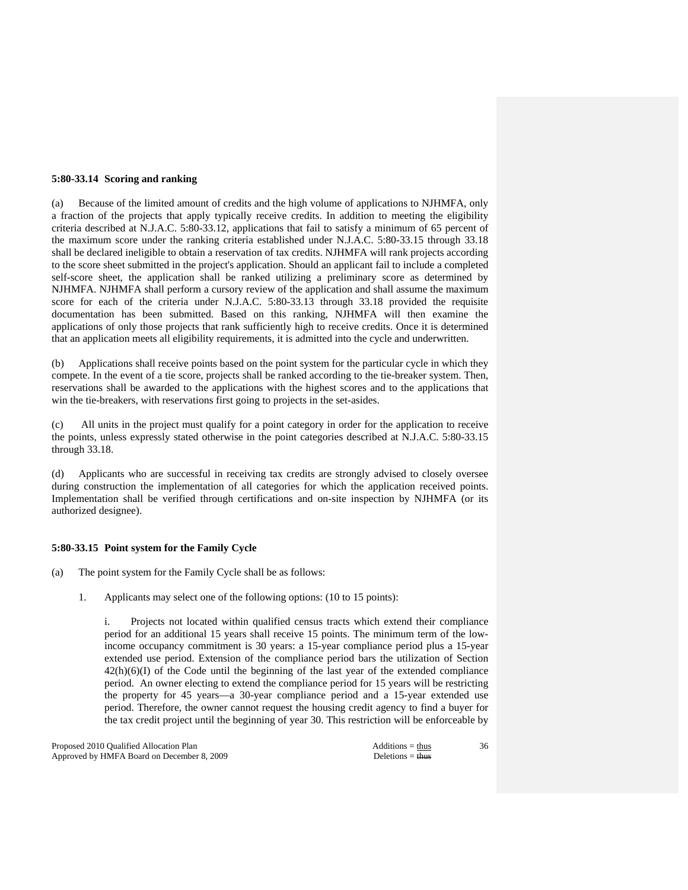# **5:80-33.14 Scoring and ranking**

(a) Because of the limited amount of credits and the high volume of applications to NJHMFA, only a fraction of the projects that apply typically receive credits. In addition to meeting the eligibility criteria described at N.J.A.C. 5:80-33.12, applications that fail to satisfy a minimum of 65 percent of the maximum score under the ranking criteria established under N.J.A.C. 5:80-33.15 through 33.18 shall be declared ineligible to obtain a reservation of tax credits. NJHMFA will rank projects according to the score sheet submitted in the project's application. Should an applicant fail to include a completed self-score sheet, the application shall be ranked utilizing a preliminary score as determined by NJHMFA. NJHMFA shall perform a cursory review of the application and shall assume the maximum score for each of the criteria under N.J.A.C. 5:80-33.13 through 33.18 provided the requisite documentation has been submitted. Based on this ranking, NJHMFA will then examine the applications of only those projects that rank sufficiently high to receive credits. Once it is determined that an application meets all eligibility requirements, it is admitted into the cycle and underwritten.

(b) Applications shall receive points based on the point system for the particular cycle in which they compete. In the event of a tie score, projects shall be ranked according to the tie-breaker system. Then, reservations shall be awarded to the applications with the highest scores and to the applications that win the tie-breakers, with reservations first going to projects in the set-asides.

(c) All units in the project must qualify for a point category in order for the application to receive the points, unless expressly stated otherwise in the point categories described at N.J.A.C. 5:80-33.15 through 33.18.

(d) Applicants who are successful in receiving tax credits are strongly advised to closely oversee during construction the implementation of all categories for which the application received points. Implementation shall be verified through certifications and on-site inspection by NJHMFA (or its authorized designee).

### **5:80-33.15 Point system for the Family Cycle**

- (a) The point system for the Family Cycle shall be as follows:
	- 1. Applicants may select one of the following options: (10 to 15 points):

 i. Projects not located within qualified census tracts which extend their compliance period for an additional 15 years shall receive 15 points. The minimum term of the lowincome occupancy commitment is 30 years: a 15-year compliance period plus a 15-year extended use period. Extension of the compliance period bars the utilization of Section  $42(h)(6)(I)$  of the Code until the beginning of the last year of the extended compliance period. An owner electing to extend the compliance period for 15 years will be restricting the property for 45 years—a 30-year compliance period and a 15-year extended use period. Therefore, the owner cannot request the housing credit agency to find a buyer for the tax credit project until the beginning of year 30. This restriction will be enforceable by

Proposed 2010 Qualified Allocation Plan Additions = thus Additions = thus Additions = thus Additions = thus Additions = thus Additions = thus Additions = thus Additions = thus Additions = thus Additions = thus Additions = Approved by HMFA Board on December 8, 2009 Deletions = thus Deletions = thus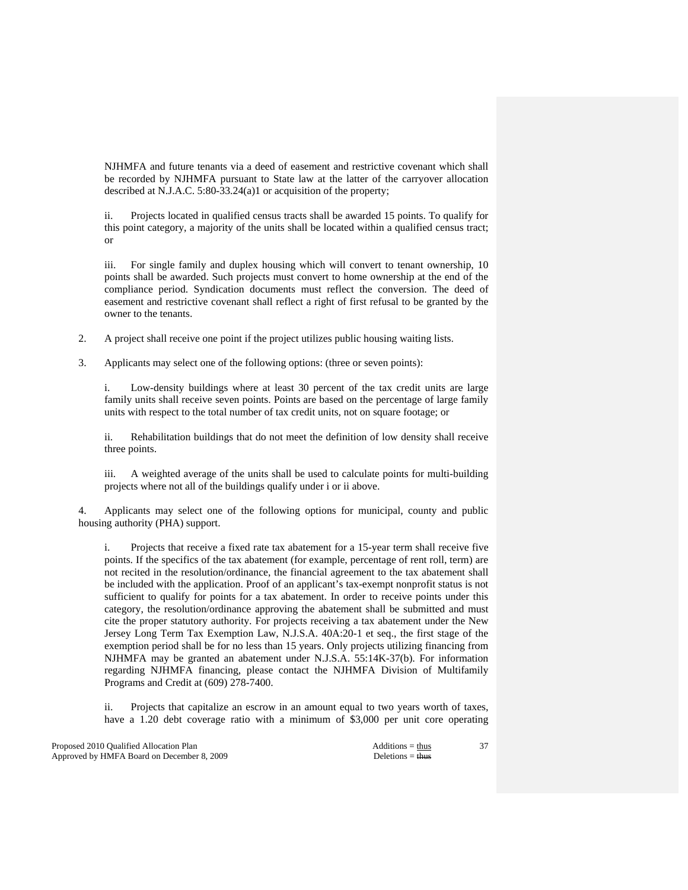NJHMFA and future tenants via a deed of easement and restrictive covenant which shall be recorded by NJHMFA pursuant to State law at the latter of the carryover allocation described at N.J.A.C. 5:80-33.24(a)1 or acquisition of the property;

 ii. Projects located in qualified census tracts shall be awarded 15 points. To qualify for this point category, a majority of the units shall be located within a qualified census tract; or

 iii. For single family and duplex housing which will convert to tenant ownership, 10 points shall be awarded. Such projects must convert to home ownership at the end of the compliance period. Syndication documents must reflect the conversion. The deed of easement and restrictive covenant shall reflect a right of first refusal to be granted by the owner to the tenants.

2. A project shall receive one point if the project utilizes public housing waiting lists.

3. Applicants may select one of the following options: (three or seven points):

 i. Low-density buildings where at least 30 percent of the tax credit units are large family units shall receive seven points. Points are based on the percentage of large family units with respect to the total number of tax credit units, not on square footage; or

 ii. Rehabilitation buildings that do not meet the definition of low density shall receive three points.

 iii. A weighted average of the units shall be used to calculate points for multi-building projects where not all of the buildings qualify under i or ii above.

 4. Applicants may select one of the following options for municipal, county and public housing authority (PHA) support.

 i. Projects that receive a fixed rate tax abatement for a 15-year term shall receive five points. If the specifics of the tax abatement (for example, percentage of rent roll, term) are not recited in the resolution/ordinance, the financial agreement to the tax abatement shall be included with the application. Proof of an applicant's tax-exempt nonprofit status is not sufficient to qualify for points for a tax abatement. In order to receive points under this category, the resolution/ordinance approving the abatement shall be submitted and must cite the proper statutory authority. For projects receiving a tax abatement under the New Jersey Long Term Tax Exemption Law, N.J.S.A. 40A:20-1 et seq., the first stage of the exemption period shall be for no less than 15 years. Only projects utilizing financing from NJHMFA may be granted an abatement under N.J.S.A. 55:14K-37(b). For information regarding NJHMFA financing, please contact the NJHMFA Division of Multifamily Programs and Credit at (609) 278-7400.

 ii. Projects that capitalize an escrow in an amount equal to two years worth of taxes, have a 1.20 debt coverage ratio with a minimum of \$3,000 per unit core operating

Proposed 2010 Qualified Allocation Plan Additions = thus Additions = thus Additions = thus Additions = thus Additions = thus Additions = thus Additions = thus Additions = thus Additions = thus Additions = thus Additions = Approved by HMFA Board on December 8, 2009 Deletions = thus Deletions = thus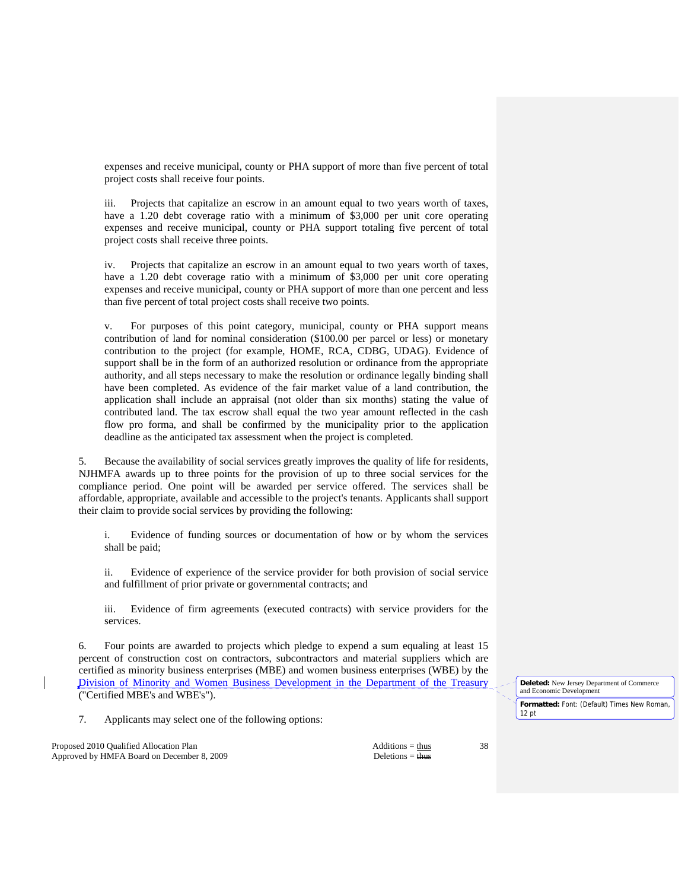expenses and receive municipal, county or PHA support of more than five percent of total project costs shall receive four points.

 iii. Projects that capitalize an escrow in an amount equal to two years worth of taxes, have a 1.20 debt coverage ratio with a minimum of \$3,000 per unit core operating expenses and receive municipal, county or PHA support totaling five percent of total project costs shall receive three points.

 iv. Projects that capitalize an escrow in an amount equal to two years worth of taxes, have a 1.20 debt coverage ratio with a minimum of \$3,000 per unit core operating expenses and receive municipal, county or PHA support of more than one percent and less than five percent of total project costs shall receive two points.

 v. For purposes of this point category, municipal, county or PHA support means contribution of land for nominal consideration (\$100.00 per parcel or less) or monetary contribution to the project (for example, HOME, RCA, CDBG, UDAG). Evidence of support shall be in the form of an authorized resolution or ordinance from the appropriate authority, and all steps necessary to make the resolution or ordinance legally binding shall have been completed. As evidence of the fair market value of a land contribution, the application shall include an appraisal (not older than six months) stating the value of contributed land. The tax escrow shall equal the two year amount reflected in the cash flow pro forma, and shall be confirmed by the municipality prior to the application deadline as the anticipated tax assessment when the project is completed.

 5. Because the availability of social services greatly improves the quality of life for residents, NJHMFA awards up to three points for the provision of up to three social services for the compliance period. One point will be awarded per service offered. The services shall be affordable, appropriate, available and accessible to the project's tenants. Applicants shall support their claim to provide social services by providing the following:

 i. Evidence of funding sources or documentation of how or by whom the services shall be paid;

 ii. Evidence of experience of the service provider for both provision of social service and fulfillment of prior private or governmental contracts; and

 iii. Evidence of firm agreements (executed contracts) with service providers for the services.

 6. Four points are awarded to projects which pledge to expend a sum equaling at least 15 percent of construction cost on contractors, subcontractors and material suppliers which are certified as minority business enterprises (MBE) and women business enterprises (WBE) by the Division of Minority and Women Business Development in the Department of the Treasury ("Certified MBE's and WBE's").

7. Applicants may select one of the following options:

Proposed 2010 Qualified Allocation Plan Additions = thus Additions = thus Approved by HMFA Board on December 8, 2009 Deletions = thus Deletions = thus

**Deleted:** New Jersey Department of Commerce and Economic Development **Formatted:** Font: (Default) Times New Roman, 12 pt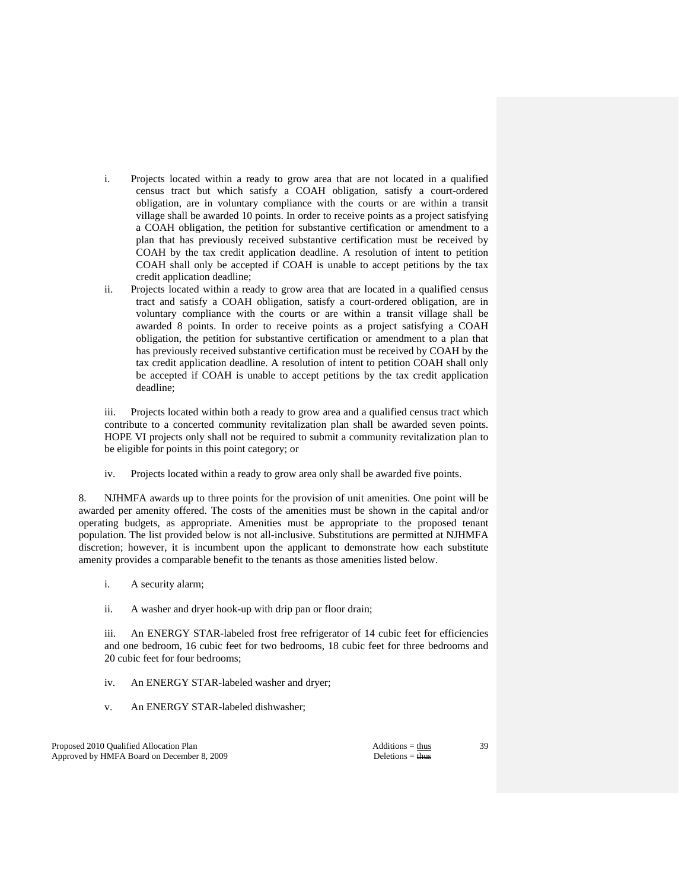- i. Projects located within a ready to grow area that are not located in a qualified census tract but which satisfy a COAH obligation, satisfy a court-ordered obligation, are in voluntary compliance with the courts or are within a transit village shall be awarded 10 points. In order to receive points as a project satisfying a COAH obligation, the petition for substantive certification or amendment to a plan that has previously received substantive certification must be received by COAH by the tax credit application deadline. A resolution of intent to petition COAH shall only be accepted if COAH is unable to accept petitions by the tax credit application deadline;
- ii. Projects located within a ready to grow area that are located in a qualified census tract and satisfy a COAH obligation, satisfy a court-ordered obligation, are in voluntary compliance with the courts or are within a transit village shall be awarded 8 points. In order to receive points as a project satisfying a COAH obligation, the petition for substantive certification or amendment to a plan that has previously received substantive certification must be received by COAH by the tax credit application deadline. A resolution of intent to petition COAH shall only be accepted if COAH is unable to accept petitions by the tax credit application deadline;

 iii. Projects located within both a ready to grow area and a qualified census tract which contribute to a concerted community revitalization plan shall be awarded seven points. HOPE VI projects only shall not be required to submit a community revitalization plan to be eligible for points in this point category; or

iv. Projects located within a ready to grow area only shall be awarded five points.

 8. NJHMFA awards up to three points for the provision of unit amenities. One point will be awarded per amenity offered. The costs of the amenities must be shown in the capital and/or operating budgets, as appropriate. Amenities must be appropriate to the proposed tenant population. The list provided below is not all-inclusive. Substitutions are permitted at NJHMFA discretion; however, it is incumbent upon the applicant to demonstrate how each substitute amenity provides a comparable benefit to the tenants as those amenities listed below.

- i. A security alarm;
- ii. A washer and dryer hook-up with drip pan or floor drain;

 iii. An ENERGY STAR-labeled frost free refrigerator of 14 cubic feet for efficiencies and one bedroom, 16 cubic feet for two bedrooms, 18 cubic feet for three bedrooms and 20 cubic feet for four bedrooms;

- iv. An ENERGY STAR-labeled washer and dryer;
- v. An ENERGY STAR-labeled dishwasher;

Proposed 2010 Qualified Allocation Plan Additions = thus Additions = thus Approved by HMFA Board on December 8, 2009 Deletions = thus Deletions = thus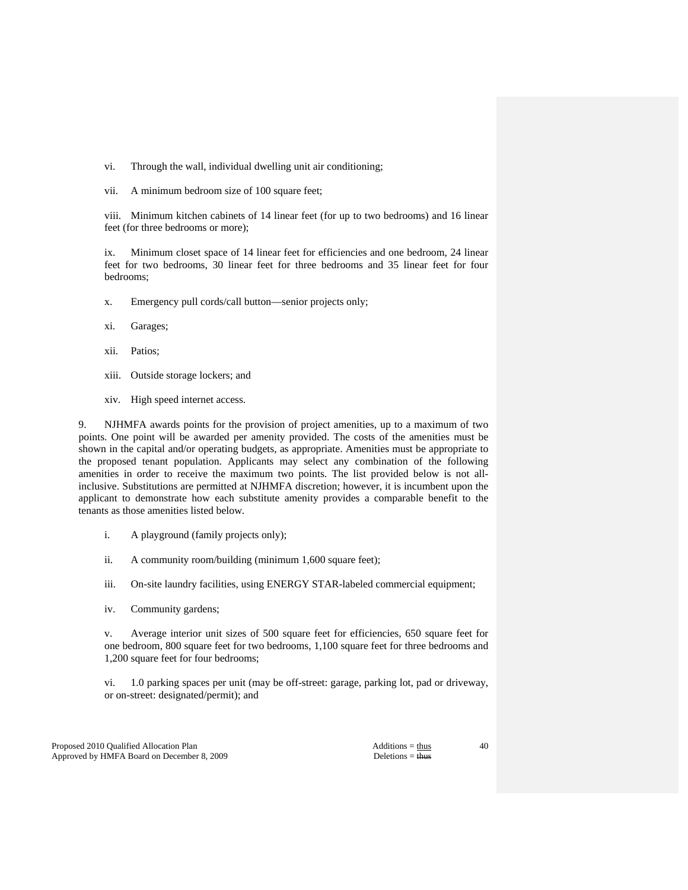vi. Through the wall, individual dwelling unit air conditioning;

vii. A minimum bedroom size of 100 square feet;

 viii. Minimum kitchen cabinets of 14 linear feet (for up to two bedrooms) and 16 linear feet (for three bedrooms or more);

 ix. Minimum closet space of 14 linear feet for efficiencies and one bedroom, 24 linear feet for two bedrooms, 30 linear feet for three bedrooms and 35 linear feet for four bedrooms;

x. Emergency pull cords/call button—senior projects only;

- xi. Garages;
- xii. Patios;
- xiii. Outside storage lockers; and
- xiv. High speed internet access.

 9. NJHMFA awards points for the provision of project amenities, up to a maximum of two points. One point will be awarded per amenity provided. The costs of the amenities must be shown in the capital and/or operating budgets, as appropriate. Amenities must be appropriate to the proposed tenant population. Applicants may select any combination of the following amenities in order to receive the maximum two points. The list provided below is not allinclusive. Substitutions are permitted at NJHMFA discretion; however, it is incumbent upon the applicant to demonstrate how each substitute amenity provides a comparable benefit to the tenants as those amenities listed below.

- i. A playground (family projects only);
- ii. A community room/building (minimum 1,600 square feet);
- iii. On-site laundry facilities, using ENERGY STAR-labeled commercial equipment;
- iv. Community gardens;

 v. Average interior unit sizes of 500 square feet for efficiencies, 650 square feet for one bedroom, 800 square feet for two bedrooms, 1,100 square feet for three bedrooms and 1,200 square feet for four bedrooms;

 vi. 1.0 parking spaces per unit (may be off-street: garage, parking lot, pad or driveway, or on-street: designated/permit); and

Proposed 2010 Qualified Allocation Plan Additions = thus Additions = thus Approved by HMFA Board on December 8, 2009 Deletions = thus Deletions = thus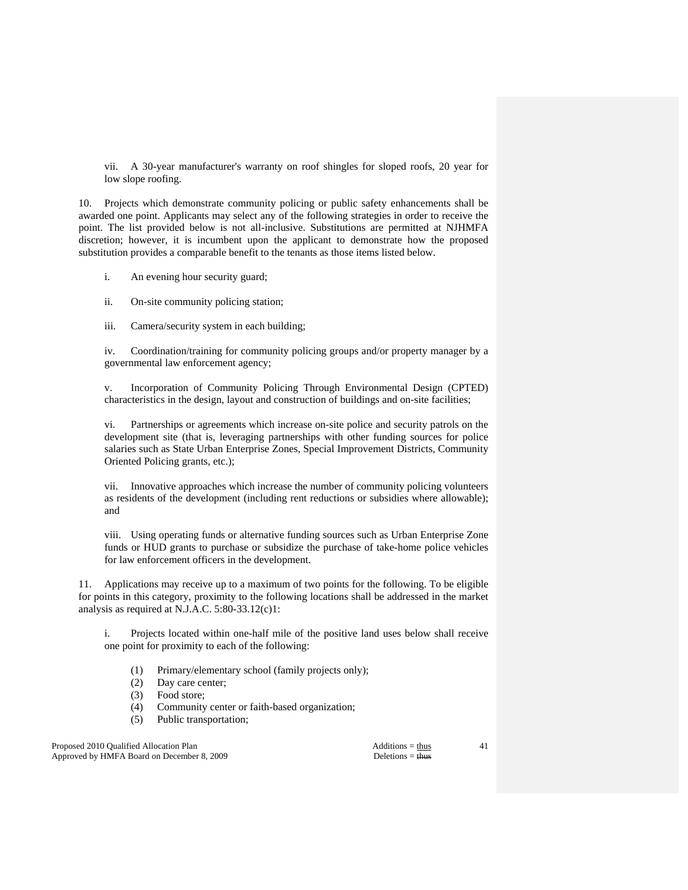vii. A 30-year manufacturer's warranty on roof shingles for sloped roofs, 20 year for low slope roofing.

 10. Projects which demonstrate community policing or public safety enhancements shall be awarded one point. Applicants may select any of the following strategies in order to receive the point. The list provided below is not all-inclusive. Substitutions are permitted at NJHMFA discretion; however, it is incumbent upon the applicant to demonstrate how the proposed substitution provides a comparable benefit to the tenants as those items listed below.

- i. An evening hour security guard;
- ii. On-site community policing station;
- iii. Camera/security system in each building;

 iv. Coordination/training for community policing groups and/or property manager by a governmental law enforcement agency;

 v. Incorporation of Community Policing Through Environmental Design (CPTED) characteristics in the design, layout and construction of buildings and on-site facilities;

 vi. Partnerships or agreements which increase on-site police and security patrols on the development site (that is, leveraging partnerships with other funding sources for police salaries such as State Urban Enterprise Zones, Special Improvement Districts, Community Oriented Policing grants, etc.);

 vii. Innovative approaches which increase the number of community policing volunteers as residents of the development (including rent reductions or subsidies where allowable); and

 viii. Using operating funds or alternative funding sources such as Urban Enterprise Zone funds or HUD grants to purchase or subsidize the purchase of take-home police vehicles for law enforcement officers in the development.

11. Applications may receive up to a maximum of two points for the following. To be eligible for points in this category, proximity to the following locations shall be addressed in the market analysis as required at N.J.A.C. 5:80-33.12(c)1:

 i. Projects located within one-half mile of the positive land uses below shall receive one point for proximity to each of the following:

- (1) Primary/elementary school (family projects only);
- (2) Day care center;
- (3) Food store;
- (4) Community center or faith-based organization;
- (5) Public transportation;

Proposed 2010 Qualified Allocation Plan Additions = thus Additions = thus Approved by HMFA Board on December 8, 2009 Deletions = thus Deletions = thus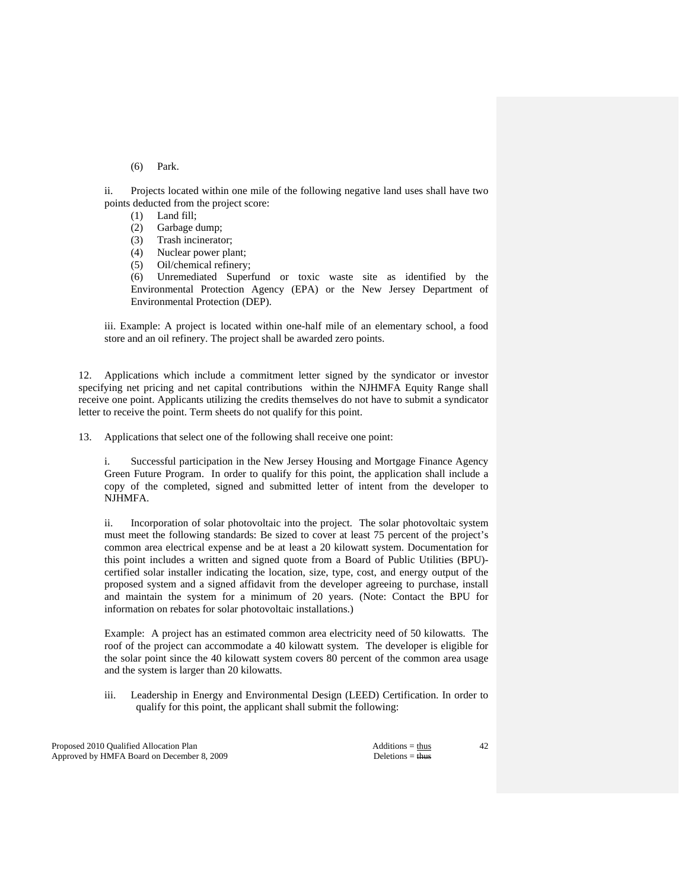(6) Park.

 ii. Projects located within one mile of the following negative land uses shall have two points deducted from the project score:

- (1) Land fill;
- (2) Garbage dump;
- (3) Trash incinerator;
- (4) Nuclear power plant;
- (5) Oil/chemical refinery;

 (6) Unremediated Superfund or toxic waste site as identified by the Environmental Protection Agency (EPA) or the New Jersey Department of Environmental Protection (DEP).

iii. Example: A project is located within one-half mile of an elementary school, a food store and an oil refinery. The project shall be awarded zero points.

 12. Applications which include a commitment letter signed by the syndicator or investor specifying net pricing and net capital contributions within the NJHMFA Equity Range shall receive one point. Applicants utilizing the credits themselves do not have to submit a syndicator letter to receive the point. Term sheets do not qualify for this point.

13. Applications that select one of the following shall receive one point:

 i. Successful participation in the New Jersey Housing and Mortgage Finance Agency Green Future Program. In order to qualify for this point, the application shall include a copy of the completed, signed and submitted letter of intent from the developer to NJHMFA.

 ii. Incorporation of solar photovoltaic into the project. The solar photovoltaic system must meet the following standards: Be sized to cover at least 75 percent of the project's common area electrical expense and be at least a 20 kilowatt system. Documentation for this point includes a written and signed quote from a Board of Public Utilities (BPU) certified solar installer indicating the location, size, type, cost, and energy output of the proposed system and a signed affidavit from the developer agreeing to purchase, install and maintain the system for a minimum of 20 years. (Note: Contact the BPU for information on rebates for solar photovoltaic installations.)

Example: A project has an estimated common area electricity need of 50 kilowatts. The roof of the project can accommodate a 40 kilowatt system. The developer is eligible for the solar point since the 40 kilowatt system covers 80 percent of the common area usage and the system is larger than 20 kilowatts.

iii. Leadership in Energy and Environmental Design (LEED) Certification. In order to qualify for this point, the applicant shall submit the following:

Proposed 2010 Qualified Allocation Plan Additions = thus Additions = thus Approved by HMFA Board on December 8, 2009 Deletions = thus Deletions = thus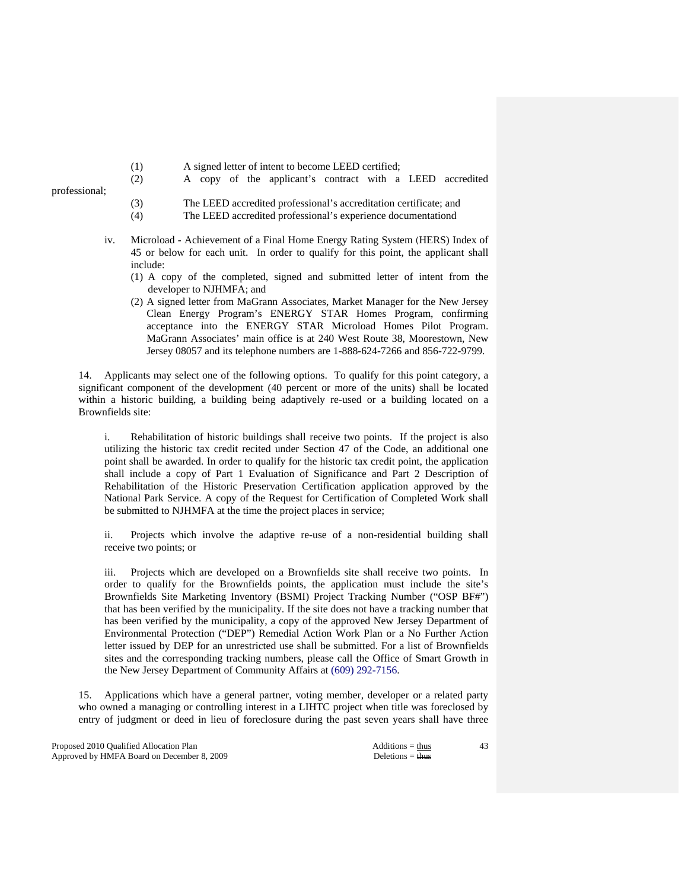- (1) A signed letter of intent to become LEED certified;
- (2) A copy of the applicant's contract with a LEED accredited

- (3) The LEED accredited professional's accreditation certificate; and
- (4) The LEED accredited professional's experience documentationd
- iv. Microload Achievement of a Final Home Energy Rating System (HERS) Index of 45 or below for each unit. In order to qualify for this point, the applicant shall include:
	- (1) A copy of the completed, signed and submitted letter of intent from the developer to NJHMFA; and
	- (2) A signed letter from MaGrann Associates, Market Manager for the New Jersey Clean Energy Program's ENERGY STAR Homes Program, confirming acceptance into the ENERGY STAR Microload Homes Pilot Program. MaGrann Associates' main office is at 240 West Route 38, Moorestown, New Jersey 08057 and its telephone numbers are 1-888-624-7266 and 856-722-9799.

 14. Applicants may select one of the following options. To qualify for this point category, a significant component of the development (40 percent or more of the units) shall be located within a historic building, a building being adaptively re-used or a building located on a Brownfields site:

 i. Rehabilitation of historic buildings shall receive two points. If the project is also utilizing the historic tax credit recited under Section 47 of the Code, an additional one point shall be awarded. In order to qualify for the historic tax credit point, the application shall include a copy of Part 1 Evaluation of Significance and Part 2 Description of Rehabilitation of the Historic Preservation Certification application approved by the National Park Service. A copy of the Request for Certification of Completed Work shall be submitted to NJHMFA at the time the project places in service;

 ii. Projects which involve the adaptive re-use of a non-residential building shall receive two points; or

 iii. Projects which are developed on a Brownfields site shall receive two points. In order to qualify for the Brownfields points, the application must include the site's Brownfields Site Marketing Inventory (BSMI) Project Tracking Number ("OSP BF#") that has been verified by the municipality. If the site does not have a tracking number that has been verified by the municipality, a copy of the approved New Jersey Department of Environmental Protection ("DEP") Remedial Action Work Plan or a No Further Action letter issued by DEP for an unrestricted use shall be submitted. For a list of Brownfields sites and the corresponding tracking numbers, please call the Office of Smart Growth in the New Jersey Department of Community Affairs at (609) 292-7156.

 15. Applications which have a general partner, voting member, developer or a related party who owned a managing or controlling interest in a LIHTC project when title was foreclosed by entry of judgment or deed in lieu of foreclosure during the past seven years shall have three

Proposed 2010 Qualified Allocation Plan Additions = thus Additions = thus Additions = thus Additions = thus Additions = thus Additions = thus Additions = thus Additions = thus Additions = thus Additions = thus Additions = Approved by HMFA Board on December 8, 2009 Deletions = thus Deletions = thus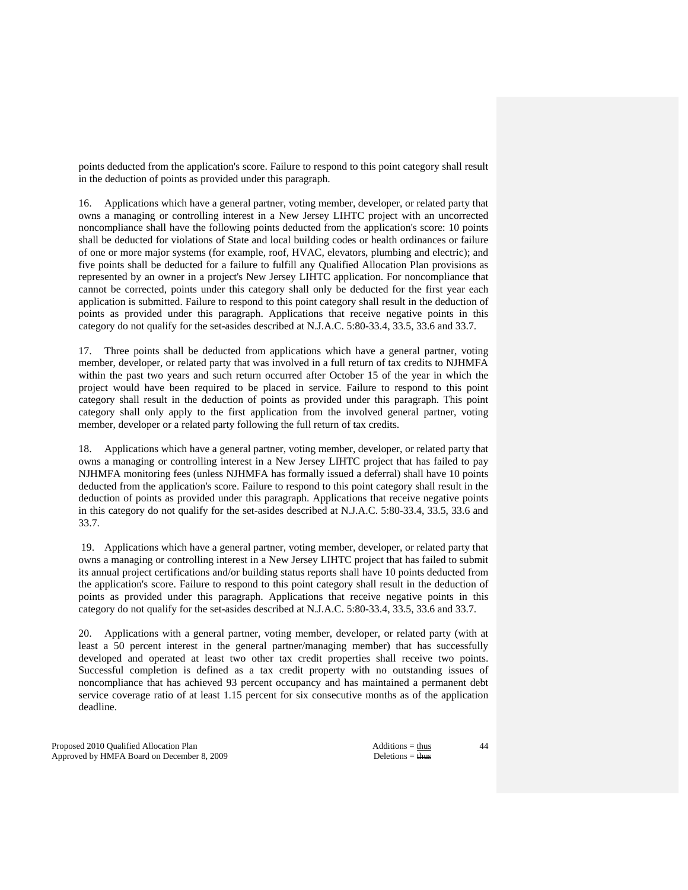points deducted from the application's score. Failure to respond to this point category shall result in the deduction of points as provided under this paragraph.

 16. Applications which have a general partner, voting member, developer, or related party that owns a managing or controlling interest in a New Jersey LIHTC project with an uncorrected noncompliance shall have the following points deducted from the application's score: 10 points shall be deducted for violations of State and local building codes or health ordinances or failure of one or more major systems (for example, roof, HVAC, elevators, plumbing and electric); and five points shall be deducted for a failure to fulfill any Qualified Allocation Plan provisions as represented by an owner in a project's New Jersey LIHTC application. For noncompliance that cannot be corrected, points under this category shall only be deducted for the first year each application is submitted. Failure to respond to this point category shall result in the deduction of points as provided under this paragraph. Applications that receive negative points in this category do not qualify for the set-asides described at N.J.A.C. 5:80-33.4, 33.5, 33.6 and 33.7.

 17. Three points shall be deducted from applications which have a general partner, voting member, developer, or related party that was involved in a full return of tax credits to NJHMFA within the past two years and such return occurred after October 15 of the year in which the project would have been required to be placed in service. Failure to respond to this point category shall result in the deduction of points as provided under this paragraph. This point category shall only apply to the first application from the involved general partner, voting member, developer or a related party following the full return of tax credits.

 18. Applications which have a general partner, voting member, developer, or related party that owns a managing or controlling interest in a New Jersey LIHTC project that has failed to pay NJHMFA monitoring fees (unless NJHMFA has formally issued a deferral) shall have 10 points deducted from the application's score. Failure to respond to this point category shall result in the deduction of points as provided under this paragraph. Applications that receive negative points in this category do not qualify for the set-asides described at N.J.A.C. 5:80-33.4, 33.5, 33.6 and 33.7.

 19. Applications which have a general partner, voting member, developer, or related party that owns a managing or controlling interest in a New Jersey LIHTC project that has failed to submit its annual project certifications and/or building status reports shall have 10 points deducted from the application's score. Failure to respond to this point category shall result in the deduction of points as provided under this paragraph. Applications that receive negative points in this category do not qualify for the set-asides described at N.J.A.C. 5:80-33.4, 33.5, 33.6 and 33.7.

 20. Applications with a general partner, voting member, developer, or related party (with at least a 50 percent interest in the general partner/managing member) that has successfully developed and operated at least two other tax credit properties shall receive two points. Successful completion is defined as a tax credit property with no outstanding issues of noncompliance that has achieved 93 percent occupancy and has maintained a permanent debt service coverage ratio of at least 1.15 percent for six consecutive months as of the application deadline.

Proposed 2010 Qualified Allocation Plan Additions = thus Additions = thus Additions = thus Additions = thus Additions = thus Additions = thus Additions = thus Additions = thus Additions = thus Additions = thus Additions = Approved by HMFA Board on December 8, 2009 Deletions = thus Deletions = thus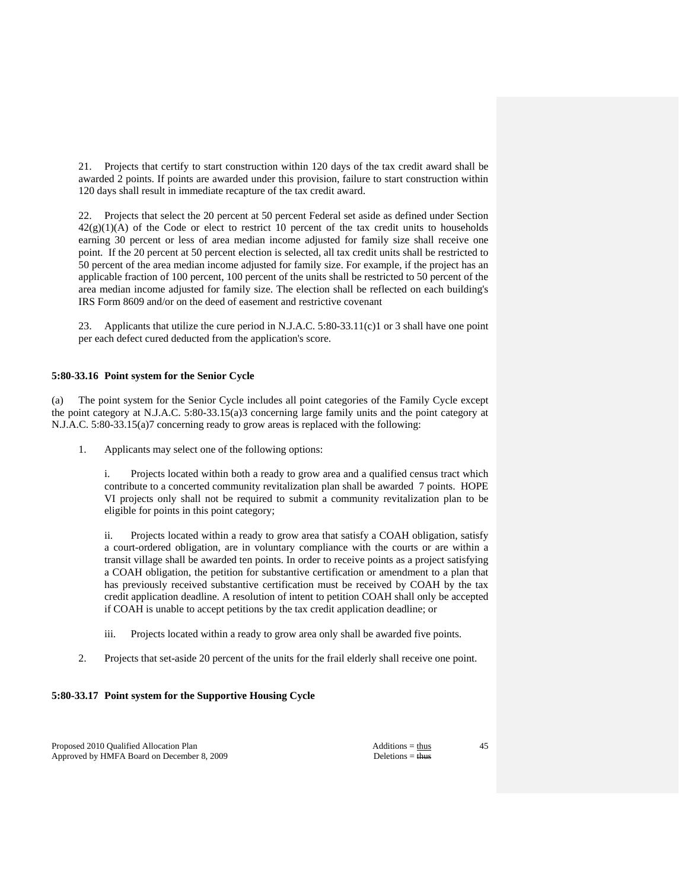21. Projects that certify to start construction within 120 days of the tax credit award shall be awarded 2 points. If points are awarded under this provision, failure to start construction within 120 days shall result in immediate recapture of the tax credit award.

 22. Projects that select the 20 percent at 50 percent Federal set aside as defined under Section  $42(g)(1)(A)$  of the Code or elect to restrict 10 percent of the tax credit units to households earning 30 percent or less of area median income adjusted for family size shall receive one point. If the 20 percent at 50 percent election is selected, all tax credit units shall be restricted to 50 percent of the area median income adjusted for family size. For example, if the project has an applicable fraction of 100 percent, 100 percent of the units shall be restricted to 50 percent of the area median income adjusted for family size. The election shall be reflected on each building's IRS Form 8609 and/or on the deed of easement and restrictive covenant

 23. Applicants that utilize the cure period in N.J.A.C. 5:80-33.11(c)1 or 3 shall have one point per each defect cured deducted from the application's score.

# **5:80-33.16 Point system for the Senior Cycle**

(a) The point system for the Senior Cycle includes all point categories of the Family Cycle except the point category at N.J.A.C. 5:80-33.15(a)3 concerning large family units and the point category at N.J.A.C. 5:80-33.15(a)7 concerning ready to grow areas is replaced with the following:

1. Applicants may select one of the following options:

 i. Projects located within both a ready to grow area and a qualified census tract which contribute to a concerted community revitalization plan shall be awarded 7 points. HOPE VI projects only shall not be required to submit a community revitalization plan to be eligible for points in this point category;

 ii. Projects located within a ready to grow area that satisfy a COAH obligation, satisfy a court-ordered obligation, are in voluntary compliance with the courts or are within a transit village shall be awarded ten points. In order to receive points as a project satisfying a COAH obligation, the petition for substantive certification or amendment to a plan that has previously received substantive certification must be received by COAH by the tax credit application deadline. A resolution of intent to petition COAH shall only be accepted if COAH is unable to accept petitions by the tax credit application deadline; or

- iii. Projects located within a ready to grow area only shall be awarded five points.
- 2. Projects that set-aside 20 percent of the units for the frail elderly shall receive one point.

# **5:80-33.17 Point system for the Supportive Housing Cycle**

Proposed 2010 Qualified Allocation Plan Additions = thus Additions = thus Approved by HMFA Board on December 8, 2009 Deletions = thus Deletions = thus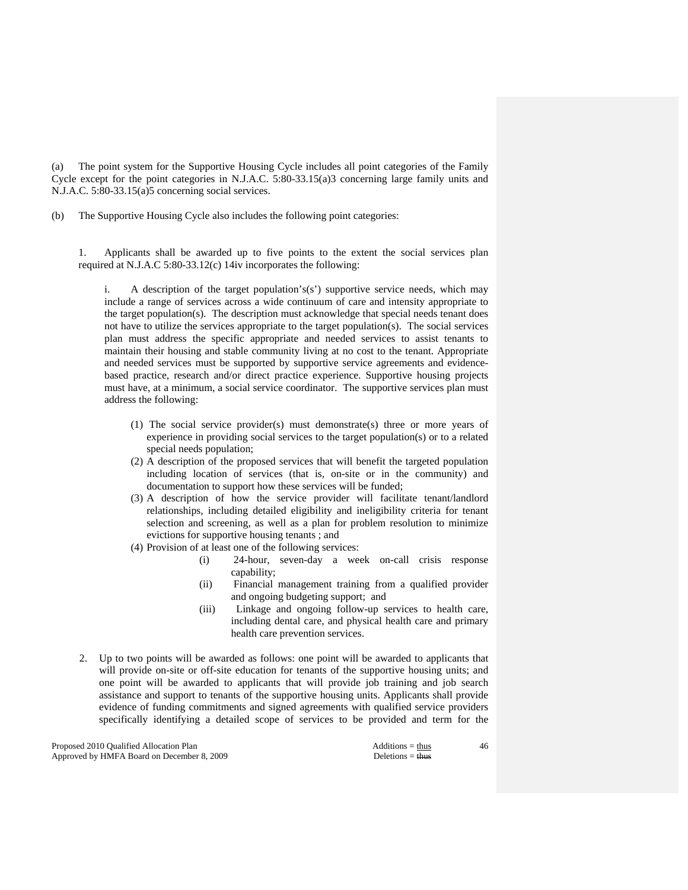(a) The point system for the Supportive Housing Cycle includes all point categories of the Family Cycle except for the point categories in N.J.A.C. 5:80-33.15(a)3 concerning large family units and N.J.A.C. 5:80-33.15(a)5 concerning social services.

(b) The Supportive Housing Cycle also includes the following point categories:

 1. Applicants shall be awarded up to five points to the extent the social services plan required at N.J.A.C 5:80-33.12(c) 14iv incorporates the following:

i. A description of the target population's(s') supportive service needs, which may include a range of services across a wide continuum of care and intensity appropriate to the target population(s). The description must acknowledge that special needs tenant does not have to utilize the services appropriate to the target population(s). The social services plan must address the specific appropriate and needed services to assist tenants to maintain their housing and stable community living at no cost to the tenant. Appropriate and needed services must be supported by supportive service agreements and evidencebased practice, research and/or direct practice experience. Supportive housing projects must have, at a minimum, a social service coordinator. The supportive services plan must address the following:

- (1) The social service provider(s) must demonstrate(s) three or more years of experience in providing social services to the target population(s) or to a related special needs population;
- (2) A description of the proposed services that will benefit the targeted population including location of services (that is, on-site or in the community) and documentation to support how these services will be funded;
- (3) A description of how the service provider will facilitate tenant/landlord relationships, including detailed eligibility and ineligibility criteria for tenant selection and screening, as well as a plan for problem resolution to minimize evictions for supportive housing tenants ; and
- (4) Provision of at least one of the following services:
	- (i) 24-hour, seven-day a week on-call crisis response capability;
	- (ii) Financial management training from a qualified provider and ongoing budgeting support; and
	- (iii) Linkage and ongoing follow-up services to health care, including dental care, and physical health care and primary health care prevention services.
- 2. Up to two points will be awarded as follows: one point will be awarded to applicants that will provide on-site or off-site education for tenants of the supportive housing units; and one point will be awarded to applicants that will provide job training and job search assistance and support to tenants of the supportive housing units. Applicants shall provide evidence of funding commitments and signed agreements with qualified service providers specifically identifying a detailed scope of services to be provided and term for the

Proposed 2010 Qualified Allocation Plan Additions = thus Additions = thus Additions = thus Additions = thus Additions = thus Additions = thus Additions = thus Additions = thus Additions = thus Additions = thus Additions = Approved by HMFA Board on December 8, 2009 Deletions = thus Deletions = thus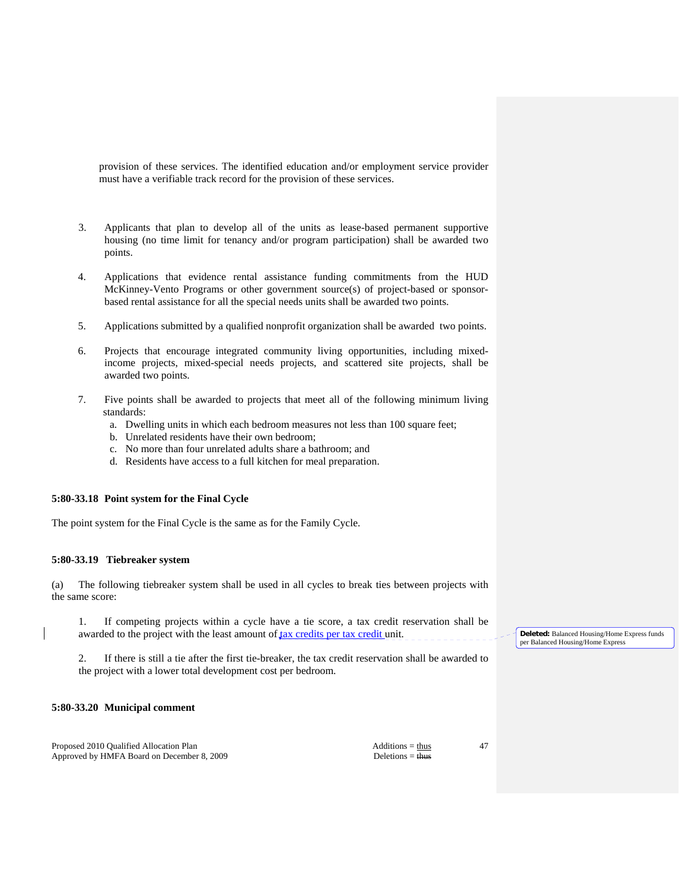provision of these services. The identified education and/or employment service provider must have a verifiable track record for the provision of these services.

- 3. Applicants that plan to develop all of the units as lease-based permanent supportive housing (no time limit for tenancy and/or program participation) shall be awarded two points.
- 4. Applications that evidence rental assistance funding commitments from the HUD McKinney-Vento Programs or other government source(s) of project-based or sponsorbased rental assistance for all the special needs units shall be awarded two points.
- 5. Applications submitted by a qualified nonprofit organization shall be awarded two points.
- 6. Projects that encourage integrated community living opportunities, including mixedincome projects, mixed-special needs projects, and scattered site projects, shall be awarded two points.
- 7. Five points shall be awarded to projects that meet all of the following minimum living standards:
	- a. Dwelling units in which each bedroom measures not less than 100 square feet;
	- b. Unrelated residents have their own bedroom;
	- c. No more than four unrelated adults share a bathroom; and
	- d. Residents have access to a full kitchen for meal preparation.

# **5:80-33.18 Point system for the Final Cycle**

The point system for the Final Cycle is the same as for the Family Cycle.

### **5:80-33.19 Tiebreaker system**

(a) The following tiebreaker system shall be used in all cycles to break ties between projects with the same score:

 1. If competing projects within a cycle have a tie score, a tax credit reservation shall be awarded to the project with the least amount of tax credits per tax credit unit.

 2. If there is still a tie after the first tie-breaker, the tax credit reservation shall be awarded to the project with a lower total development cost per bedroom.

# **5:80-33.20 Municipal comment**

Proposed 2010 Qualified Allocation Plan Additions = thus Additions = thus Approved by HMFA Board on December 8, 2009 Deletions = thus Deletions = thus

47

**Deleted:** Balanced Housing/Home Express funds per Balanced Housing/Home Express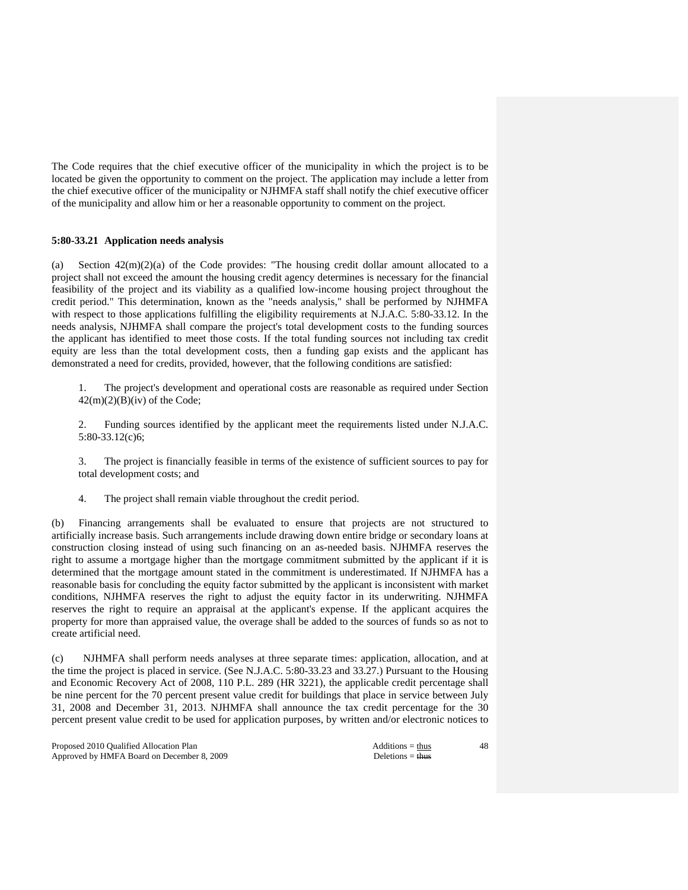The Code requires that the chief executive officer of the municipality in which the project is to be located be given the opportunity to comment on the project. The application may include a letter from the chief executive officer of the municipality or NJHMFA staff shall notify the chief executive officer of the municipality and allow him or her a reasonable opportunity to comment on the project.

## **5:80-33.21 Application needs analysis**

(a) Section  $42(m)(2)(a)$  of the Code provides: "The housing credit dollar amount allocated to a project shall not exceed the amount the housing credit agency determines is necessary for the financial feasibility of the project and its viability as a qualified low-income housing project throughout the credit period." This determination, known as the "needs analysis," shall be performed by NJHMFA with respect to those applications fulfilling the eligibility requirements at N.J.A.C. 5:80-33.12. In the needs analysis, NJHMFA shall compare the project's total development costs to the funding sources the applicant has identified to meet those costs. If the total funding sources not including tax credit equity are less than the total development costs, then a funding gap exists and the applicant has demonstrated a need for credits, provided, however, that the following conditions are satisfied:

 1. The project's development and operational costs are reasonable as required under Section  $42(m)(2)(B)(iv)$  of the Code;

 2. Funding sources identified by the applicant meet the requirements listed under N.J.A.C. 5:80-33.12(c)6;

 3. The project is financially feasible in terms of the existence of sufficient sources to pay for total development costs; and

4. The project shall remain viable throughout the credit period.

(b) Financing arrangements shall be evaluated to ensure that projects are not structured to artificially increase basis. Such arrangements include drawing down entire bridge or secondary loans at construction closing instead of using such financing on an as-needed basis. NJHMFA reserves the right to assume a mortgage higher than the mortgage commitment submitted by the applicant if it is determined that the mortgage amount stated in the commitment is underestimated. If NJHMFA has a reasonable basis for concluding the equity factor submitted by the applicant is inconsistent with market conditions, NJHMFA reserves the right to adjust the equity factor in its underwriting. NJHMFA reserves the right to require an appraisal at the applicant's expense. If the applicant acquires the property for more than appraised value, the overage shall be added to the sources of funds so as not to create artificial need.

(c) NJHMFA shall perform needs analyses at three separate times: application, allocation, and at the time the project is placed in service. (See N.J.A.C. 5:80-33.23 and 33.27.) Pursuant to the Housing and Economic Recovery Act of 2008, 110 P.L. 289 (HR 3221), the applicable credit percentage shall be nine percent for the 70 percent present value credit for buildings that place in service between July 31, 2008 and December 31, 2013. NJHMFA shall announce the tax credit percentage for the 30 percent present value credit to be used for application purposes, by written and/or electronic notices to

Proposed 2010 Qualified Allocation Plan Additions = thus Additions = thus Approved by HMFA Board on December 8, 2009 Deletions = thus Deletions = thus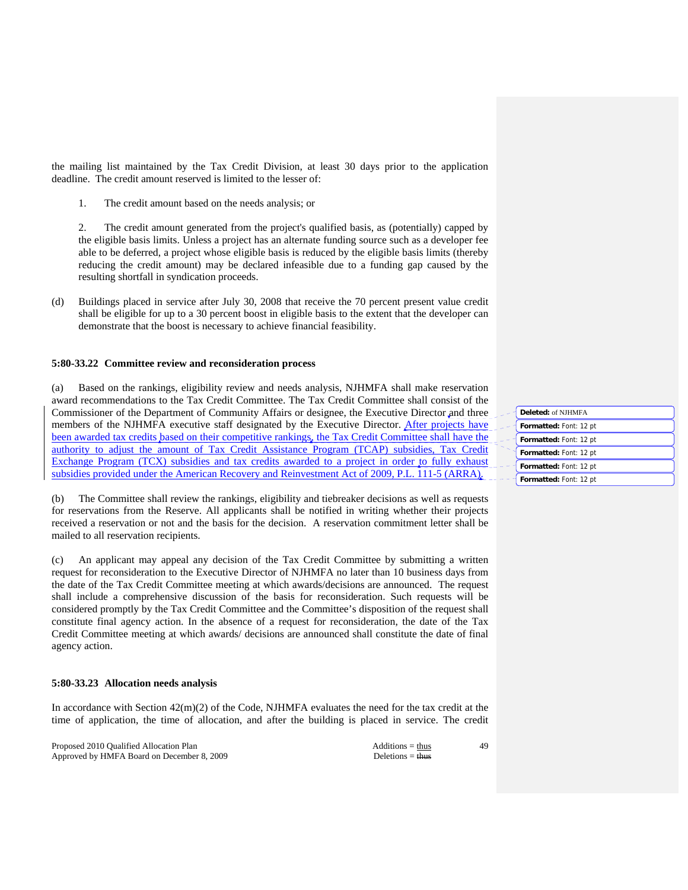the mailing list maintained by the Tax Credit Division, at least 30 days prior to the application deadline. The credit amount reserved is limited to the lesser of:

1. The credit amount based on the needs analysis; or

 2. The credit amount generated from the project's qualified basis, as (potentially) capped by the eligible basis limits. Unless a project has an alternate funding source such as a developer fee able to be deferred, a project whose eligible basis is reduced by the eligible basis limits (thereby reducing the credit amount) may be declared infeasible due to a funding gap caused by the resulting shortfall in syndication proceeds.

(d) Buildings placed in service after July 30, 2008 that receive the 70 percent present value credit shall be eligible for up to a 30 percent boost in eligible basis to the extent that the developer can demonstrate that the boost is necessary to achieve financial feasibility.

# **5:80-33.22 Committee review and reconsideration process**

(a) Based on the rankings, eligibility review and needs analysis, NJHMFA shall make reservation award recommendations to the Tax Credit Committee. The Tax Credit Committee shall consist of the Commissioner of the Department of Community Affairs or designee, the Executive Director and three members of the NJHMFA executive staff designated by the Executive Director. After projects have been awarded tax credits based on their competitive rankings, the Tax Credit Committee shall have the authority to adjust the amount of Tax Credit Assistance Program (TCAP) subsidies, Tax Credit Exchange Program (TCX) subsidies and tax credits awarded to a project in order to fully exhaust subsidies provided under the American Recovery and Reinvestment Act of 2009, P.L. 111-5 (ARRA).

(b) The Committee shall review the rankings, eligibility and tiebreaker decisions as well as requests for reservations from the Reserve. All applicants shall be notified in writing whether their projects received a reservation or not and the basis for the decision. A reservation commitment letter shall be mailed to all reservation recipients.

(c) An applicant may appeal any decision of the Tax Credit Committee by submitting a written request for reconsideration to the Executive Director of NJHMFA no later than 10 business days from the date of the Tax Credit Committee meeting at which awards/decisions are announced. The request shall include a comprehensive discussion of the basis for reconsideration. Such requests will be considered promptly by the Tax Credit Committee and the Committee's disposition of the request shall constitute final agency action. In the absence of a request for reconsideration, the date of the Tax Credit Committee meeting at which awards/ decisions are announced shall constitute the date of final agency action.

# **5:80-33.23 Allocation needs analysis**

In accordance with Section  $42(m)(2)$  of the Code, NJHMFA evaluates the need for the tax credit at the time of application, the time of allocation, and after the building is placed in service. The credit

Proposed 2010 Qualified Allocation Plan Additions = thus Additions = thus Approved by HMFA Board on December 8, 2009 Deletions = thus Deletions = thus

| Deleted: of NJHMFA     |
|------------------------|
| Formatted: Font: 12 pt |
| Formatted: Font: 12 pt |
| Formatted: Font: 12 pt |
| Formatted: Font: 12 pt |
| Formatted: Font: 12 pt |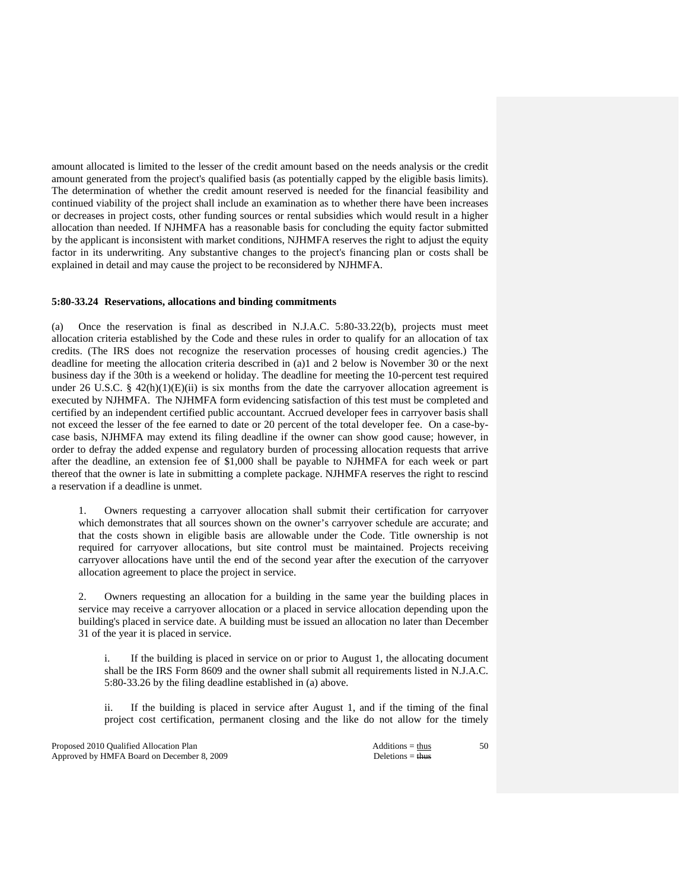amount allocated is limited to the lesser of the credit amount based on the needs analysis or the credit amount generated from the project's qualified basis (as potentially capped by the eligible basis limits). The determination of whether the credit amount reserved is needed for the financial feasibility and continued viability of the project shall include an examination as to whether there have been increases or decreases in project costs, other funding sources or rental subsidies which would result in a higher allocation than needed. If NJHMFA has a reasonable basis for concluding the equity factor submitted by the applicant is inconsistent with market conditions, NJHMFA reserves the right to adjust the equity factor in its underwriting. Any substantive changes to the project's financing plan or costs shall be explained in detail and may cause the project to be reconsidered by NJHMFA.

#### **5:80-33.24 Reservations, allocations and binding commitments**

(a) Once the reservation is final as described in N.J.A.C. 5:80-33.22(b), projects must meet allocation criteria established by the Code and these rules in order to qualify for an allocation of tax credits. (The IRS does not recognize the reservation processes of housing credit agencies.) The deadline for meeting the allocation criteria described in (a)1 and 2 below is November 30 or the next business day if the 30th is a weekend or holiday. The deadline for meeting the 10-percent test required under 26 U.S.C. § 42(h)(1)(E)(ii) is six months from the date the carryover allocation agreement is executed by NJHMFA. The NJHMFA form evidencing satisfaction of this test must be completed and certified by an independent certified public accountant. Accrued developer fees in carryover basis shall not exceed the lesser of the fee earned to date or 20 percent of the total developer fee. On a case-bycase basis, NJHMFA may extend its filing deadline if the owner can show good cause; however, in order to defray the added expense and regulatory burden of processing allocation requests that arrive after the deadline, an extension fee of \$1,000 shall be payable to NJHMFA for each week or part thereof that the owner is late in submitting a complete package. NJHMFA reserves the right to rescind a reservation if a deadline is unmet.

 1. Owners requesting a carryover allocation shall submit their certification for carryover which demonstrates that all sources shown on the owner's carryover schedule are accurate; and that the costs shown in eligible basis are allowable under the Code. Title ownership is not required for carryover allocations, but site control must be maintained. Projects receiving carryover allocations have until the end of the second year after the execution of the carryover allocation agreement to place the project in service.

 2. Owners requesting an allocation for a building in the same year the building places in service may receive a carryover allocation or a placed in service allocation depending upon the building's placed in service date. A building must be issued an allocation no later than December 31 of the year it is placed in service.

If the building is placed in service on or prior to August 1, the allocating document shall be the IRS Form 8609 and the owner shall submit all requirements listed in N.J.A.C. 5:80-33.26 by the filing deadline established in (a) above.

 ii. If the building is placed in service after August 1, and if the timing of the final project cost certification, permanent closing and the like do not allow for the timely

Proposed 2010 Qualified Allocation Plan Additions = thus Additions = thus Approved by HMFA Board on December 8, 2009 Deletions = thus Deletions = thus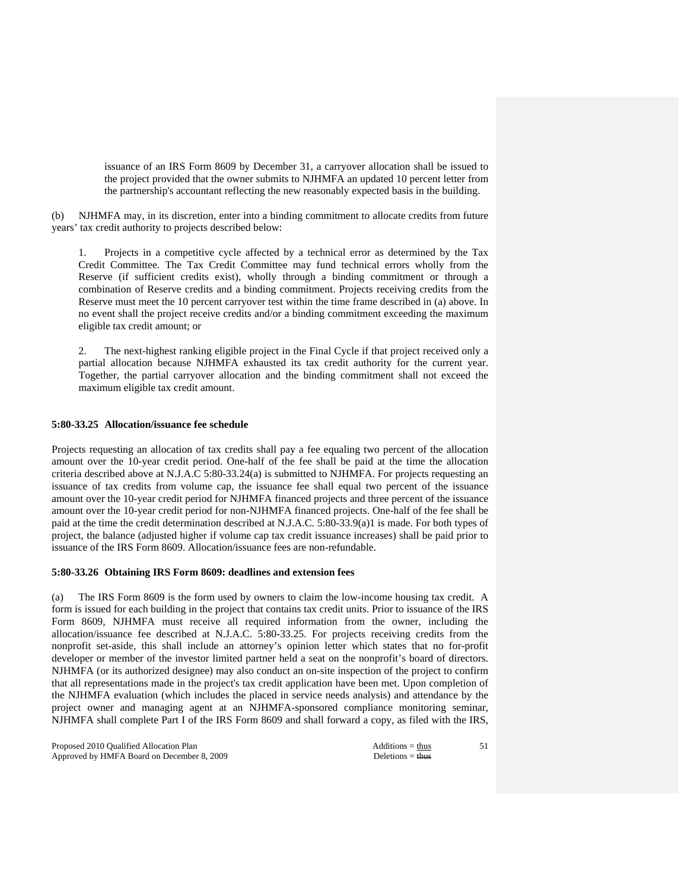issuance of an IRS Form 8609 by December 31, a carryover allocation shall be issued to the project provided that the owner submits to NJHMFA an updated 10 percent letter from the partnership's accountant reflecting the new reasonably expected basis in the building.

(b) NJHMFA may, in its discretion, enter into a binding commitment to allocate credits from future years' tax credit authority to projects described below:

Projects in a competitive cycle affected by a technical error as determined by the Tax Credit Committee. The Tax Credit Committee may fund technical errors wholly from the Reserve (if sufficient credits exist), wholly through a binding commitment or through a combination of Reserve credits and a binding commitment. Projects receiving credits from the Reserve must meet the 10 percent carryover test within the time frame described in (a) above. In no event shall the project receive credits and/or a binding commitment exceeding the maximum eligible tax credit amount; or

 2. The next-highest ranking eligible project in the Final Cycle if that project received only a partial allocation because NJHMFA exhausted its tax credit authority for the current year. Together, the partial carryover allocation and the binding commitment shall not exceed the maximum eligible tax credit amount.

# **5:80-33.25 Allocation/issuance fee schedule**

Projects requesting an allocation of tax credits shall pay a fee equaling two percent of the allocation amount over the 10-year credit period. One-half of the fee shall be paid at the time the allocation criteria described above at N.J.A.C 5:80-33.24(a) is submitted to NJHMFA. For projects requesting an issuance of tax credits from volume cap, the issuance fee shall equal two percent of the issuance amount over the 10-year credit period for NJHMFA financed projects and three percent of the issuance amount over the 10-year credit period for non-NJHMFA financed projects. One-half of the fee shall be paid at the time the credit determination described at N.J.A.C. 5:80-33.9(a)1 is made. For both types of project, the balance (adjusted higher if volume cap tax credit issuance increases) shall be paid prior to issuance of the IRS Form 8609. Allocation/issuance fees are non-refundable.

### **5:80-33.26 Obtaining IRS Form 8609: deadlines and extension fees**

(a) The IRS Form 8609 is the form used by owners to claim the low-income housing tax credit. A form is issued for each building in the project that contains tax credit units. Prior to issuance of the IRS Form 8609, NJHMFA must receive all required information from the owner, including the allocation/issuance fee described at N.J.A.C. 5:80-33.25. For projects receiving credits from the nonprofit set-aside, this shall include an attorney's opinion letter which states that no for-profit developer or member of the investor limited partner held a seat on the nonprofit's board of directors. NJHMFA (or its authorized designee) may also conduct an on-site inspection of the project to confirm that all representations made in the project's tax credit application have been met. Upon completion of the NJHMFA evaluation (which includes the placed in service needs analysis) and attendance by the project owner and managing agent at an NJHMFA-sponsored compliance monitoring seminar, NJHMFA shall complete Part I of the IRS Form 8609 and shall forward a copy, as filed with the IRS,

Proposed 2010 Qualified Allocation Plan Additions = thus Additions = thus Approved by HMFA Board on December 8, 2009 Deletions = thus Deletions = thus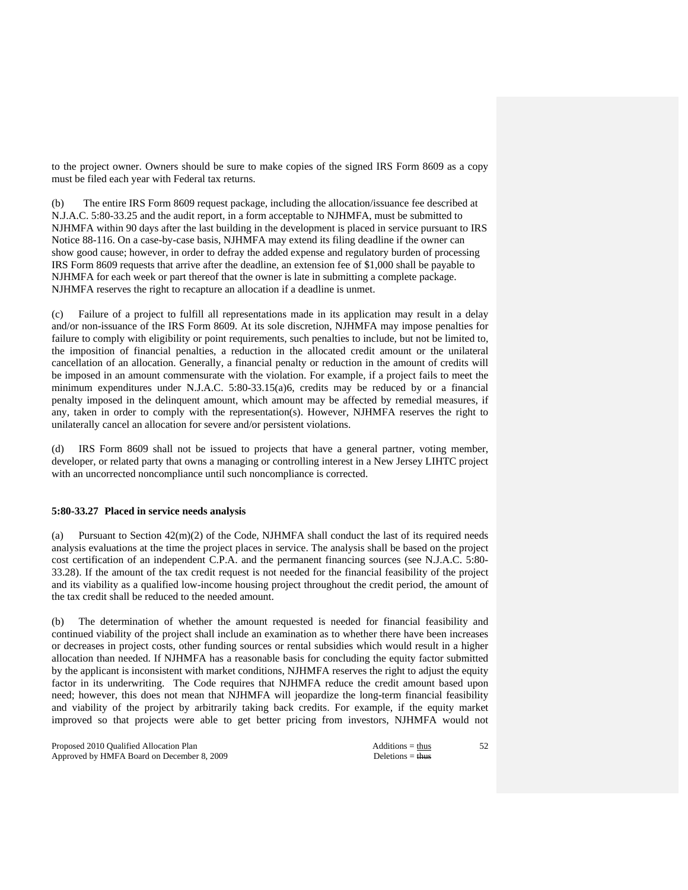to the project owner. Owners should be sure to make copies of the signed IRS Form 8609 as a copy must be filed each year with Federal tax returns.

(b) The entire IRS Form 8609 request package, including the allocation/issuance fee described at N.J.A.C. 5:80-33.25 and the audit report, in a form acceptable to NJHMFA, must be submitted to NJHMFA within 90 days after the last building in the development is placed in service pursuant to IRS Notice 88-116. On a case-by-case basis, NJHMFA may extend its filing deadline if the owner can show good cause; however, in order to defray the added expense and regulatory burden of processing IRS Form 8609 requests that arrive after the deadline, an extension fee of \$1,000 shall be payable to NJHMFA for each week or part thereof that the owner is late in submitting a complete package. NJHMFA reserves the right to recapture an allocation if a deadline is unmet.

(c) Failure of a project to fulfill all representations made in its application may result in a delay and/or non-issuance of the IRS Form 8609. At its sole discretion, NJHMFA may impose penalties for failure to comply with eligibility or point requirements, such penalties to include, but not be limited to, the imposition of financial penalties, a reduction in the allocated credit amount or the unilateral cancellation of an allocation. Generally, a financial penalty or reduction in the amount of credits will be imposed in an amount commensurate with the violation. For example, if a project fails to meet the minimum expenditures under N.J.A.C. 5:80-33.15(a)6, credits may be reduced by or a financial penalty imposed in the delinquent amount, which amount may be affected by remedial measures, if any, taken in order to comply with the representation(s). However, NJHMFA reserves the right to unilaterally cancel an allocation for severe and/or persistent violations.

(d) IRS Form 8609 shall not be issued to projects that have a general partner, voting member, developer, or related party that owns a managing or controlling interest in a New Jersey LIHTC project with an uncorrected noncompliance until such noncompliance is corrected.

## **5:80-33.27 Placed in service needs analysis**

(a) Pursuant to Section 42(m)(2) of the Code, NJHMFA shall conduct the last of its required needs analysis evaluations at the time the project places in service. The analysis shall be based on the project cost certification of an independent C.P.A. and the permanent financing sources (see N.J.A.C. 5:80- 33.28). If the amount of the tax credit request is not needed for the financial feasibility of the project and its viability as a qualified low-income housing project throughout the credit period, the amount of the tax credit shall be reduced to the needed amount.

(b) The determination of whether the amount requested is needed for financial feasibility and continued viability of the project shall include an examination as to whether there have been increases or decreases in project costs, other funding sources or rental subsidies which would result in a higher allocation than needed. If NJHMFA has a reasonable basis for concluding the equity factor submitted by the applicant is inconsistent with market conditions, NJHMFA reserves the right to adjust the equity factor in its underwriting. The Code requires that NJHMFA reduce the credit amount based upon need; however, this does not mean that NJHMFA will jeopardize the long-term financial feasibility and viability of the project by arbitrarily taking back credits. For example, if the equity market improved so that projects were able to get better pricing from investors, NJHMFA would not

Proposed 2010 Qualified Allocation Plan Additions = thus Additions = thus Approved by HMFA Board on December 8, 2009 Deletions = thus Deletions = thus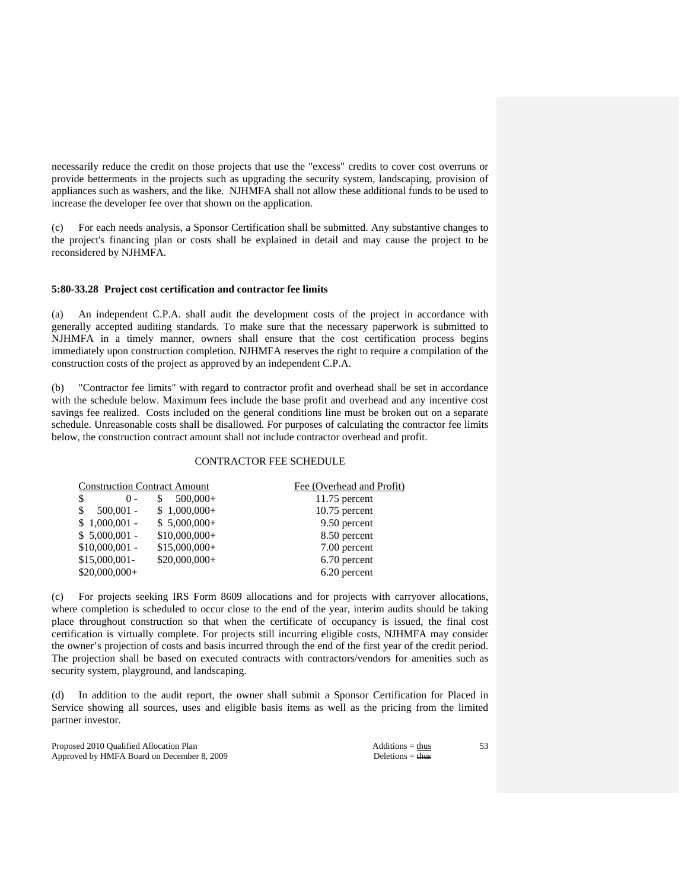necessarily reduce the credit on those projects that use the "excess" credits to cover cost overruns or provide betterments in the projects such as upgrading the security system, landscaping, provision of appliances such as washers, and the like. NJHMFA shall not allow these additional funds to be used to increase the developer fee over that shown on the application.

(c) For each needs analysis, a Sponsor Certification shall be submitted. Any substantive changes to the project's financing plan or costs shall be explained in detail and may cause the project to be reconsidered by NJHMFA.

### **5:80-33.28 Project cost certification and contractor fee limits**

(a) An independent C.P.A. shall audit the development costs of the project in accordance with generally accepted auditing standards. To make sure that the necessary paperwork is submitted to NJHMFA in a timely manner, owners shall ensure that the cost certification process begins immediately upon construction completion. NJHMFA reserves the right to require a compilation of the construction costs of the project as approved by an independent C.P.A.

(b) "Contractor fee limits" with regard to contractor profit and overhead shall be set in accordance with the schedule below. Maximum fees include the base profit and overhead and any incentive cost savings fee realized. Costs included on the general conditions line must be broken out on a separate schedule. Unreasonable costs shall be disallowed. For purposes of calculating the contractor fee limits below, the construction contract amount shall not include contractor overhead and profit.

# CONTRACTOR FEE SCHEDULE

| <b>Construction Contract Amount</b> |                | Fee (Overhead and Profit) |  |
|-------------------------------------|----------------|---------------------------|--|
| \$<br>$() -$                        | $500,000+$     | $11.75$ percent           |  |
| $500,001 -$<br>S                    | $$1,000,000+$  | $10.75$ percent           |  |
| $$1,000,001$ -                      | $$5,000,000+$  | 9.50 percent              |  |
| $$5,000,001$ -                      | $$10,000,000+$ | 8.50 percent              |  |
| $$10,000,001$ -                     | $$15,000,000+$ | 7.00 percent              |  |
| $$15,000,001-$                      | $$20,000,000+$ | 6.70 percent              |  |
| $$20,000,000+$                      |                | 6.20 percent              |  |

(c) For projects seeking IRS Form 8609 allocations and for projects with carryover allocations, where completion is scheduled to occur close to the end of the year, interim audits should be taking place throughout construction so that when the certificate of occupancy is issued, the final cost certification is virtually complete. For projects still incurring eligible costs, NJHMFA may consider the owner's projection of costs and basis incurred through the end of the first year of the credit period. The projection shall be based on executed contracts with contractors/vendors for amenities such as security system, playground, and landscaping.

(d) In addition to the audit report, the owner shall submit a Sponsor Certification for Placed in Service showing all sources, uses and eligible basis items as well as the pricing from the limited partner investor.

Proposed 2010 Qualified Allocation Plan Additions = thus Additions = thus Approved by HMFA Board on December 8, 2009 Deletions = thus Deletions = thus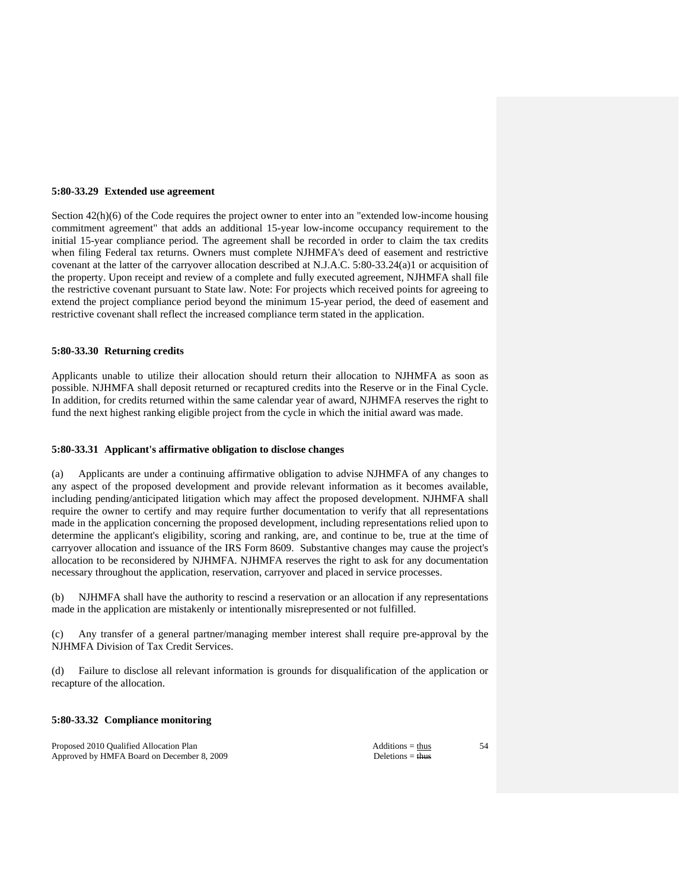#### **5:80-33.29 Extended use agreement**

Section 42(h)(6) of the Code requires the project owner to enter into an "extended low-income housing commitment agreement" that adds an additional 15-year low-income occupancy requirement to the initial 15-year compliance period. The agreement shall be recorded in order to claim the tax credits when filing Federal tax returns. Owners must complete NJHMFA's deed of easement and restrictive covenant at the latter of the carryover allocation described at N.J.A.C. 5:80-33.24(a)1 or acquisition of the property. Upon receipt and review of a complete and fully executed agreement, NJHMFA shall file the restrictive covenant pursuant to State law. Note: For projects which received points for agreeing to extend the project compliance period beyond the minimum 15-year period, the deed of easement and restrictive covenant shall reflect the increased compliance term stated in the application.

### **5:80-33.30 Returning credits**

Applicants unable to utilize their allocation should return their allocation to NJHMFA as soon as possible. NJHMFA shall deposit returned or recaptured credits into the Reserve or in the Final Cycle. In addition, for credits returned within the same calendar year of award, NJHMFA reserves the right to fund the next highest ranking eligible project from the cycle in which the initial award was made.

#### **5:80-33.31 Applicant's affirmative obligation to disclose changes**

(a) Applicants are under a continuing affirmative obligation to advise NJHMFA of any changes to any aspect of the proposed development and provide relevant information as it becomes available, including pending/anticipated litigation which may affect the proposed development. NJHMFA shall require the owner to certify and may require further documentation to verify that all representations made in the application concerning the proposed development, including representations relied upon to determine the applicant's eligibility, scoring and ranking, are, and continue to be, true at the time of carryover allocation and issuance of the IRS Form 8609. Substantive changes may cause the project's allocation to be reconsidered by NJHMFA. NJHMFA reserves the right to ask for any documentation necessary throughout the application, reservation, carryover and placed in service processes.

(b) NJHMFA shall have the authority to rescind a reservation or an allocation if any representations made in the application are mistakenly or intentionally misrepresented or not fulfilled.

(c) Any transfer of a general partner/managing member interest shall require pre-approval by the NJHMFA Division of Tax Credit Services.

(d) Failure to disclose all relevant information is grounds for disqualification of the application or recapture of the allocation.

### **5:80-33.32 Compliance monitoring**

Proposed 2010 Qualified Allocation Plan Additions = thus Additions = thus Approved by HMFA Board on December 8, 2009 Deletions = thus Deletions = thus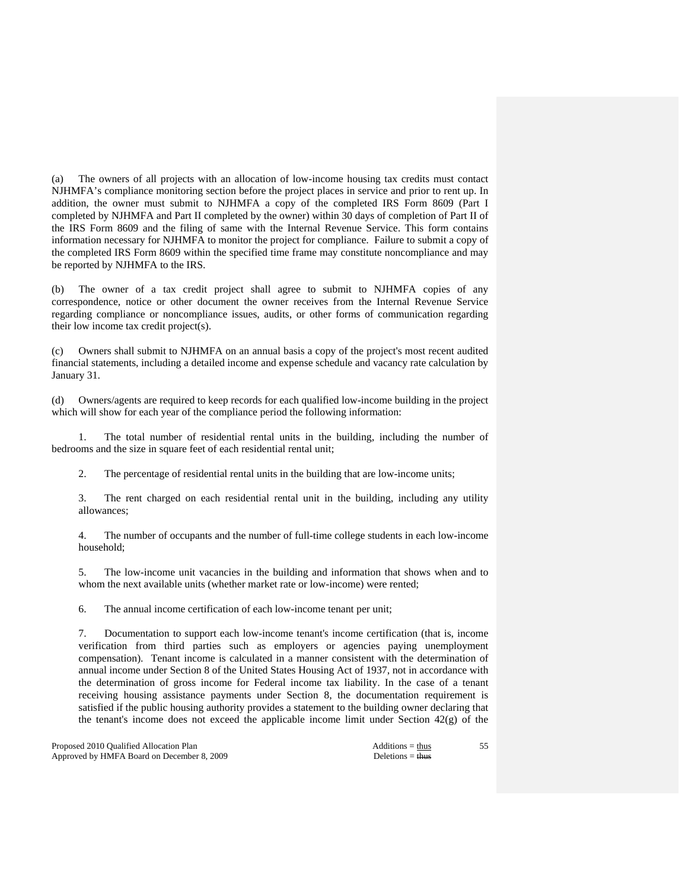(a) The owners of all projects with an allocation of low-income housing tax credits must contact NJHMFA's compliance monitoring section before the project places in service and prior to rent up. In addition, the owner must submit to NJHMFA a copy of the completed IRS Form 8609 (Part I completed by NJHMFA and Part II completed by the owner) within 30 days of completion of Part II of the IRS Form 8609 and the filing of same with the Internal Revenue Service. This form contains information necessary for NJHMFA to monitor the project for compliance. Failure to submit a copy of the completed IRS Form 8609 within the specified time frame may constitute noncompliance and may be reported by NJHMFA to the IRS.

(b) The owner of a tax credit project shall agree to submit to NJHMFA copies of any correspondence, notice or other document the owner receives from the Internal Revenue Service regarding compliance or noncompliance issues, audits, or other forms of communication regarding their low income tax credit project(s).

(c) Owners shall submit to NJHMFA on an annual basis a copy of the project's most recent audited financial statements, including a detailed income and expense schedule and vacancy rate calculation by January 31.

(d) Owners/agents are required to keep records for each qualified low-income building in the project which will show for each year of the compliance period the following information:

 1. The total number of residential rental units in the building, including the number of bedrooms and the size in square feet of each residential rental unit;

2. The percentage of residential rental units in the building that are low-income units;

 3. The rent charged on each residential rental unit in the building, including any utility allowances;

 4. The number of occupants and the number of full-time college students in each low-income household;

 5. The low-income unit vacancies in the building and information that shows when and to whom the next available units (whether market rate or low-income) were rented;

6. The annual income certification of each low-income tenant per unit;

 7. Documentation to support each low-income tenant's income certification (that is, income verification from third parties such as employers or agencies paying unemployment compensation). Tenant income is calculated in a manner consistent with the determination of annual income under Section 8 of the United States Housing Act of 1937, not in accordance with the determination of gross income for Federal income tax liability. In the case of a tenant receiving housing assistance payments under Section 8, the documentation requirement is satisfied if the public housing authority provides a statement to the building owner declaring that the tenant's income does not exceed the applicable income limit under Section  $42(g)$  of the

Proposed 2010 Qualified Allocation Plan Additions = thus Additions = thus Approved by HMFA Board on December 8, 2009 Deletions = thus Deletions = thus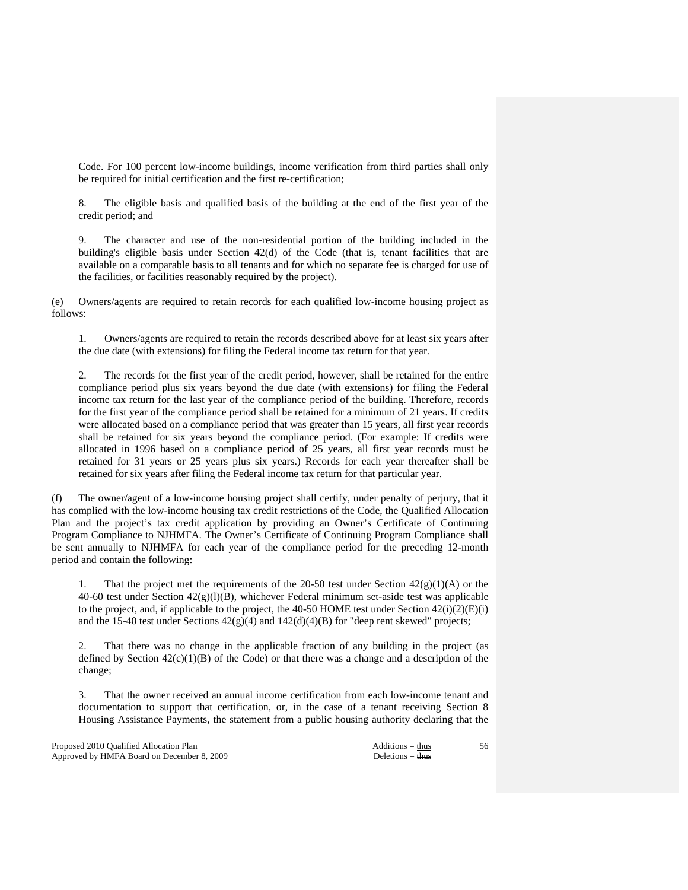Code. For 100 percent low-income buildings, income verification from third parties shall only be required for initial certification and the first re-certification;

 8. The eligible basis and qualified basis of the building at the end of the first year of the credit period; and

 9. The character and use of the non-residential portion of the building included in the building's eligible basis under Section 42(d) of the Code (that is, tenant facilities that are available on a comparable basis to all tenants and for which no separate fee is charged for use of the facilities, or facilities reasonably required by the project).

(e) Owners/agents are required to retain records for each qualified low-income housing project as follows:

 1. Owners/agents are required to retain the records described above for at least six years after the due date (with extensions) for filing the Federal income tax return for that year.

 2. The records for the first year of the credit period, however, shall be retained for the entire compliance period plus six years beyond the due date (with extensions) for filing the Federal income tax return for the last year of the compliance period of the building. Therefore, records for the first year of the compliance period shall be retained for a minimum of 21 years. If credits were allocated based on a compliance period that was greater than 15 years, all first year records shall be retained for six years beyond the compliance period. (For example: If credits were allocated in 1996 based on a compliance period of 25 years, all first year records must be retained for 31 years or 25 years plus six years.) Records for each year thereafter shall be retained for six years after filing the Federal income tax return for that particular year.

(f) The owner/agent of a low-income housing project shall certify, under penalty of perjury, that it has complied with the low-income housing tax credit restrictions of the Code, the Qualified Allocation Plan and the project's tax credit application by providing an Owner's Certificate of Continuing Program Compliance to NJHMFA. The Owner's Certificate of Continuing Program Compliance shall be sent annually to NJHMFA for each year of the compliance period for the preceding 12-month period and contain the following:

That the project met the requirements of the 20-50 test under Section  $42(g)(1)(A)$  or the 40-60 test under Section  $42(g)(1)(B)$ , whichever Federal minimum set-aside test was applicable to the project, and, if applicable to the project, the 40-50 HOME test under Section  $42(i)(2)(E)(i)$ and the 15-40 test under Sections  $42(g)(4)$  and  $142(d)(4)(B)$  for "deep rent skewed" projects;

 2. That there was no change in the applicable fraction of any building in the project (as defined by Section  $42(c)(1)(B)$  of the Code) or that there was a change and a description of the change;

 3. That the owner received an annual income certification from each low-income tenant and documentation to support that certification, or, in the case of a tenant receiving Section 8 Housing Assistance Payments, the statement from a public housing authority declaring that the

Proposed 2010 Qualified Allocation Plan Additions = thus Approved by HMFA Board on December 8, 2009 Deletions = thus Deletions = thus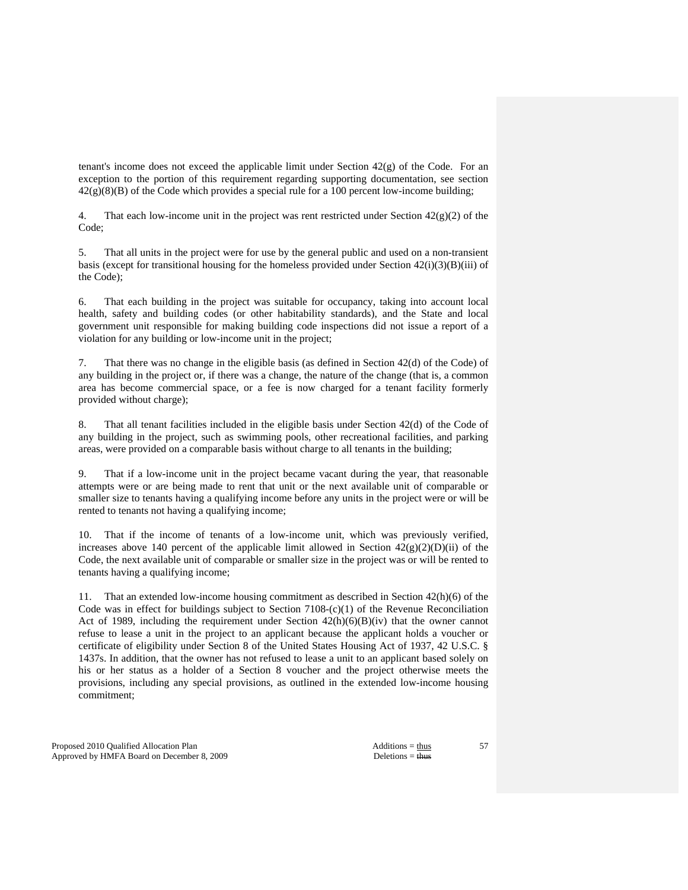tenant's income does not exceed the applicable limit under Section  $42(g)$  of the Code. For an exception to the portion of this requirement regarding supporting documentation, see section  $42(g)(8)(B)$  of the Code which provides a special rule for a 100 percent low-income building;

4. That each low-income unit in the project was rent restricted under Section  $42(g)(2)$  of the Code;

 5. That all units in the project were for use by the general public and used on a non-transient basis (except for transitional housing for the homeless provided under Section  $42(i)(3)(B)(iii)$  of the Code);

 6. That each building in the project was suitable for occupancy, taking into account local health, safety and building codes (or other habitability standards), and the State and local government unit responsible for making building code inspections did not issue a report of a violation for any building or low-income unit in the project;

 7. That there was no change in the eligible basis (as defined in Section 42(d) of the Code) of any building in the project or, if there was a change, the nature of the change (that is, a common area has become commercial space, or a fee is now charged for a tenant facility formerly provided without charge);

 8. That all tenant facilities included in the eligible basis under Section 42(d) of the Code of any building in the project, such as swimming pools, other recreational facilities, and parking areas, were provided on a comparable basis without charge to all tenants in the building;

 9. That if a low-income unit in the project became vacant during the year, that reasonable attempts were or are being made to rent that unit or the next available unit of comparable or smaller size to tenants having a qualifying income before any units in the project were or will be rented to tenants not having a qualifying income;

 10. That if the income of tenants of a low-income unit, which was previously verified, increases above 140 percent of the applicable limit allowed in Section  $42(g)(2)(D)(ii)$  of the Code, the next available unit of comparable or smaller size in the project was or will be rented to tenants having a qualifying income;

 11. That an extended low-income housing commitment as described in Section 42(h)(6) of the Code was in effect for buildings subject to Section 7108- $(c)(1)$  of the Revenue Reconciliation Act of 1989, including the requirement under Section  $42(h)(6)(B)(iv)$  that the owner cannot refuse to lease a unit in the project to an applicant because the applicant holds a voucher or certificate of eligibility under Section 8 of the United States Housing Act of 1937, 42 U.S.C. § 1437s. In addition, that the owner has not refused to lease a unit to an applicant based solely on his or her status as a holder of a Section 8 voucher and the project otherwise meets the provisions, including any special provisions, as outlined in the extended low-income housing commitment;

Proposed 2010 Qualified Allocation Plan Additions = thus Additions = thus Approved by HMFA Board on December 8, 2009 Deletions = thus Deletions = thus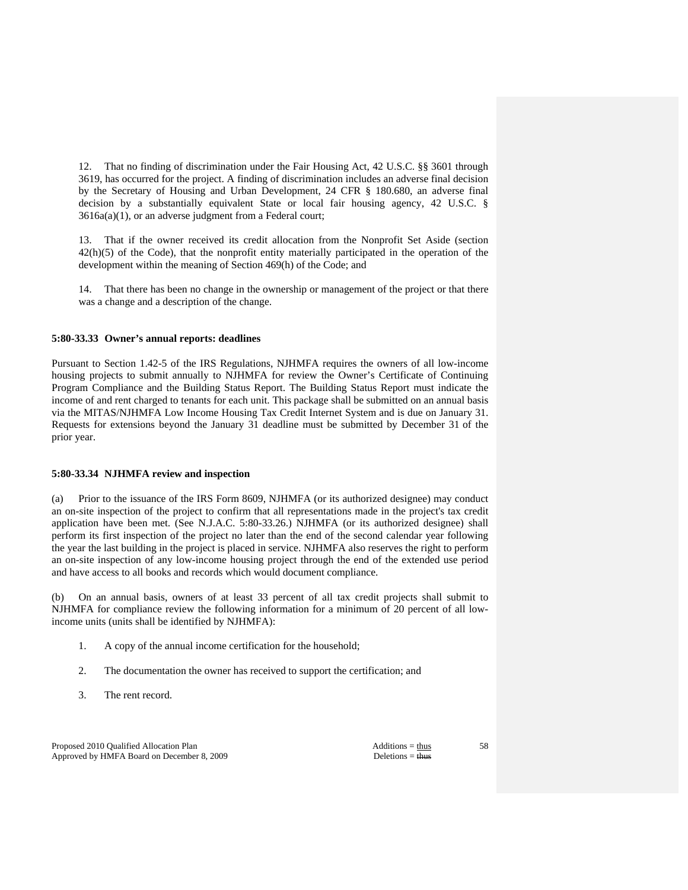12. That no finding of discrimination under the Fair Housing Act, 42 U.S.C. §§ 3601 through 3619, has occurred for the project. A finding of discrimination includes an adverse final decision by the Secretary of Housing and Urban Development, 24 CFR § 180.680, an adverse final decision by a substantially equivalent State or local fair housing agency, 42 U.S.C. § 3616a(a)(1), or an adverse judgment from a Federal court;

 13. That if the owner received its credit allocation from the Nonprofit Set Aside (section  $42(h)(5)$  of the Code), that the nonprofit entity materially participated in the operation of the development within the meaning of Section 469(h) of the Code; and

 14. That there has been no change in the ownership or management of the project or that there was a change and a description of the change.

#### **5:80-33.33 Owner's annual reports: deadlines**

Pursuant to Section 1.42-5 of the IRS Regulations, NJHMFA requires the owners of all low-income housing projects to submit annually to NJHMFA for review the Owner's Certificate of Continuing Program Compliance and the Building Status Report. The Building Status Report must indicate the income of and rent charged to tenants for each unit. This package shall be submitted on an annual basis via the MITAS/NJHMFA Low Income Housing Tax Credit Internet System and is due on January 31. Requests for extensions beyond the January 31 deadline must be submitted by December 31 of the prior year.

# **5:80-33.34 NJHMFA review and inspection**

(a) Prior to the issuance of the IRS Form 8609, NJHMFA (or its authorized designee) may conduct an on-site inspection of the project to confirm that all representations made in the project's tax credit application have been met. (See N.J.A.C. 5:80-33.26.) NJHMFA (or its authorized designee) shall perform its first inspection of the project no later than the end of the second calendar year following the year the last building in the project is placed in service. NJHMFA also reserves the right to perform an on-site inspection of any low-income housing project through the end of the extended use period and have access to all books and records which would document compliance.

(b) On an annual basis, owners of at least 33 percent of all tax credit projects shall submit to NJHMFA for compliance review the following information for a minimum of 20 percent of all lowincome units (units shall be identified by NJHMFA):

- 1. A copy of the annual income certification for the household;
- 2. The documentation the owner has received to support the certification; and
- 3. The rent record.

Proposed 2010 Qualified Allocation Plan Additions = thus Additions = thus Approved by HMFA Board on December 8, 2009 Deletions = thus Deletions = thus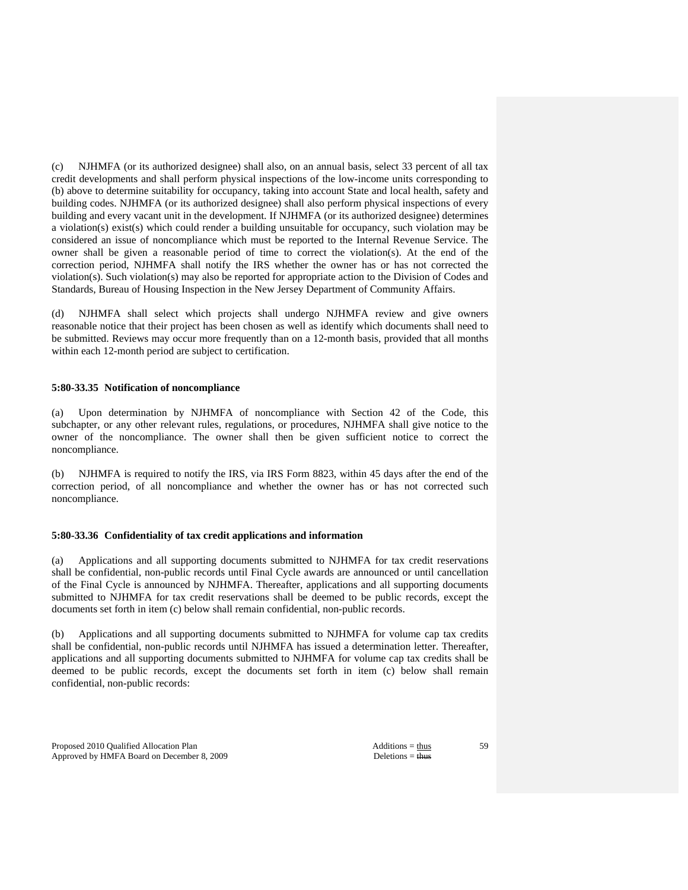(c) NJHMFA (or its authorized designee) shall also, on an annual basis, select 33 percent of all tax credit developments and shall perform physical inspections of the low-income units corresponding to (b) above to determine suitability for occupancy, taking into account State and local health, safety and building codes. NJHMFA (or its authorized designee) shall also perform physical inspections of every building and every vacant unit in the development. If NJHMFA (or its authorized designee) determines a violation(s) exist(s) which could render a building unsuitable for occupancy, such violation may be considered an issue of noncompliance which must be reported to the Internal Revenue Service. The owner shall be given a reasonable period of time to correct the violation(s). At the end of the correction period, NJHMFA shall notify the IRS whether the owner has or has not corrected the violation(s). Such violation(s) may also be reported for appropriate action to the Division of Codes and Standards, Bureau of Housing Inspection in the New Jersey Department of Community Affairs.

(d) NJHMFA shall select which projects shall undergo NJHMFA review and give owners reasonable notice that their project has been chosen as well as identify which documents shall need to be submitted. Reviews may occur more frequently than on a 12-month basis, provided that all months within each 12-month period are subject to certification.

### **5:80-33.35 Notification of noncompliance**

(a) Upon determination by NJHMFA of noncompliance with Section 42 of the Code, this subchapter, or any other relevant rules, regulations, or procedures, NJHMFA shall give notice to the owner of the noncompliance. The owner shall then be given sufficient notice to correct the noncompliance.

(b) NJHMFA is required to notify the IRS, via IRS Form 8823, within 45 days after the end of the correction period, of all noncompliance and whether the owner has or has not corrected such noncompliance.

## **5:80-33.36 Confidentiality of tax credit applications and information**

(a) Applications and all supporting documents submitted to NJHMFA for tax credit reservations shall be confidential, non-public records until Final Cycle awards are announced or until cancellation of the Final Cycle is announced by NJHMFA. Thereafter, applications and all supporting documents submitted to NJHMFA for tax credit reservations shall be deemed to be public records, except the documents set forth in item (c) below shall remain confidential, non-public records.

(b) Applications and all supporting documents submitted to NJHMFA for volume cap tax credits shall be confidential, non-public records until NJHMFA has issued a determination letter. Thereafter, applications and all supporting documents submitted to NJHMFA for volume cap tax credits shall be deemed to be public records, except the documents set forth in item (c) below shall remain confidential, non-public records:

Proposed 2010 Qualified Allocation Plan Additions = thus Additions = thus Approved by HMFA Board on December 8, 2009 Deletions = thus Deletions = thus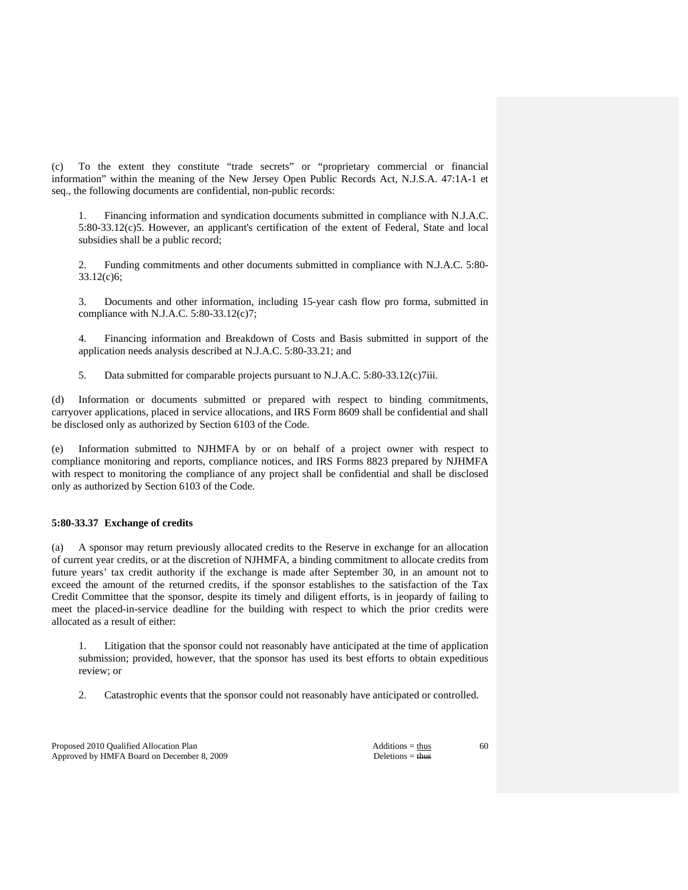(c) To the extent they constitute "trade secrets" or "proprietary commercial or financial information" within the meaning of the New Jersey Open Public Records Act, N.J.S.A. 47:1A-1 et seq., the following documents are confidential, non-public records:

 1. Financing information and syndication documents submitted in compliance with N.J.A.C. 5:80-33.12(c)5. However, an applicant's certification of the extent of Federal, State and local subsidies shall be a public record;

 2. Funding commitments and other documents submitted in compliance with N.J.A.C. 5:80- 33.12(c)6;

 3. Documents and other information, including 15-year cash flow pro forma, submitted in compliance with N.J.A.C. 5:80-33.12(c)7;

 4. Financing information and Breakdown of Costs and Basis submitted in support of the application needs analysis described at N.J.A.C. 5:80-33.21; and

5. Data submitted for comparable projects pursuant to N.J.A.C. 5:80-33.12(c)7iii.

(d) Information or documents submitted or prepared with respect to binding commitments, carryover applications, placed in service allocations, and IRS Form 8609 shall be confidential and shall be disclosed only as authorized by Section 6103 of the Code.

(e) Information submitted to NJHMFA by or on behalf of a project owner with respect to compliance monitoring and reports, compliance notices, and IRS Forms 8823 prepared by NJHMFA with respect to monitoring the compliance of any project shall be confidential and shall be disclosed only as authorized by Section 6103 of the Code.

# **5:80-33.37 Exchange of credits**

(a) A sponsor may return previously allocated credits to the Reserve in exchange for an allocation of current year credits, or at the discretion of NJHMFA, a binding commitment to allocate credits from future years' tax credit authority if the exchange is made after September 30, in an amount not to exceed the amount of the returned credits, if the sponsor establishes to the satisfaction of the Tax Credit Committee that the sponsor, despite its timely and diligent efforts, is in jeopardy of failing to meet the placed-in-service deadline for the building with respect to which the prior credits were allocated as a result of either:

 1. Litigation that the sponsor could not reasonably have anticipated at the time of application submission; provided, however, that the sponsor has used its best efforts to obtain expeditious review; or

2. Catastrophic events that the sponsor could not reasonably have anticipated or controlled.

Proposed 2010 Qualified Allocation Plan Additions = thus Additions = thus Approved by HMFA Board on December 8, 2009 Deletions = thus Deletions = thus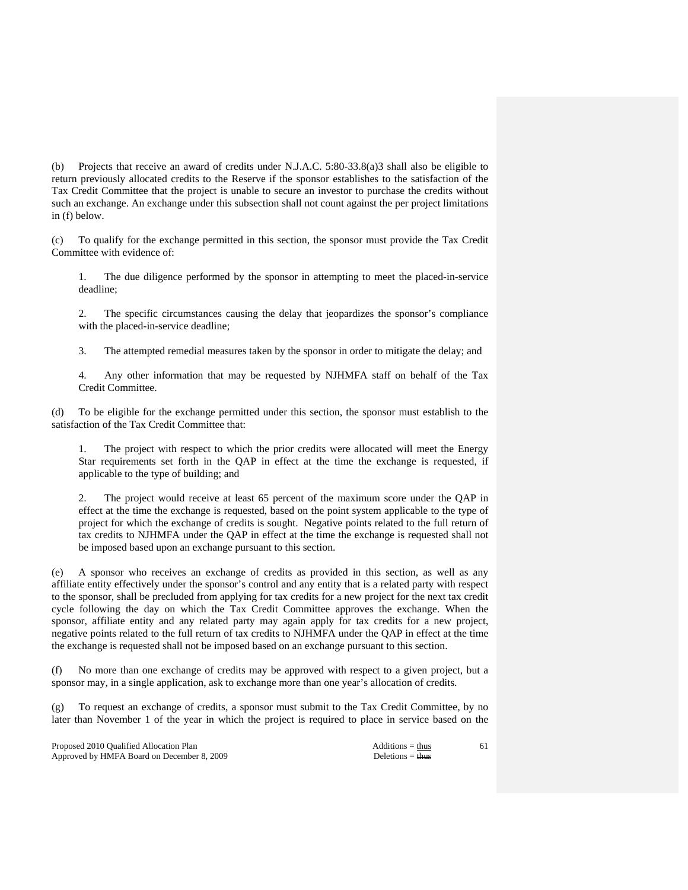(b) Projects that receive an award of credits under N.J.A.C. 5:80-33.8(a)3 shall also be eligible to return previously allocated credits to the Reserve if the sponsor establishes to the satisfaction of the Tax Credit Committee that the project is unable to secure an investor to purchase the credits without such an exchange. An exchange under this subsection shall not count against the per project limitations in (f) below.

(c) To qualify for the exchange permitted in this section, the sponsor must provide the Tax Credit Committee with evidence of:

 1. The due diligence performed by the sponsor in attempting to meet the placed-in-service deadline;

 2. The specific circumstances causing the delay that jeopardizes the sponsor's compliance with the placed-in-service deadline;

3. The attempted remedial measures taken by the sponsor in order to mitigate the delay; and

 4. Any other information that may be requested by NJHMFA staff on behalf of the Tax Credit Committee.

To be eligible for the exchange permitted under this section, the sponsor must establish to the satisfaction of the Tax Credit Committee that:

 1. The project with respect to which the prior credits were allocated will meet the Energy Star requirements set forth in the QAP in effect at the time the exchange is requested, if applicable to the type of building; and

The project would receive at least 65 percent of the maximum score under the OAP in effect at the time the exchange is requested, based on the point system applicable to the type of project for which the exchange of credits is sought. Negative points related to the full return of tax credits to NJHMFA under the QAP in effect at the time the exchange is requested shall not be imposed based upon an exchange pursuant to this section.

(e) A sponsor who receives an exchange of credits as provided in this section, as well as any affiliate entity effectively under the sponsor's control and any entity that is a related party with respect to the sponsor, shall be precluded from applying for tax credits for a new project for the next tax credit cycle following the day on which the Tax Credit Committee approves the exchange. When the sponsor, affiliate entity and any related party may again apply for tax credits for a new project, negative points related to the full return of tax credits to NJHMFA under the QAP in effect at the time the exchange is requested shall not be imposed based on an exchange pursuant to this section.

(f) No more than one exchange of credits may be approved with respect to a given project, but a sponsor may, in a single application, ask to exchange more than one year's allocation of credits.

(g) To request an exchange of credits, a sponsor must submit to the Tax Credit Committee, by no later than November 1 of the year in which the project is required to place in service based on the

Proposed 2010 Qualified Allocation Plan Additions = thus Additions = thus Additions = thus Additions = thus Additions = thus Additions = thus Additions = thus Additions = thus Additions = thus Additions = thus Additions = Approved by HMFA Board on December 8, 2009 Deletions = thus Deletions = thus